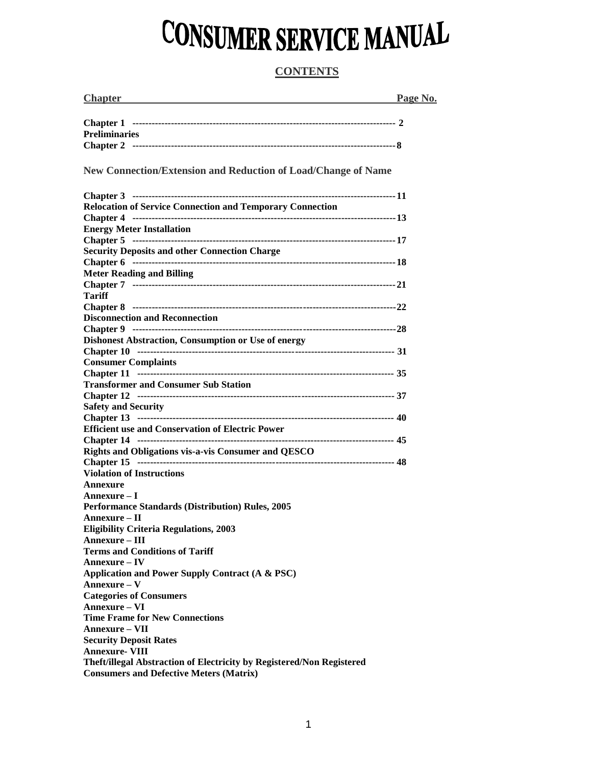# **CONSUMER SERVICE MANUAL**

## **CONTENTS**

| <b>Chapter</b>                                                        | Page No. |
|-----------------------------------------------------------------------|----------|
|                                                                       |          |
| <b>Preliminaries</b>                                                  |          |
|                                                                       |          |
| New Connection/Extension and Reduction of Load/Change of Name         |          |
|                                                                       |          |
| <b>Relocation of Service Connection and Temporary Connection</b>      |          |
|                                                                       |          |
| <b>Energy Meter Installation</b>                                      |          |
|                                                                       |          |
| <b>Security Deposits and other Connection Charge</b>                  |          |
|                                                                       |          |
| <b>Meter Reading and Billing</b>                                      |          |
|                                                                       |          |
| <b>Tariff</b>                                                         |          |
|                                                                       |          |
| <b>Disconnection and Reconnection</b>                                 |          |
|                                                                       |          |
| <b>Dishonest Abstraction, Consumption or Use of energy</b>            |          |
|                                                                       |          |
|                                                                       |          |
|                                                                       |          |
| <b>Transformer and Consumer Sub Station</b>                           |          |
|                                                                       |          |
| <b>Safety and Security</b>                                            |          |
|                                                                       |          |
| <b>Efficient use and Conservation of Electric Power</b>               |          |
|                                                                       |          |
| Rights and Obligations vis-a-vis Consumer and QESCO                   |          |
|                                                                       |          |
| <b>Violation of Instructions</b>                                      |          |
| Annexure                                                              |          |
| Annexure – I                                                          |          |
| <b>Performance Standards (Distribution) Rules, 2005</b>               |          |
| Annexure – II                                                         |          |
| <b>Eligibility Criteria Regulations, 2003</b>                         |          |
| Annexure - III                                                        |          |
| <b>Terms and Conditions of Tariff</b>                                 |          |
| Annexure – IV                                                         |          |
| Application and Power Supply Contract (A & PSC)                       |          |
| $Annexure - V$                                                        |          |
| <b>Categories of Consumers</b>                                        |          |
| <b>Annexure – VI</b>                                                  |          |
| <b>Time Frame for New Connections</b>                                 |          |
| Annexure – VII                                                        |          |
| <b>Security Deposit Rates</b>                                         |          |
| <b>Annexure- VIII</b>                                                 |          |
| Theft/illegal Abstraction of Electricity by Registered/Non Registered |          |
| <b>Consumers and Defective Meters (Matrix)</b>                        |          |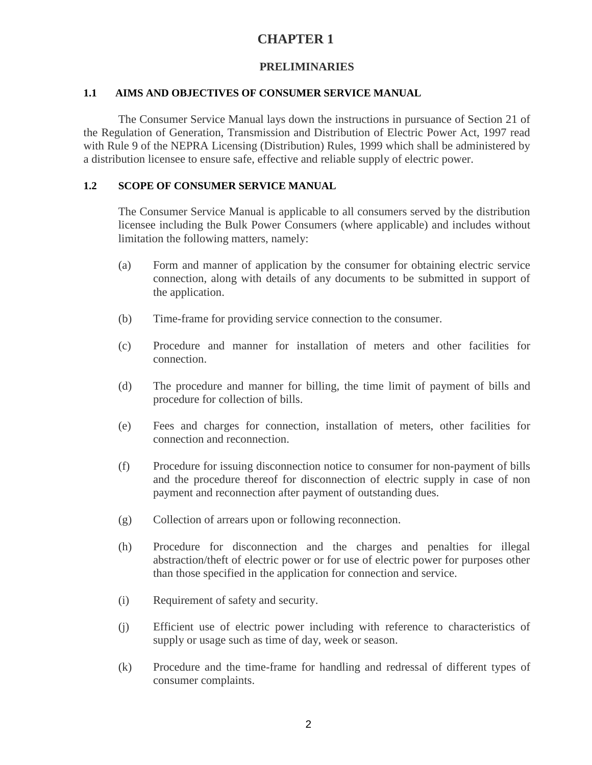## **PRELIMINARIES**

#### **1.1 AIMS AND OBJECTIVES OF CONSUMER SERVICE MANUAL**

The Consumer Service Manual lays down the instructions in pursuance of Section 21 of the Regulation of Generation, Transmission and Distribution of Electric Power Act, 1997 read with Rule 9 of the NEPRA Licensing (Distribution) Rules, 1999 which shall be administered by a distribution licensee to ensure safe, effective and reliable supply of electric power.

#### **1.2 SCOPE OF CONSUMER SERVICE MANUAL**

The Consumer Service Manual is applicable to all consumers served by the distribution licensee including the Bulk Power Consumers (where applicable) and includes without limitation the following matters, namely:

- (a) Form and manner of application by the consumer for obtaining electric service connection, along with details of any documents to be submitted in support of the application.
- (b) Time-frame for providing service connection to the consumer.
- (c) Procedure and manner for installation of meters and other facilities for connection.
- (d) The procedure and manner for billing, the time limit of payment of bills and procedure for collection of bills.
- (e) Fees and charges for connection, installation of meters, other facilities for connection and reconnection.
- (f) Procedure for issuing disconnection notice to consumer for non-payment of bills and the procedure thereof for disconnection of electric supply in case of non payment and reconnection after payment of outstanding dues.
- (g) Collection of arrears upon or following reconnection.
- (h) Procedure for disconnection and the charges and penalties for illegal abstraction/theft of electric power or for use of electric power for purposes other than those specified in the application for connection and service.
- (i) Requirement of safety and security.
- (j) Efficient use of electric power including with reference to characteristics of supply or usage such as time of day, week or season.
- (k) Procedure and the time-frame for handling and redressal of different types of consumer complaints.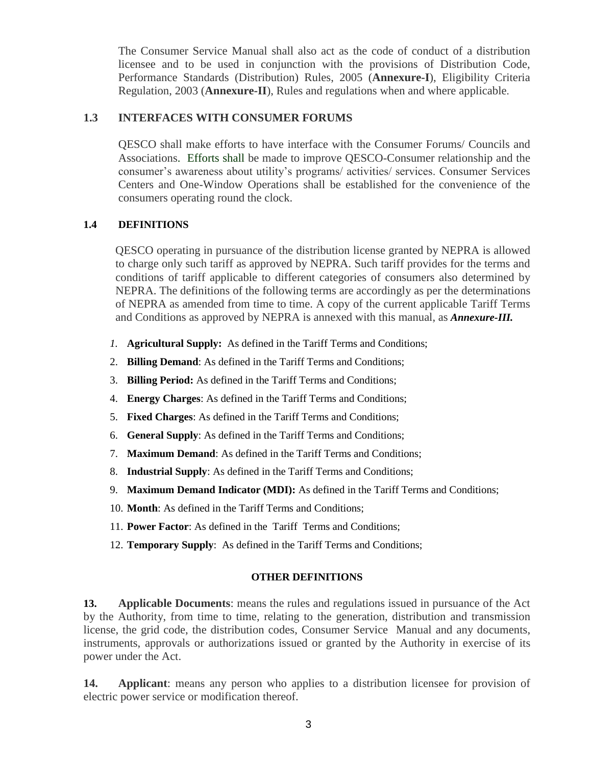The Consumer Service Manual shall also act as the code of conduct of a distribution licensee and to be used in conjunction with the provisions of Distribution Code, Performance Standards (Distribution) Rules, 2005 (**Annexure-I**), Eligibility Criteria Regulation, 2003 (**Annexure-II**), Rules and regulations when and where applicable.

#### **1.3 INTERFACES WITH CONSUMER FORUMS**

QESCO shall make efforts to have interface with the Consumer Forums/ Councils and Associations. Efforts shall be made to improve QESCO-Consumer relationship and the consumer's awareness about utility's programs/ activities/ services. Consumer Services Centers and One-Window Operations shall be established for the convenience of the consumers operating round the clock.

#### **1.4 DEFINITIONS**

QESCO operating in pursuance of the distribution license granted by NEPRA is allowed to charge only such tariff as approved by NEPRA. Such tariff provides for the terms and conditions of tariff applicable to different categories of consumers also determined by NEPRA. The definitions of the following terms are accordingly as per the determinations of NEPRA as amended from time to time. A copy of the current applicable Tariff Terms and Conditions as approved by NEPRA is annexed with this manual, as *Annexure-III.*

- *1.* **Agricultural Supply:** As defined in the Tariff Terms and Conditions;
- 2. **Billing Demand**: As defined in the Tariff Terms and Conditions;
- 3. **Billing Period:** As defined in the Tariff Terms and Conditions;
- 4. **Energy Charges**: As defined in the Tariff Terms and Conditions;
- 5. **Fixed Charges**: As defined in the Tariff Terms and Conditions;
- 6. **General Supply**: As defined in the Tariff Terms and Conditions;
- 7. **Maximum Demand**: As defined in the Tariff Terms and Conditions;
- 8. **Industrial Supply**: As defined in the Tariff Terms and Conditions;
- 9. **Maximum Demand Indicator (MDI):** As defined in the Tariff Terms and Conditions;
- 10. **Month**: As defined in the Tariff Terms and Conditions;
- 11. **Power Factor**: As defined in the Tariff Terms and Conditions;
- 12. **Temporary Supply**: As defined in the Tariff Terms and Conditions;

#### **OTHER DEFINITIONS**

**13. Applicable Documents**: means the rules and regulations issued in pursuance of the Act by the Authority, from time to time, relating to the generation, distribution and transmission license, the grid code, the distribution codes, Consumer Service Manual and any documents, instruments, approvals or authorizations issued or granted by the Authority in exercise of its power under the Act.

**14. Applicant**: means any person who applies to a distribution licensee for provision of electric power service or modification thereof.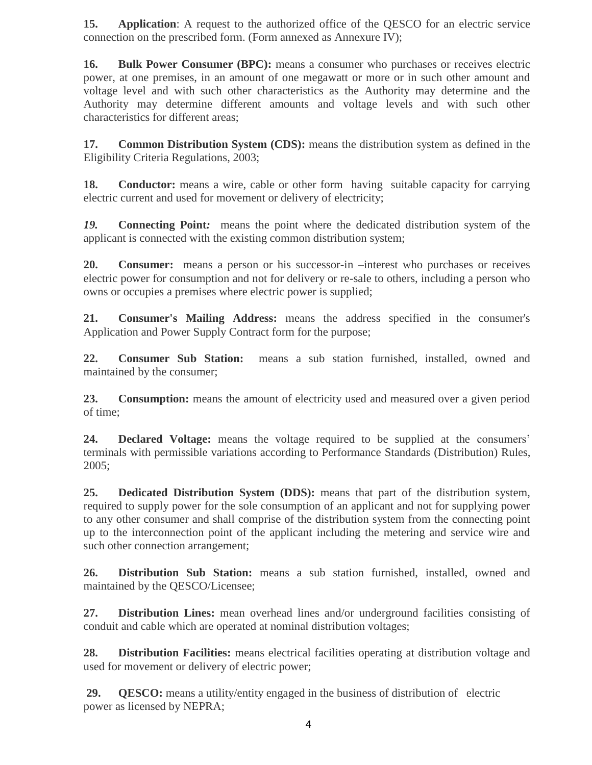**15. Application**: A request to the authorized office of the QESCO for an electric service connection on the prescribed form. (Form annexed as Annexure IV);

**16. Bulk Power Consumer (BPC):** means a consumer who purchases or receives electric power, at one premises, in an amount of one megawatt or more or in such other amount and voltage level and with such other characteristics as the Authority may determine and the Authority may determine different amounts and voltage levels and with such other characteristics for different areas;

**17. Common Distribution System (CDS):** means the distribution system as defined in the Eligibility Criteria Regulations, 2003;

**18. Conductor:** means a wire, cable or other form having suitable capacity for carrying electric current and used for movement or delivery of electricity;

*19.* **Connecting Point***:* means the point where the dedicated distribution system of the applicant is connected with the existing common distribution system;

**20. Consumer:** means a person or his successor-in –interest who purchases or receives electric power for consumption and not for delivery or re-sale to others, including a person who owns or occupies a premises where electric power is supplied;

**21. Consumer's Mailing Address:** means the address specified in the consumer's Application and Power Supply Contract form for the purpose;

**22. Consumer Sub Station:** means a sub station furnished, installed, owned and maintained by the consumer;

**23. Consumption:** means the amount of electricity used and measured over a given period of time;

**24. Declared Voltage:** means the voltage required to be supplied at the consumers' terminals with permissible variations according to Performance Standards (Distribution) Rules, 2005;

**25. Dedicated Distribution System (DDS):** means that part of the distribution system, required to supply power for the sole consumption of an applicant and not for supplying power to any other consumer and shall comprise of the distribution system from the connecting point up to the interconnection point of the applicant including the metering and service wire and such other connection arrangement;

**26. Distribution Sub Station:** means a sub station furnished, installed, owned and maintained by the QESCO/Licensee;

**27. Distribution Lines:** mean overhead lines and/or underground facilities consisting of conduit and cable which are operated at nominal distribution voltages;

**28. Distribution Facilities:** means electrical facilities operating at distribution voltage and used for movement or delivery of electric power;

**29. QESCO:** means a utility/entity engaged in the business of distribution of electric power as licensed by NEPRA;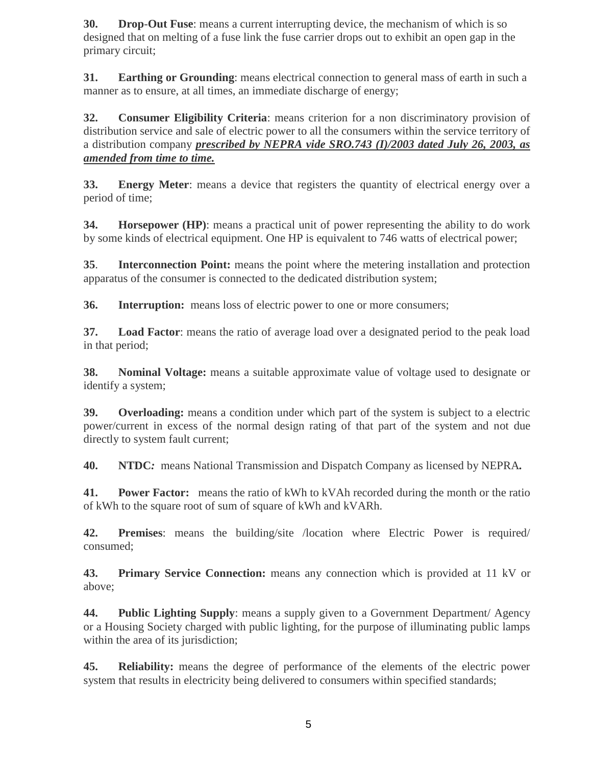**30. Drop**-**Out Fuse**: means a current interrupting device, the mechanism of which is so designed that on melting of a fuse link the fuse carrier drops out to exhibit an open gap in the primary circuit;

**31. Earthing or Grounding**: means electrical connection to general mass of earth in such a manner as to ensure, at all times, an immediate discharge of energy;

**32. Consumer Eligibility Criteria**: means criterion for a non discriminatory provision of distribution service and sale of electric power to all the consumers within the service territory of a distribution company *prescribed by NEPRA vide SRO.743 (I)/2003 dated July 26, 2003, as amended from time to time.*

**33. Energy Meter**: means a device that registers the quantity of electrical energy over a period of time;

**34. Horsepower (HP)**: means a practical unit of power representing the ability to do work by some kinds of electrical equipment. One HP is equivalent to 746 watts of electrical power;

**35**. **Interconnection Point:** means the point where the metering installation and protection apparatus of the consumer is connected to the dedicated distribution system;

**36. Interruption:** means loss of electric power to one or more consumers;

**37. Load Factor**: means the ratio of average load over a designated period to the peak load in that period;

**38. Nominal Voltage:** means a suitable approximate value of voltage used to designate or identify a system;

**39. Overloading:** means a condition under which part of the system is subject to a electric power/current in excess of the normal design rating of that part of the system and not due directly to system fault current;

**40. NTDC***:* means National Transmission and Dispatch Company as licensed by NEPRA*.*

**41. Power Factor:** means the ratio of kWh to kVAh recorded during the month or the ratio of kWh to the square root of sum of square of kWh and kVARh.

**42. Premises**: means the building/site /location where Electric Power is required/ consumed;

**43. Primary Service Connection:** means any connection which is provided at 11 kV or above;

**44. Public Lighting Supply**: means a supply given to a Government Department/ Agency or a Housing Society charged with public lighting, for the purpose of illuminating public lamps within the area of its jurisdiction;

**45. Reliability:** means the degree of performance of the elements of the electric power system that results in electricity being delivered to consumers within specified standards;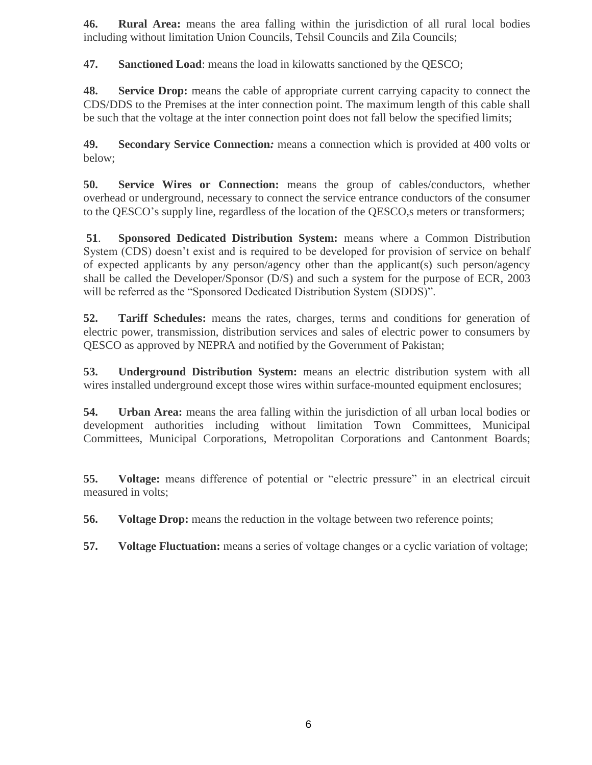**46. Rural Area:** means the area falling within the jurisdiction of all rural local bodies including without limitation Union Councils, Tehsil Councils and Zila Councils;

**47. Sanctioned Load**: means the load in kilowatts sanctioned by the QESCO;

**48. Service Drop:** means the cable of appropriate current carrying capacity to connect the CDS/DDS to the Premises at the inter connection point. The maximum length of this cable shall be such that the voltage at the inter connection point does not fall below the specified limits;

**49. Secondary Service Connection***:* means a connection which is provided at 400 volts or below;

**50. Service Wires or Connection:** means the group of cables/conductors, whether overhead or underground, necessary to connect the service entrance conductors of the consumer to the QESCO's supply line, regardless of the location of the QESCO,s meters or transformers;

**51**. **Sponsored Dedicated Distribution System:** means where a Common Distribution System (CDS) doesn't exist and is required to be developed for provision of service on behalf of expected applicants by any person/agency other than the applicant(s) such person/agency shall be called the Developer/Sponsor (D/S) and such a system for the purpose of ECR, 2003 will be referred as the "Sponsored Dedicated Distribution System (SDDS)".

**52. Tariff Schedules:** means the rates, charges, terms and conditions for generation of electric power, transmission, distribution services and sales of electric power to consumers by QESCO as approved by NEPRA and notified by the Government of Pakistan;

**53. Underground Distribution System:** means an electric distribution system with all wires installed underground except those wires within surface-mounted equipment enclosures;

**54. Urban Area:** means the area falling within the jurisdiction of all urban local bodies or development authorities including without limitation Town Committees, Municipal Committees, Municipal Corporations, Metropolitan Corporations and Cantonment Boards;

**55. Voltage:** means difference of potential or "electric pressure" in an electrical circuit measured in volts;

**56. Voltage Drop:** means the reduction in the voltage between two reference points;

**57. Voltage Fluctuation:** means a series of voltage changes or a cyclic variation of voltage;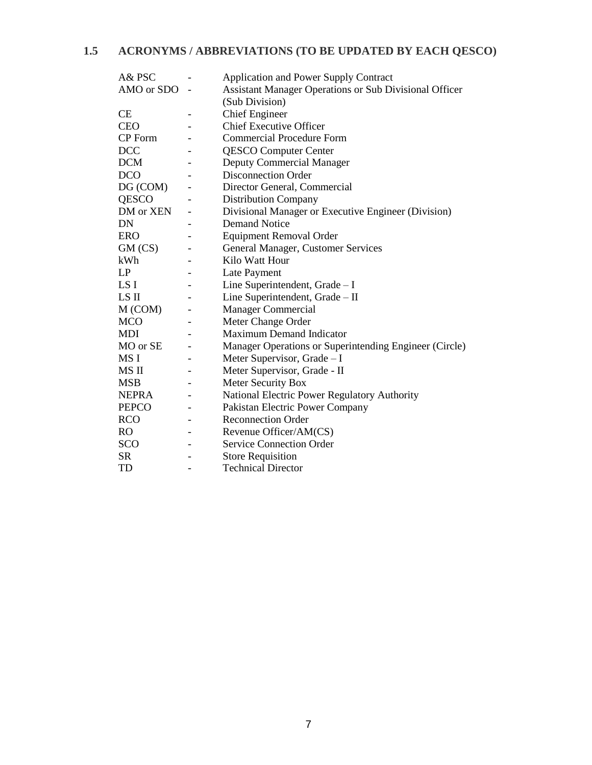## **1.5 ACRONYMS / ABBREVIATIONS (TO BE UPDATED BY EACH QESCO)**

| A& PSC         |                          | <b>Application and Power Supply Contract</b>           |
|----------------|--------------------------|--------------------------------------------------------|
| AMO or SDO     |                          | Assistant Manager Operations or Sub Divisional Officer |
|                |                          | (Sub Division)                                         |
| <b>CE</b>      | $\overline{\phantom{a}}$ | <b>Chief Engineer</b>                                  |
| <b>CEO</b>     |                          | <b>Chief Executive Officer</b>                         |
| <b>CP</b> Form |                          | <b>Commercial Procedure Form</b>                       |
| <b>DCC</b>     |                          | <b>QESCO Computer Center</b>                           |
| <b>DCM</b>     |                          | Deputy Commercial Manager                              |
| <b>DCO</b>     |                          | <b>Disconnection Order</b>                             |
| DG (COM)       |                          | Director General, Commercial                           |
| QESCO          |                          | <b>Distribution Company</b>                            |
| DM or XEN      |                          | Divisional Manager or Executive Engineer (Division)    |
| DN             |                          | <b>Demand Notice</b>                                   |
| <b>ERO</b>     |                          | <b>Equipment Removal Order</b>                         |
| GM (CS)        |                          | General Manager, Customer Services                     |
| kWh            |                          | Kilo Watt Hour                                         |
| LP             |                          | Late Payment                                           |
| LS I           |                          | Line Superintendent, Grade $-I$                        |
| LS II          |                          | Line Superintendent, Grade - II                        |
| M (COM)        |                          | Manager Commercial                                     |
| <b>MCO</b>     |                          | Meter Change Order                                     |
| <b>MDI</b>     |                          | <b>Maximum Demand Indicator</b>                        |
| MO or SE       | $\overline{\phantom{a}}$ | Manager Operations or Superintending Engineer (Circle) |
| MS I           | $\overline{\phantom{0}}$ | Meter Supervisor, Grade - I                            |
| MS II          |                          | Meter Supervisor, Grade - II                           |
| <b>MSB</b>     | $\overline{\phantom{0}}$ | Meter Security Box                                     |
| <b>NEPRA</b>   |                          | National Electric Power Regulatory Authority           |
| <b>PEPCO</b>   |                          | Pakistan Electric Power Company                        |
| <b>RCO</b>     |                          | <b>Reconnection Order</b>                              |
| <b>RO</b>      |                          | Revenue Officer/AM(CS)                                 |
| SCO            | ۳                        | <b>Service Connection Order</b>                        |
| <b>SR</b>      |                          | <b>Store Requisition</b>                               |
| TD             |                          | <b>Technical Director</b>                              |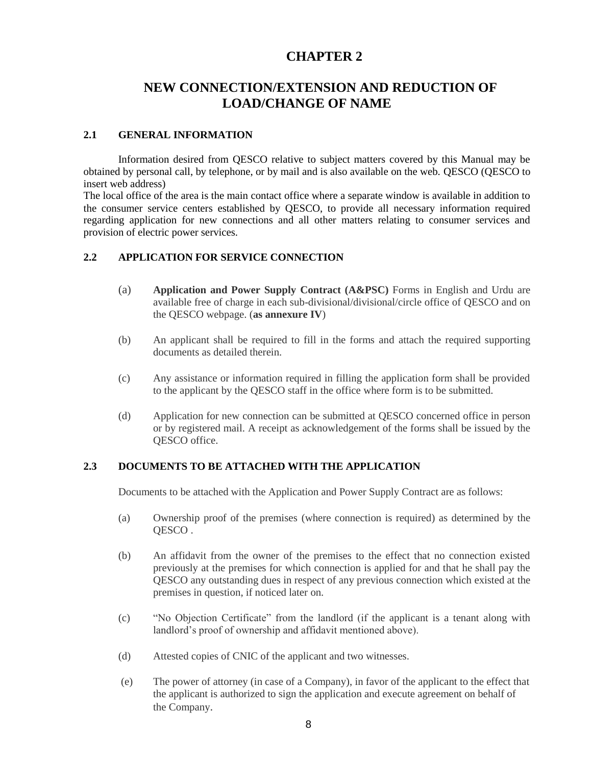## **NEW CONNECTION/EXTENSION AND REDUCTION OF LOAD/CHANGE OF NAME**

#### **2.1 GENERAL INFORMATION**

Information desired from QESCO relative to subject matters covered by this Manual may be obtained by personal call, by telephone, or by mail and is also available on the web. QESCO (QESCO to insert web address)

The local office of the area is the main contact office where a separate window is available in addition to the consumer service centers established by QESCO, to provide all necessary information required regarding application for new connections and all other matters relating to consumer services and provision of electric power services.

#### **2.2 APPLICATION FOR SERVICE CONNECTION**

- (a) **Application and Power Supply Contract (A&PSC)** Forms in English and Urdu are available free of charge in each sub-divisional/divisional/circle office of QESCO and on the QESCO webpage. (**as annexure IV**)
- (b) An applicant shall be required to fill in the forms and attach the required supporting documents as detailed therein.
- (c) Any assistance or information required in filling the application form shall be provided to the applicant by the QESCO staff in the office where form is to be submitted.
- (d) Application for new connection can be submitted at QESCO concerned office in person or by registered mail. A receipt as acknowledgement of the forms shall be issued by the QESCO office.

#### **2.3 DOCUMENTS TO BE ATTACHED WITH THE APPLICATION**

Documents to be attached with the Application and Power Supply Contract are as follows:

- (a) Ownership proof of the premises (where connection is required) as determined by the QESCO .
- (b) An affidavit from the owner of the premises to the effect that no connection existed previously at the premises for which connection is applied for and that he shall pay the QESCO any outstanding dues in respect of any previous connection which existed at the premises in question, if noticed later on.
- (c) "No Objection Certificate" from the landlord (if the applicant is a tenant along with landlord's proof of ownership and affidavit mentioned above).
- (d) Attested copies of CNIC of the applicant and two witnesses.
- (e) The power of attorney (in case of a Company), in favor of the applicant to the effect that the applicant is authorized to sign the application and execute agreement on behalf of the Company.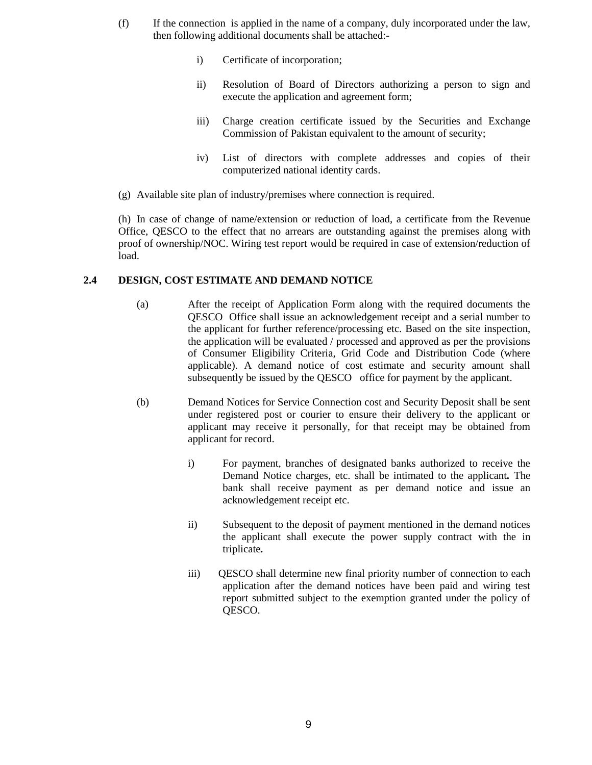- (f) If the connection is applied in the name of a company, duly incorporated under the law, then following additional documents shall be attached:
	- i) Certificate of incorporation;
	- ii) Resolution of Board of Directors authorizing a person to sign and execute the application and agreement form;
	- iii) Charge creation certificate issued by the Securities and Exchange Commission of Pakistan equivalent to the amount of security;
	- iv) List of directors with complete addresses and copies of their computerized national identity cards.
- (g) Available site plan of industry/premises where connection is required.

(h) In case of change of name/extension or reduction of load, a certificate from the Revenue Office, QESCO to the effect that no arrears are outstanding against the premises along with proof of ownership/NOC. Wiring test report would be required in case of extension/reduction of load.

#### **2.4 DESIGN, COST ESTIMATE AND DEMAND NOTICE**

- (a) After the receipt of Application Form along with the required documents the QESCO Office shall issue an acknowledgement receipt and a serial number to the applicant for further reference/processing etc. Based on the site inspection, the application will be evaluated / processed and approved as per the provisions of Consumer Eligibility Criteria, Grid Code and Distribution Code (where applicable). A demand notice of cost estimate and security amount shall subsequently be issued by the QESCO office for payment by the applicant.
- (b) Demand Notices for Service Connection cost and Security Deposit shall be sent under registered post or courier to ensure their delivery to the applicant or applicant may receive it personally, for that receipt may be obtained from applicant for record.
	- i) For payment, branches of designated banks authorized to receive the Demand Notice charges, etc. shall be intimated to the applicant*.* The bank shall receive payment as per demand notice and issue an acknowledgement receipt etc.
	- ii) Subsequent to the deposit of payment mentioned in the demand notices the applicant shall execute the power supply contract with the in triplicate*.*
	- iii) QESCO shall determine new final priority number of connection to each application after the demand notices have been paid and wiring test report submitted subject to the exemption granted under the policy of QESCO.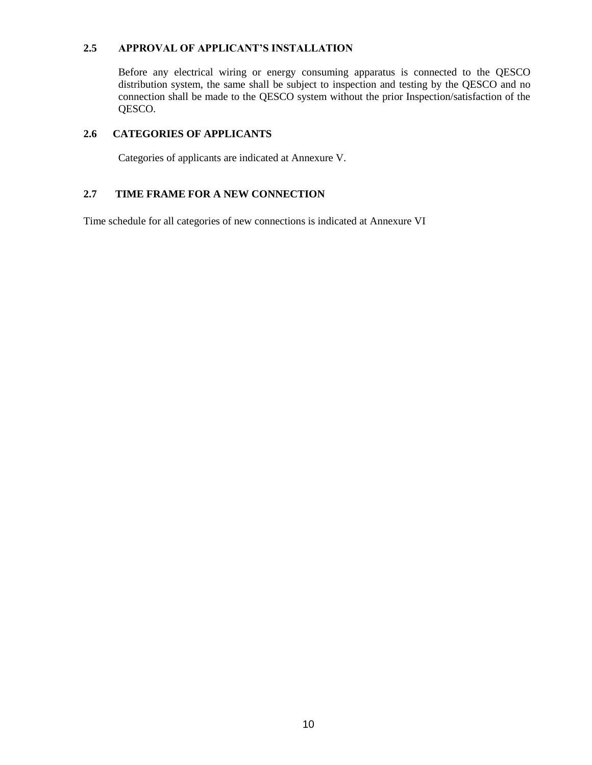#### **2.5 APPROVAL OF APPLICANT'S INSTALLATION**

Before any electrical wiring or energy consuming apparatus is connected to the QESCO distribution system, the same shall be subject to inspection and testing by the QESCO and no connection shall be made to the QESCO system without the prior Inspection/satisfaction of the QESCO.

#### **2.6 CATEGORIES OF APPLICANTS**

Categories of applicants are indicated at Annexure V.

#### **2.7 TIME FRAME FOR A NEW CONNECTION**

Time schedule for all categories of new connections is indicated at Annexure VI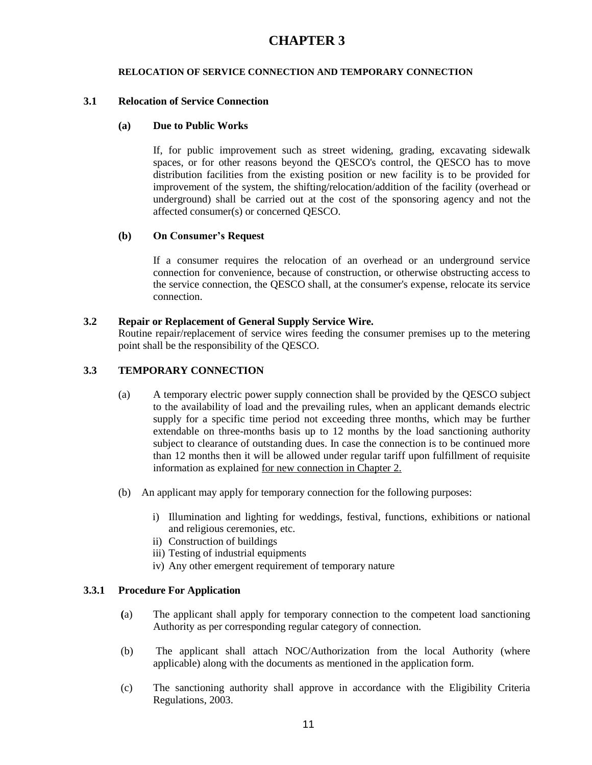#### **RELOCATION OF SERVICE CONNECTION AND TEMPORARY CONNECTION**

#### **3.1 Relocation of Service Connection**

#### **(a) Due to Public Works**

If, for public improvement such as street widening, grading, excavating sidewalk spaces, or for other reasons beyond the QESCO's control, the QESCO has to move distribution facilities from the existing position or new facility is to be provided for improvement of the system, the shifting/relocation/addition of the facility (overhead or underground) shall be carried out at the cost of the sponsoring agency and not the affected consumer(s) or concerned QESCO.

#### **(b) On Consumer's Request**

If a consumer requires the relocation of an overhead or an underground service connection for convenience, because of construction, or otherwise obstructing access to the service connection, the QESCO shall, at the consumer's expense, relocate its service connection.

#### **3.2 Repair or Replacement of General Supply Service Wire.**

Routine repair/replacement of service wires feeding the consumer premises up to the metering point shall be the responsibility of the QESCO.

#### **3.3 TEMPORARY CONNECTION**

- (a) A temporary electric power supply connection shall be provided by the QESCO subject to the availability of load and the prevailing rules, when an applicant demands electric supply for a specific time period not exceeding three months, which may be further extendable on three-months basis up to 12 months by the load sanctioning authority subject to clearance of outstanding dues. In case the connection is to be continued more than 12 months then it will be allowed under regular tariff upon fulfillment of requisite information as explained for new connection in Chapter 2.
- (b) An applicant may apply for temporary connection for the following purposes:
	- i) Illumination and lighting for weddings, festival, functions, exhibitions or national and religious ceremonies, etc.
	- ii) Construction of buildings
	- iii) Testing of industrial equipments
	- iv) Any other emergent requirement of temporary nature

#### **3.3.1 Procedure For Application**

- **(**a) The applicant shall apply for temporary connection to the competent load sanctioning Authority as per corresponding regular category of connection.
- (b) The applicant shall attach NOC/Authorization from the local Authority (where applicable) along with the documents as mentioned in the application form.
- (c) The sanctioning authority shall approve in accordance with the Eligibility Criteria Regulations, 2003.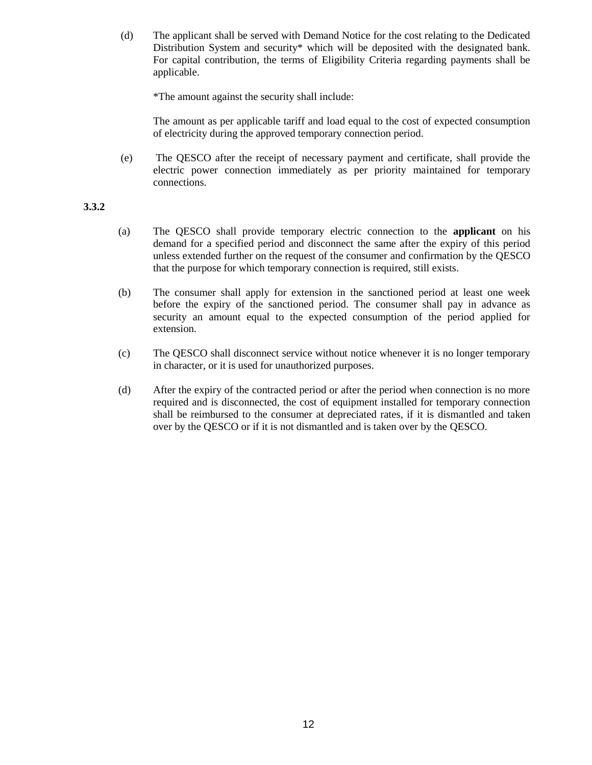(d) The applicant shall be served with Demand Notice for the cost relating to the Dedicated Distribution System and security\* which will be deposited with the designated bank. For capital contribution, the terms of Eligibility Criteria regarding payments shall be applicable.

\*The amount against the security shall include:

The amount as per applicable tariff and load equal to the cost of expected consumption of electricity during the approved temporary connection period.

(e) The QESCO after the receipt of necessary payment and certificate, shall provide the electric power connection immediately as per priority maintained for temporary connections.

#### **3.3.2**

- (a) The QESCO shall provide temporary electric connection to the **applicant** on his demand for a specified period and disconnect the same after the expiry of this period unless extended further on the request of the consumer and confirmation by the QESCO that the purpose for which temporary connection is required, still exists.
- (b) The consumer shall apply for extension in the sanctioned period at least one week before the expiry of the sanctioned period. The consumer shall pay in advance as security an amount equal to the expected consumption of the period applied for extension.
- (c) The QESCO shall disconnect service without notice whenever it is no longer temporary in character, or it is used for unauthorized purposes.
- (d) After the expiry of the contracted period or after the period when connection is no more required and is disconnected, the cost of equipment installed for temporary connection shall be reimbursed to the consumer at depreciated rates, if it is dismantled and taken over by the QESCO or if it is not dismantled and is taken over by the QESCO.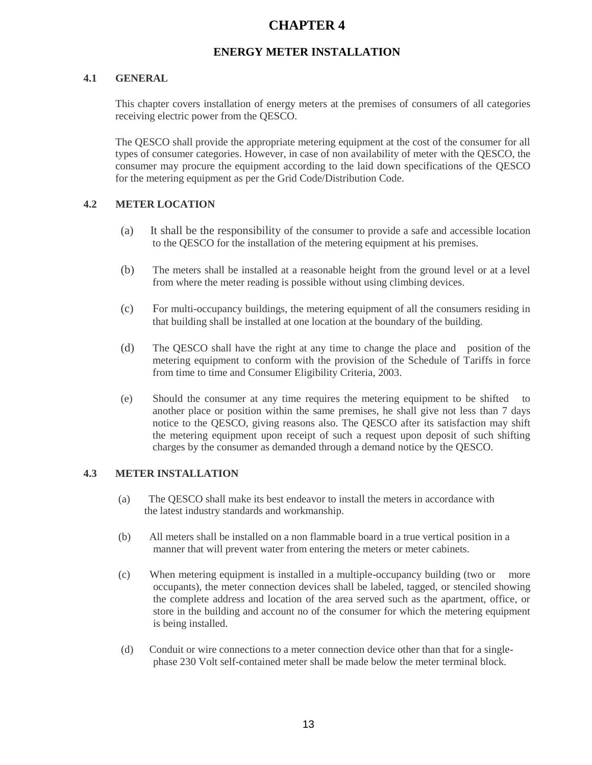#### **ENERGY METER INSTALLATION**

#### **4.1 GENERAL**

This chapter covers installation of energy meters at the premises of consumers of all categories receiving electric power from the QESCO.

The QESCO shall provide the appropriate metering equipment at the cost of the consumer for all types of consumer categories. However, in case of non availability of meter with the QESCO, the consumer may procure the equipment according to the laid down specifications of the QESCO for the metering equipment as per the Grid Code/Distribution Code.

#### **4.2 METER LOCATION**

- (a) It shall be the responsibility of the consumer to provide a safe and accessible location to the QESCO for the installation of the metering equipment at his premises.
- (b) The meters shall be installed at a reasonable height from the ground level or at a level from where the meter reading is possible without using climbing devices.
- (c) For multi-occupancy buildings, the metering equipment of all the consumers residing in that building shall be installed at one location at the boundary of the building.
- (d) The QESCO shall have the right at any time to change the place and position of the metering equipment to conform with the provision of the Schedule of Tariffs in force from time to time and Consumer Eligibility Criteria, 2003.
- (e) Should the consumer at any time requires the metering equipment to be shifted to another place or position within the same premises, he shall give not less than 7 days notice to the QESCO, giving reasons also. The QESCO after its satisfaction may shift the metering equipment upon receipt of such a request upon deposit of such shifting charges by the consumer as demanded through a demand notice by the QESCO.

#### **4.3 METER INSTALLATION**

- (a) The QESCO shall make its best endeavor to install the meters in accordance with the latest industry standards and workmanship.
- (b) All meters shall be installed on a non flammable board in a true vertical position in a manner that will prevent water from entering the meters or meter cabinets.
- (c) When metering equipment is installed in a multiple-occupancy building (two or more occupants), the meter connection devices shall be labeled, tagged, or stenciled showing the complete address and location of the area served such as the apartment, office, or store in the building and account no of the consumer for which the metering equipment is being installed.
- (d) Conduit or wire connections to a meter connection device other than that for a singlephase 230 Volt self-contained meter shall be made below the meter terminal block.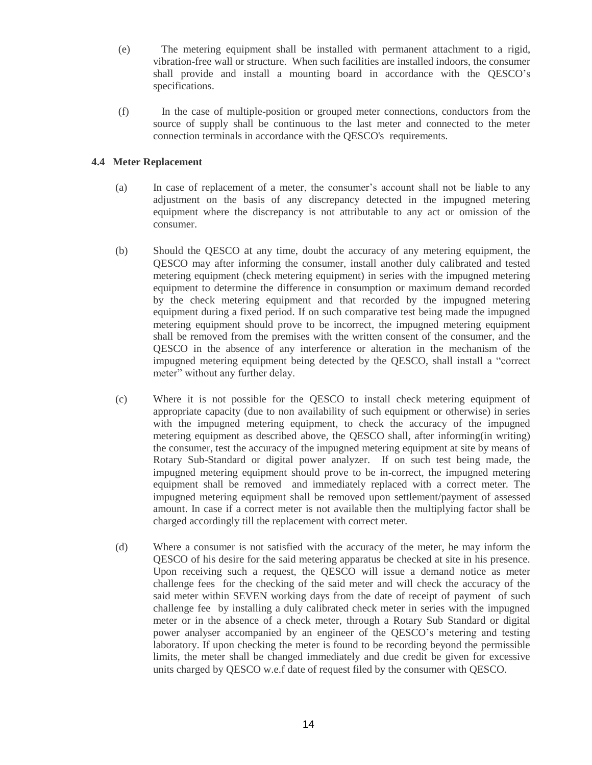- (e) The metering equipment shall be installed with permanent attachment to a rigid, vibration-free wall or structure. When such facilities are installed indoors, the consumer shall provide and install a mounting board in accordance with the QESCO's specifications.
- (f) In the case of multiple-position or grouped meter connections, conductors from the source of supply shall be continuous to the last meter and connected to the meter connection terminals in accordance with the QESCO's requirements.

#### **4.4 Meter Replacement**

- (a) In case of replacement of a meter, the consumer's account shall not be liable to any adjustment on the basis of any discrepancy detected in the impugned metering equipment where the discrepancy is not attributable to any act or omission of the consumer.
- (b) Should the QESCO at any time, doubt the accuracy of any metering equipment, the QESCO may after informing the consumer, install another duly calibrated and tested metering equipment (check metering equipment) in series with the impugned metering equipment to determine the difference in consumption or maximum demand recorded by the check metering equipment and that recorded by the impugned metering equipment during a fixed period. If on such comparative test being made the impugned metering equipment should prove to be incorrect, the impugned metering equipment shall be removed from the premises with the written consent of the consumer, and the QESCO in the absence of any interference or alteration in the mechanism of the impugned metering equipment being detected by the QESCO, shall install a "correct meter" without any further delay.
- (c) Where it is not possible for the QESCO to install check metering equipment of appropriate capacity (due to non availability of such equipment or otherwise) in series with the impugned metering equipment, to check the accuracy of the impugned metering equipment as described above, the QESCO shall, after informing(in writing) the consumer, test the accuracy of the impugned metering equipment at site by means of Rotary Sub-Standard or digital power analyzer. If on such test being made, the impugned metering equipment should prove to be in-correct, the impugned metering equipment shall be removed and immediately replaced with a correct meter. The impugned metering equipment shall be removed upon settlement/payment of assessed amount. In case if a correct meter is not available then the multiplying factor shall be charged accordingly till the replacement with correct meter.
- (d) Where a consumer is not satisfied with the accuracy of the meter, he may inform the QESCO of his desire for the said metering apparatus be checked at site in his presence. Upon receiving such a request, the QESCO will issue a demand notice as meter challenge fees for the checking of the said meter and will check the accuracy of the said meter within SEVEN working days from the date of receipt of payment of such challenge fee by installing a duly calibrated check meter in series with the impugned meter or in the absence of a check meter, through a Rotary Sub Standard or digital power analyser accompanied by an engineer of the QESCO's metering and testing laboratory. If upon checking the meter is found to be recording beyond the permissible limits, the meter shall be changed immediately and due credit be given for excessive units charged by QESCO w.e.f date of request filed by the consumer with QESCO.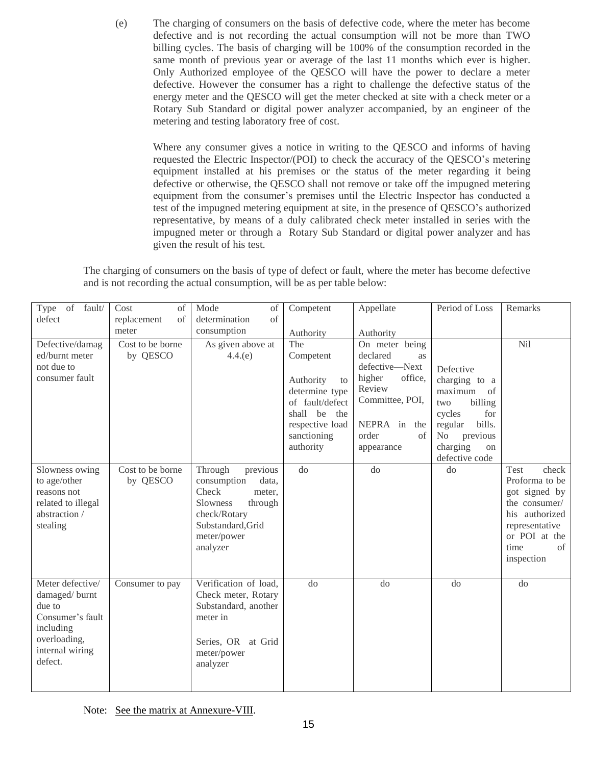(e) The charging of consumers on the basis of defective code, where the meter has become defective and is not recording the actual consumption will not be more than TWO billing cycles. The basis of charging will be 100% of the consumption recorded in the same month of previous year or average of the last 11 months which ever is higher. Only Authorized employee of the QESCO will have the power to declare a meter defective. However the consumer has a right to challenge the defective status of the energy meter and the QESCO will get the meter checked at site with a check meter or a Rotary Sub Standard or digital power analyzer accompanied, by an engineer of the metering and testing laboratory free of cost.

Where any consumer gives a notice in writing to the QESCO and informs of having requested the Electric Inspector/(POI) to check the accuracy of the QESCO's metering equipment installed at his premises or the status of the meter regarding it being defective or otherwise, the QESCO shall not remove or take off the impugned metering equipment from the consumer's premises until the Electric Inspector has conducted a test of the impugned metering equipment at site, in the presence of QESCO's authorized representative, by means of a duly calibrated check meter installed in series with the impugned meter or through a Rotary Sub Standard or digital power analyzer and has given the result of his test.

The charging of consumers on the basis of type of defect or fault, where the meter has become defective and is not recording the actual consumption, will be as per table below:

| Type of fault/<br>defect                                                                                                   | $\sigma$ f<br>Cost<br>of<br>replacement<br>meter | Mode<br>of<br>of<br>determination<br>consumption                                                                                                      | Competent                                                                                                                                            | Appellate                                                                                                                                                              | Period of Loss                                                                                                                                                                | Remarks                                                                                                                                            |
|----------------------------------------------------------------------------------------------------------------------------|--------------------------------------------------|-------------------------------------------------------------------------------------------------------------------------------------------------------|------------------------------------------------------------------------------------------------------------------------------------------------------|------------------------------------------------------------------------------------------------------------------------------------------------------------------------|-------------------------------------------------------------------------------------------------------------------------------------------------------------------------------|----------------------------------------------------------------------------------------------------------------------------------------------------|
| Defective/damag<br>ed/burnt meter<br>not due to<br>consumer fault                                                          | Cost to be borne<br>by QESCO                     | As given above at<br>4.4(e)                                                                                                                           | Authority<br>The<br>Competent<br>Authority<br>to<br>determine type<br>of fault/defect<br>shall be the<br>respective load<br>sanctioning<br>authority | Authority<br>On meter being<br>declared<br>as<br>defective-Next<br>higher<br>office,<br>Review<br>Committee, POI,<br>NEPRA in the<br>order<br>$\sigma$ f<br>appearance | Defective<br>charging to a<br>maximum<br>$\sigma$ f<br>billing<br>two<br>cycles<br>for<br>bills.<br>regular<br>N <sub>o</sub><br>previous<br>charging<br>on<br>defective code | Nil                                                                                                                                                |
| Slowness owing<br>to age/other<br>reasons not<br>related to illegal<br>abstraction /<br>stealing                           | Cost to be borne<br>by QESCO                     | Through<br>previous<br>consumption<br>data,<br>Check<br>meter,<br>Slowness<br>through<br>check/Rotary<br>Substandard, Grid<br>meter/power<br>analyzer | do                                                                                                                                                   | do                                                                                                                                                                     | d <sub>o</sub>                                                                                                                                                                | Test<br>check<br>Proforma to be<br>got signed by<br>the consumer/<br>his authorized<br>representative<br>or POI at the<br>time<br>of<br>inspection |
| Meter defective/<br>damaged/burnt<br>due to<br>Consumer's fault<br>including<br>overloading,<br>internal wiring<br>defect. | Consumer to pay                                  | Verification of load,<br>Check meter, Rotary<br>Substandard, another<br>meter in<br>Series, OR at Grid<br>meter/power<br>analyzer                     | do                                                                                                                                                   | do                                                                                                                                                                     | do                                                                                                                                                                            | do                                                                                                                                                 |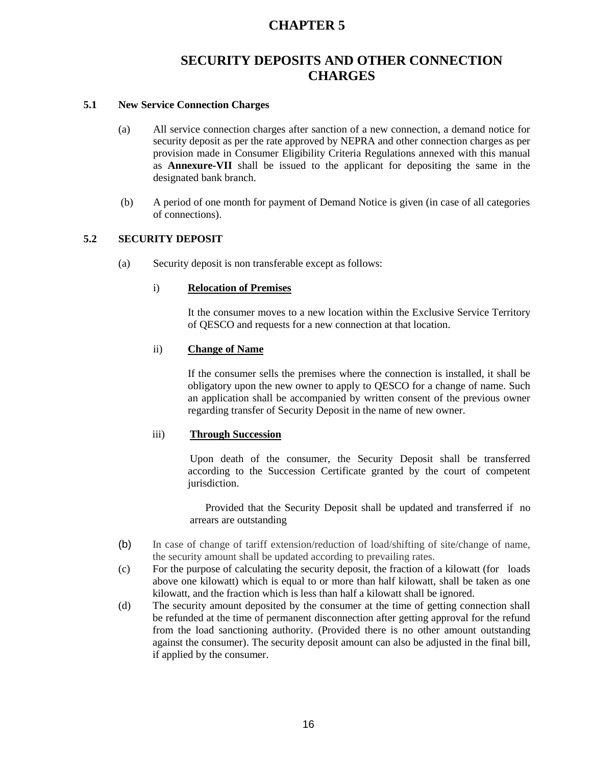## **SECURITY DEPOSITS AND OTHER CONNECTION CHARGES**

#### **5.1 New Service Connection Charges**

- (a) All service connection charges after sanction of a new connection, a demand notice for security deposit as per the rate approved by NEPRA and other connection charges as per provision made in Consumer Eligibility Criteria Regulations annexed with this manual as **Annexure-VII** shall be issued to the applicant for depositing the same in the designated bank branch.
- (b) A period of one month for payment of Demand Notice is given (in case of all categories of connections).

#### **5.2 SECURITY DEPOSIT**

(a) Security deposit is non transferable except as follows:

#### i) **Relocation of Premises**

It the consumer moves to a new location within the Exclusive Service Territory of QESCO and requests for a new connection at that location.

#### ii) **Change of Name**

If the consumer sells the premises where the connection is installed, it shall be obligatory upon the new owner to apply to QESCO for a change of name. Such an application shall be accompanied by written consent of the previous owner regarding transfer of Security Deposit in the name of new owner.

#### iii) **Through Succession**

Upon death of the consumer, the Security Deposit shall be transferred according to the Succession Certificate granted by the court of competent jurisdiction.

Provided that the Security Deposit shall be updated and transferred if no arrears are outstanding

- (b) In case of change of tariff extension/reduction of load/shifting of site/change of name, the security amount shall be updated according to prevailing rates.
- (c) For the purpose of calculating the security deposit, the fraction of a kilowatt (for loads above one kilowatt) which is equal to or more than half kilowatt, shall be taken as one kilowatt, and the fraction which is less than half a kilowatt shall be ignored.
- (d) The security amount deposited by the consumer at the time of getting connection shall be refunded at the time of permanent disconnection after getting approval for the refund from the load sanctioning authority. (Provided there is no other amount outstanding against the consumer). The security deposit amount can also be adjusted in the final bill, if applied by the consumer.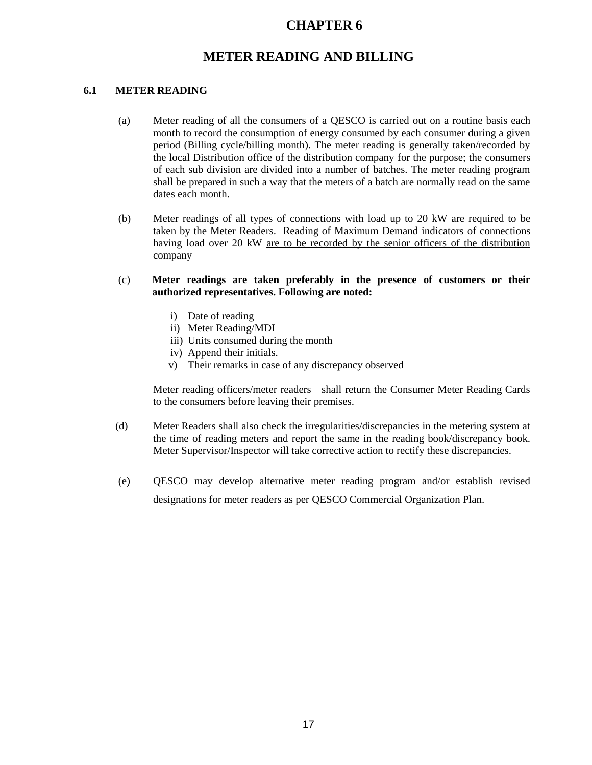## **METER READING AND BILLING**

#### **6.1 METER READING**

- (a) Meter reading of all the consumers of a QESCO is carried out on a routine basis each month to record the consumption of energy consumed by each consumer during a given period (Billing cycle/billing month). The meter reading is generally taken/recorded by the local Distribution office of the distribution company for the purpose; the consumers of each sub division are divided into a number of batches. The meter reading program shall be prepared in such a way that the meters of a batch are normally read on the same dates each month.
- (b) Meter readings of all types of connections with load up to 20 kW are required to be taken by the Meter Readers. Reading of Maximum Demand indicators of connections having load over 20 kW are to be recorded by the senior officers of the distribution company
- (c) **Meter readings are taken preferably in the presence of customers or their authorized representatives. Following are noted:**
	- i) Date of reading
	- ii) Meter Reading/MDI
	- iii) Units consumed during the month
	- iv) Append their initials.
	- v) Their remarks in case of any discrepancy observed

Meter reading officers/meter readers shall return the Consumer Meter Reading Cards to the consumers before leaving their premises.

- (d) Meter Readers shall also check the irregularities/discrepancies in the metering system at the time of reading meters and report the same in the reading book/discrepancy book. Meter Supervisor/Inspector will take corrective action to rectify these discrepancies.
- (e) QESCO may develop alternative meter reading program and/or establish revised designations for meter readers as per QESCO Commercial Organization Plan.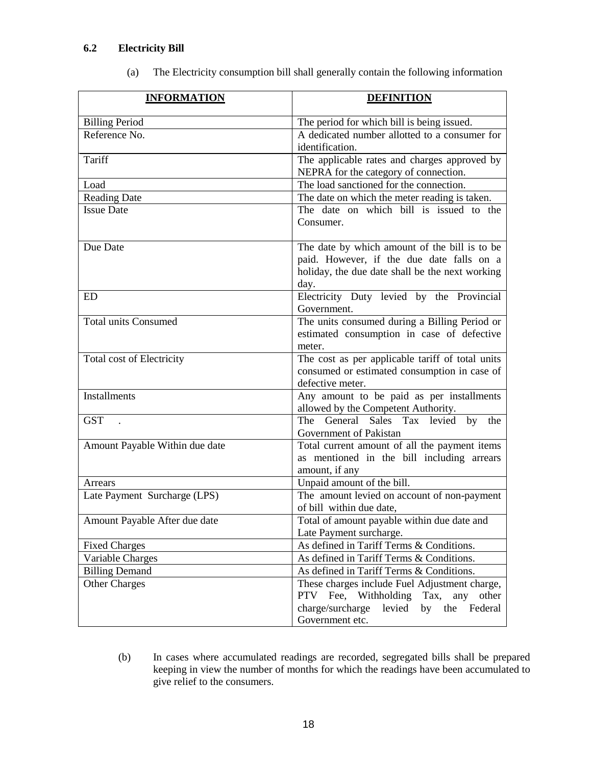#### **6.2 Electricity Bill**

| (a) | The Electricity consumption bill shall generally contain the following information |  |  |  |
|-----|------------------------------------------------------------------------------------|--|--|--|
|     |                                                                                    |  |  |  |
|     |                                                                                    |  |  |  |

| <b>INFORMATION</b>             | <b>DEFINITION</b>                                                                           |
|--------------------------------|---------------------------------------------------------------------------------------------|
| <b>Billing Period</b>          | The period for which bill is being issued.                                                  |
| Reference No.                  | A dedicated number allotted to a consumer for                                               |
|                                | identification.                                                                             |
| Tariff                         | The applicable rates and charges approved by                                                |
|                                | NEPRA for the category of connection.                                                       |
| Load                           | The load sanctioned for the connection.                                                     |
| <b>Reading Date</b>            | The date on which the meter reading is taken.                                               |
| <b>Issue Date</b>              | The date on which bill is issued to the                                                     |
|                                | Consumer.                                                                                   |
| Due Date                       | The date by which amount of the bill is to be                                               |
|                                | paid. However, if the due date falls on a                                                   |
|                                | holiday, the due date shall be the next working                                             |
|                                | day.                                                                                        |
| <b>ED</b>                      | Electricity Duty levied by the Provincial                                                   |
|                                | Government.                                                                                 |
| <b>Total units Consumed</b>    | The units consumed during a Billing Period or                                               |
|                                | estimated consumption in case of defective                                                  |
|                                | meter.                                                                                      |
| Total cost of Electricity      | The cost as per applicable tariff of total units                                            |
|                                | consumed or estimated consumption in case of                                                |
|                                | defective meter.                                                                            |
| Installments                   | Any amount to be paid as per installments                                                   |
|                                | allowed by the Competent Authority.                                                         |
| <b>GST</b>                     | The General Sales Tax levied by<br>the<br>Government of Pakistan                            |
|                                |                                                                                             |
| Amount Payable Within due date | Total current amount of all the payment items<br>as mentioned in the bill including arrears |
|                                | amount, if any                                                                              |
| Arrears                        | Unpaid amount of the bill.                                                                  |
| Late Payment Surcharge (LPS)   | The amount levied on account of non-payment                                                 |
|                                | of bill within due date,                                                                    |
| Amount Payable After due date  | Total of amount payable within due date and                                                 |
|                                | Late Payment surcharge.                                                                     |
| <b>Fixed Charges</b>           | As defined in Tariff Terms & Conditions.                                                    |
| Variable Charges               | As defined in Tariff Terms & Conditions.                                                    |
| <b>Billing Demand</b>          | As defined in Tariff Terms & Conditions.                                                    |
| <b>Other Charges</b>           | These charges include Fuel Adjustment charge,                                               |
|                                | Fee, Withholding<br><b>PTV</b><br>Tax,<br>any<br>other                                      |
|                                | charge/surcharge<br>by<br>the<br>Federal<br>levied                                          |
|                                | Government etc.                                                                             |

(b) In cases where accumulated readings are recorded, segregated bills shall be prepared keeping in view the number of months for which the readings have been accumulated to give relief to the consumers.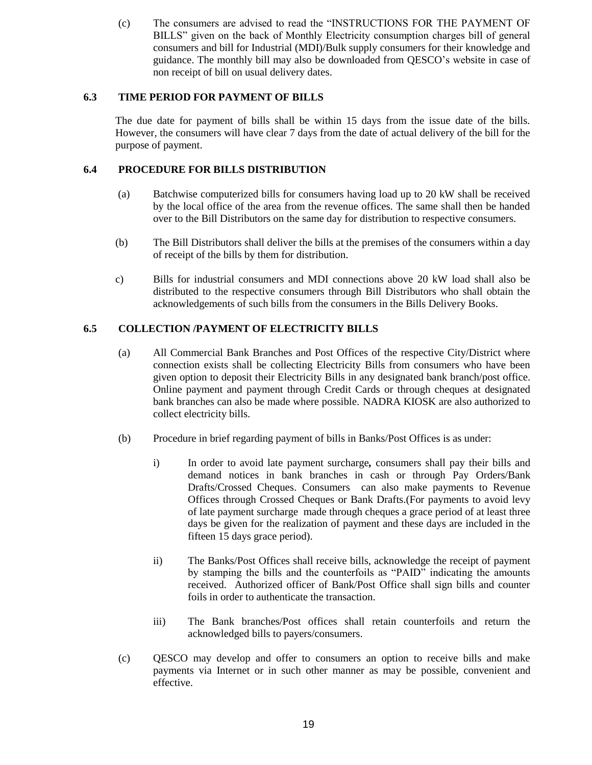(c) The consumers are advised to read the "INSTRUCTIONS FOR THE PAYMENT OF BILLS" given on the back of Monthly Electricity consumption charges bill of general consumers and bill for Industrial (MDI)/Bulk supply consumers for their knowledge and guidance. The monthly bill may also be downloaded from QESCO's website in case of non receipt of bill on usual delivery dates.

#### **6.3 TIME PERIOD FOR PAYMENT OF BILLS**

The due date for payment of bills shall be within 15 days from the issue date of the bills. However, the consumers will have clear 7 days from the date of actual delivery of the bill for the purpose of payment.

#### **6.4 PROCEDURE FOR BILLS DISTRIBUTION**

- (a) Batchwise computerized bills for consumers having load up to 20 kW shall be received by the local office of the area from the revenue offices. The same shall then be handed over to the Bill Distributors on the same day for distribution to respective consumers.
- (b) The Bill Distributors shall deliver the bills at the premises of the consumers within a day of receipt of the bills by them for distribution.
- c) Bills for industrial consumers and MDI connections above 20 kW load shall also be distributed to the respective consumers through Bill Distributors who shall obtain the acknowledgements of such bills from the consumers in the Bills Delivery Books.

#### **6.5 COLLECTION /PAYMENT OF ELECTRICITY BILLS**

- (a) All Commercial Bank Branches and Post Offices of the respective City/District where connection exists shall be collecting Electricity Bills from consumers who have been given option to deposit their Electricity Bills in any designated bank branch/post office. Online payment and payment through Credit Cards or through cheques at designated bank branches can also be made where possible. NADRA KIOSK are also authorized to collect electricity bills.
- (b) Procedure in brief regarding payment of bills in Banks/Post Offices is as under:
	- i) In order to avoid late payment surcharge*,* consumers shall pay their bills and demand notices in bank branches in cash or through Pay Orders/Bank Drafts/Crossed Cheques. Consumers can also make payments to Revenue Offices through Crossed Cheques or Bank Drafts.(For payments to avoid levy of late payment surchargemade through cheques a grace period of at least three days be given for the realization of payment and these days are included in the fifteen 15 days grace period).
	- ii) The Banks/Post Offices shall receive bills, acknowledge the receipt of payment by stamping the bills and the counterfoils as "PAID" indicating the amounts received. Authorized officer of Bank/Post Office shall sign bills and counter foils in order to authenticate the transaction.
	- iii) The Bank branches/Post offices shall retain counterfoils and return the acknowledged bills to payers/consumers.
- (c) QESCO may develop and offer to consumers an option to receive bills and make payments via Internet or in such other manner as may be possible, convenient and effective.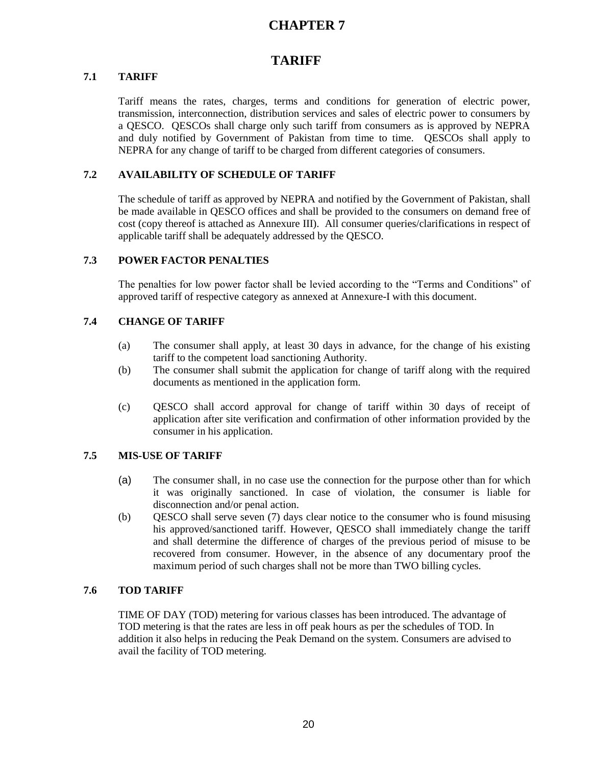## **TARIFF**

#### **7.1 TARIFF**

Tariff means the rates, charges, terms and conditions for generation of electric power, transmission, interconnection, distribution services and sales of electric power to consumers by a QESCO. QESCOs shall charge only such tariff from consumers as is approved by NEPRA and duly notified by Government of Pakistan from time to time. QESCOs shall apply to NEPRA for any change of tariff to be charged from different categories of consumers.

#### **7.2 AVAILABILITY OF SCHEDULE OF TARIFF**

The schedule of tariff as approved by NEPRA and notified by the Government of Pakistan, shall be made available in QESCO offices and shall be provided to the consumers on demand free of cost (copy thereof is attached as Annexure III). All consumer queries/clarifications in respect of applicable tariff shall be adequately addressed by the QESCO.

#### **7.3 POWER FACTOR PENALTIES**

The penalties for low power factor shall be levied according to the "Terms and Conditions" of approved tariff of respective category as annexed at Annexure-I with this document.

#### **7.4 CHANGE OF TARIFF**

- (a) The consumer shall apply, at least 30 days in advance, for the change of his existing tariff to the competent load sanctioning Authority.
- (b) The consumer shall submit the application for change of tariff along with the required documents as mentioned in the application form.
- (c) QESCO shall accord approval for change of tariff within 30 days of receipt of application after site verification and confirmation of other information provided by the consumer in his application.

#### **7.5 MIS-USE OF TARIFF**

- (a) The consumer shall, in no case use the connection for the purpose other than for which it was originally sanctioned. In case of violation, the consumer is liable for disconnection and/or penal action.
- (b) QESCO shall serve seven (7) days clear notice to the consumer who is found misusing his approved/sanctioned tariff. However, QESCO shall immediately change the tariff and shall determine the difference of charges of the previous period of misuse to be recovered from consumer. However, in the absence of any documentary proof the maximum period of such charges shall not be more than TWO billing cycles.

#### **7.6 TOD TARIFF**

TIME OF DAY (TOD) metering for various classes has been introduced. The advantage of TOD metering is that the rates are less in off peak hours as per the schedules of TOD. In addition it also helps in reducing the Peak Demand on the system. Consumers are advised to avail the facility of TOD metering.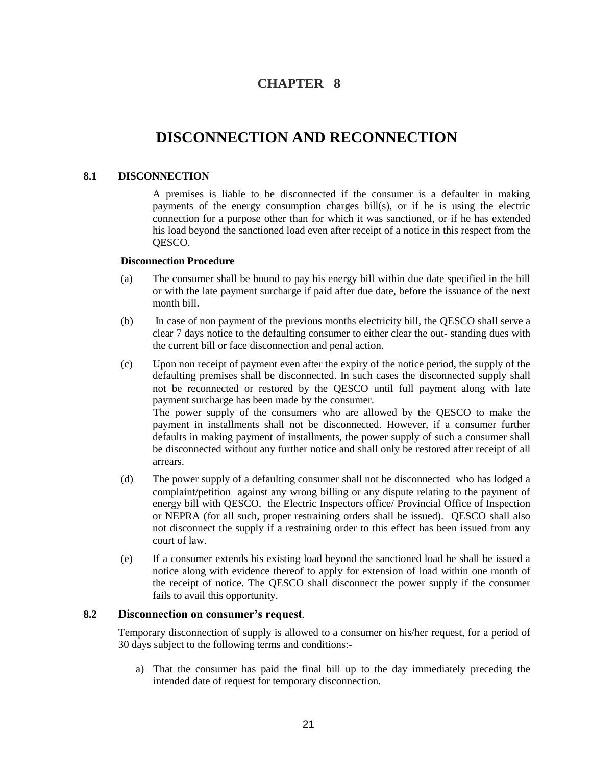## **DISCONNECTION AND RECONNECTION**

#### **8.1 DISCONNECTION**

A premises is liable to be disconnected if the consumer is a defaulter in making payments of the energy consumption charges bill(s), or if he is using the electric connection for a purpose other than for which it was sanctioned, or if he has extended his load beyond the sanctioned load even after receipt of a notice in this respect from the QESCO.

#### **Disconnection Procedure**

- (a) The consumer shall be bound to pay his energy bill within due date specified in the bill or with the late payment surcharge if paid after due date, before the issuance of the next month bill.
- (b) In case of non payment of the previous months electricity bill, the QESCO shall serve a clear 7 days notice to the defaulting consumer to either clear the out- standing dues with the current bill or face disconnection and penal action.
- (c) Upon non receipt of payment even after the expiry of the notice period, the supply of the defaulting premises shall be disconnected. In such cases the disconnected supply shall not be reconnected or restored by the QESCO until full payment along with late payment surcharge has been made by the consumer. The power supply of the consumers who are allowed by the QESCO to make the payment in installments shall not be disconnected. However, if a consumer further defaults in making payment of installments, the power supply of such a consumer shall be disconnected without any further notice and shall only be restored after receipt of all arrears.
- (d) The power supply of a defaulting consumer shall not be disconnected who has lodged a complaint/petition against any wrong billing or any dispute relating to the payment of energy bill with QESCO, the Electric Inspectors office/ Provincial Office of Inspection or NEPRA (for all such, proper restraining orders shall be issued). QESCO shall also not disconnect the supply if a restraining order to this effect has been issued from any court of law.
- (e) If a consumer extends his existing load beyond the sanctioned load he shall be issued a notice along with evidence thereof to apply for extension of load within one month of the receipt of notice. The QESCO shall disconnect the power supply if the consumer fails to avail this opportunity.

#### **8.2 Disconnection on consumer's request.**

Temporary disconnection of supply is allowed to a consumer on his/her request, for a period of 30 days subject to the following terms and conditions:-

a) That the consumer has paid the final bill up to the day immediately preceding the intended date of request for temporary disconnection.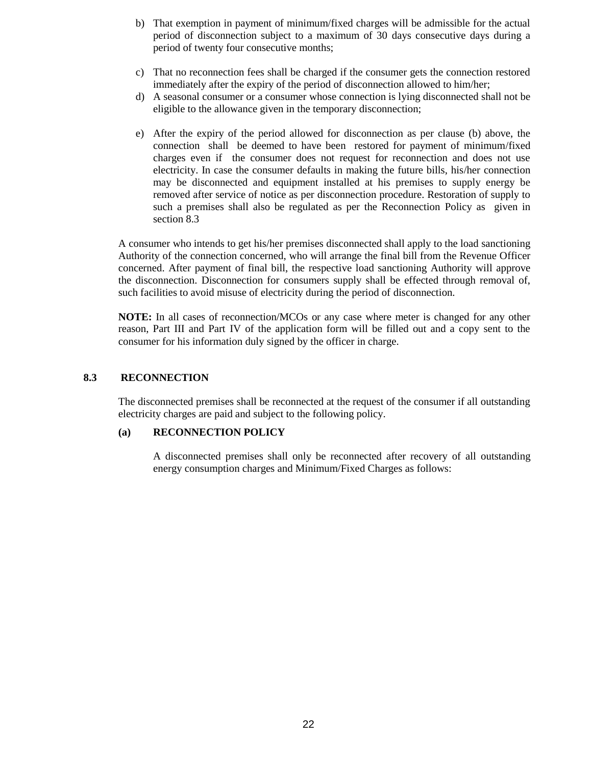- b) That exemption in payment of minimum/fixed charges will be admissible for the actual period of disconnection subject to a maximum of 30 days consecutive days during a period of twenty four consecutive months;
- c) That no reconnection fees shall be charged if the consumer gets the connection restored immediately after the expiry of the period of disconnection allowed to him/her;
- d) A seasonal consumer or a consumer whose connection is lying disconnected shall not be eligible to the allowance given in the temporary disconnection;
- e) After the expiry of the period allowed for disconnection as per clause (b) above, the connection shall be deemed to have been restored for payment of minimum/fixed charges even if the consumer does not request for reconnection and does not use electricity. In case the consumer defaults in making the future bills, his/her connection may be disconnected and equipment installed at his premises to supply energy be removed after service of notice as per disconnection procedure. Restoration of supply to such a premises shall also be regulated as per the Reconnection Policy as given in section 8.3

A consumer who intends to get his/her premises disconnected shall apply to the load sanctioning Authority of the connection concerned, who will arrange the final bill from the Revenue Officer concerned. After payment of final bill, the respective load sanctioning Authority will approve the disconnection. Disconnection for consumers supply shall be effected through removal of, such facilities to avoid misuse of electricity during the period of disconnection.

**NOTE:** In all cases of reconnection/MCOs or any case where meter is changed for any other reason, Part III and Part IV of the application form will be filled out and a copy sent to the consumer for his information duly signed by the officer in charge.

#### **8.3 RECONNECTION**

The disconnected premises shall be reconnected at the request of the consumer if all outstanding electricity charges are paid and subject to the following policy.

#### **(a) RECONNECTION POLICY**

A disconnected premises shall only be reconnected after recovery of all outstanding energy consumption charges and Minimum/Fixed Charges as follows: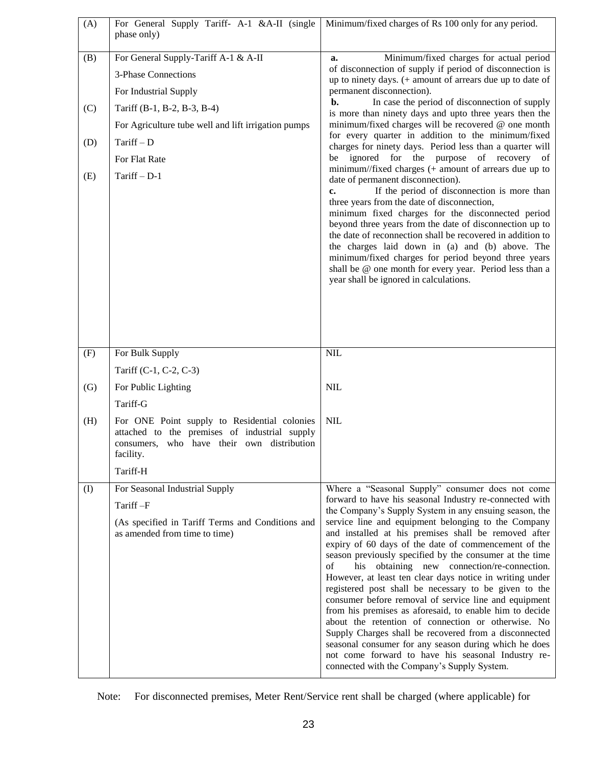| (A) | For General Supply Tariff- A-1 &A-II (single                                                | Minimum/fixed charges of Rs 100 only for any period.                                                                                                       |
|-----|---------------------------------------------------------------------------------------------|------------------------------------------------------------------------------------------------------------------------------------------------------------|
|     | phase only)                                                                                 |                                                                                                                                                            |
| (B) | For General Supply-Tariff A-1 & A-II                                                        | Minimum/fixed charges for actual period<br>a.                                                                                                              |
|     | 3-Phase Connections                                                                         | of disconnection of supply if period of disconnection is<br>up to ninety days. $(+)$ amount of arrears due up to date of                                   |
|     | For Industrial Supply                                                                       | permanent disconnection).                                                                                                                                  |
| (C) | Tariff (B-1, B-2, B-3, B-4)                                                                 | b.<br>In case the period of disconnection of supply<br>is more than ninety days and upto three years then the                                              |
|     | For Agriculture tube well and lift irrigation pumps                                         | minimum/fixed charges will be recovered @ one month                                                                                                        |
| (D) | $Tariff - D$                                                                                | for every quarter in addition to the minimum/fixed<br>charges for ninety days. Period less than a quarter will                                             |
|     | For Flat Rate                                                                               | ignored for the purpose of recovery of<br>be                                                                                                               |
| (E) | $Tariff - D-1$                                                                              | minimum//fixed charges (+ amount of arrears due up to                                                                                                      |
|     |                                                                                             | date of permanent disconnection).<br>If the period of disconnection is more than<br>$c_{\bullet}$                                                          |
|     |                                                                                             | three years from the date of disconnection,<br>minimum fixed charges for the disconnected period                                                           |
|     |                                                                                             | beyond three years from the date of disconnection up to                                                                                                    |
|     |                                                                                             | the date of reconnection shall be recovered in addition to<br>the charges laid down in (a) and (b) above. The                                              |
|     |                                                                                             | minimum/fixed charges for period beyond three years                                                                                                        |
|     |                                                                                             | shall be @ one month for every year. Period less than a<br>year shall be ignored in calculations.                                                          |
|     |                                                                                             |                                                                                                                                                            |
|     |                                                                                             |                                                                                                                                                            |
|     |                                                                                             |                                                                                                                                                            |
|     |                                                                                             |                                                                                                                                                            |
|     |                                                                                             |                                                                                                                                                            |
| (F) | For Bulk Supply                                                                             | <b>NIL</b>                                                                                                                                                 |
|     | Tariff (C-1, C-2, C-3)                                                                      |                                                                                                                                                            |
| (G) | For Public Lighting                                                                         | <b>NIL</b>                                                                                                                                                 |
|     | Tariff-G                                                                                    |                                                                                                                                                            |
| (H) | For ONE Point supply to Residential colonies                                                | $\text{NIL}$                                                                                                                                               |
|     | attached to the premises of industrial supply<br>consumers, who have their own distribution |                                                                                                                                                            |
|     | facility.                                                                                   |                                                                                                                                                            |
|     | Tariff-H                                                                                    |                                                                                                                                                            |
| (I) | For Seasonal Industrial Supply                                                              | Where a "Seasonal Supply" consumer does not come                                                                                                           |
|     | Tariff-F                                                                                    | forward to have his seasonal Industry re-connected with<br>the Company's Supply System in any ensuing season, the                                          |
|     | (As specified in Tariff Terms and Conditions and                                            | service line and equipment belonging to the Company                                                                                                        |
|     | as amended from time to time)                                                               | and installed at his premises shall be removed after<br>expiry of 60 days of the date of commencement of the                                               |
|     |                                                                                             | season previously specified by the consumer at the time                                                                                                    |
|     |                                                                                             | of<br>his obtaining new connection/re-connection.<br>However, at least ten clear days notice in writing under                                              |
|     |                                                                                             | registered post shall be necessary to be given to the                                                                                                      |
|     |                                                                                             | consumer before removal of service line and equipment                                                                                                      |
|     |                                                                                             | from his premises as aforesaid, to enable him to decide<br>about the retention of connection or otherwise. No                                              |
|     |                                                                                             | Supply Charges shall be recovered from a disconnected                                                                                                      |
|     |                                                                                             | seasonal consumer for any season during which he does<br>not come forward to have his seasonal Industry re-<br>connected with the Company's Supply System. |

Note: For disconnected premises, Meter Rent/Service rent shall be charged (where applicable) for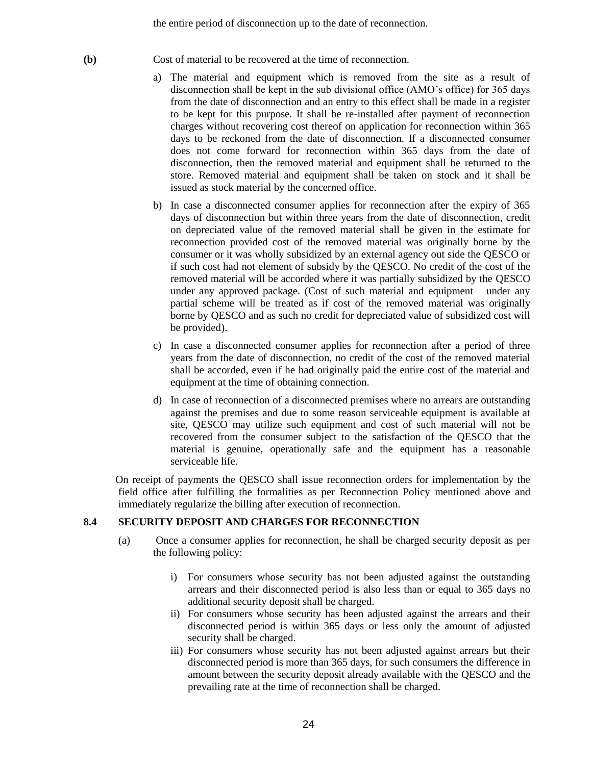the entire period of disconnection up to the date of reconnection.

- **(b)** Cost of material to be recovered at the time of reconnection.
	- a) The material and equipment which is removed from the site as a result of disconnection shall be kept in the sub divisional office (AMO's office) for 365 days from the date of disconnection and an entry to this effect shall be made in a register to be kept for this purpose. It shall be re-installed after payment of reconnection charges without recovering cost thereof on application for reconnection within 365 days to be reckoned from the date of disconnection. If a disconnected consumer does not come forward for reconnection within 365 days from the date of disconnection, then the removed material and equipment shall be returned to the store. Removed material and equipment shall be taken on stock and it shall be issued as stock material by the concerned office.
	- b) In case a disconnected consumer applies for reconnection after the expiry of 365 days of disconnection but within three years from the date of disconnection, credit on depreciated value of the removed material shall be given in the estimate for reconnection provided cost of the removed material was originally borne by the consumer or it was wholly subsidized by an external agency out side the QESCO or if such cost had not element of subsidy by the QESCO. No credit of the cost of the removed material will be accorded where it was partially subsidized by the QESCO under any approved package. (Cost of such material and equipment under any partial scheme will be treated as if cost of the removed material was originally borne by QESCO and as such no credit for depreciated value of subsidized cost will be provided).
	- c) In case a disconnected consumer applies for reconnection after a period of three years from the date of disconnection, no credit of the cost of the removed material shall be accorded, even if he had originally paid the entire cost of the material and equipment at the time of obtaining connection.
	- d) In case of reconnection of a disconnected premises where no arrears are outstanding against the premises and due to some reason serviceable equipment is available at site, QESCO may utilize such equipment and cost of such material will not be recovered from the consumer subject to the satisfaction of the QESCO that the material is genuine, operationally safe and the equipment has a reasonable serviceable life.

 On receipt of payments the QESCO shall issue reconnection orders for implementation by the field office after fulfilling the formalities as per Reconnection Policy mentioned above and immediately regularize the billing after execution of reconnection.

#### **8.4 SECURITY DEPOSIT AND CHARGES FOR RECONNECTION**

- (a) Once a consumer applies for reconnection, he shall be charged security deposit as per the following policy:
	- i) For consumers whose security has not been adjusted against the outstanding arrears and their disconnected period is also less than or equal to 365 days no additional security deposit shall be charged.
	- ii) For consumers whose security has been adjusted against the arrears and their disconnected period is within 365 days or less only the amount of adjusted security shall be charged.
	- iii) For consumers whose security has not been adjusted against arrears but their disconnected period is more than 365 days, for such consumers the difference in amount between the security deposit already available with the QESCO and the prevailing rate at the time of reconnection shall be charged.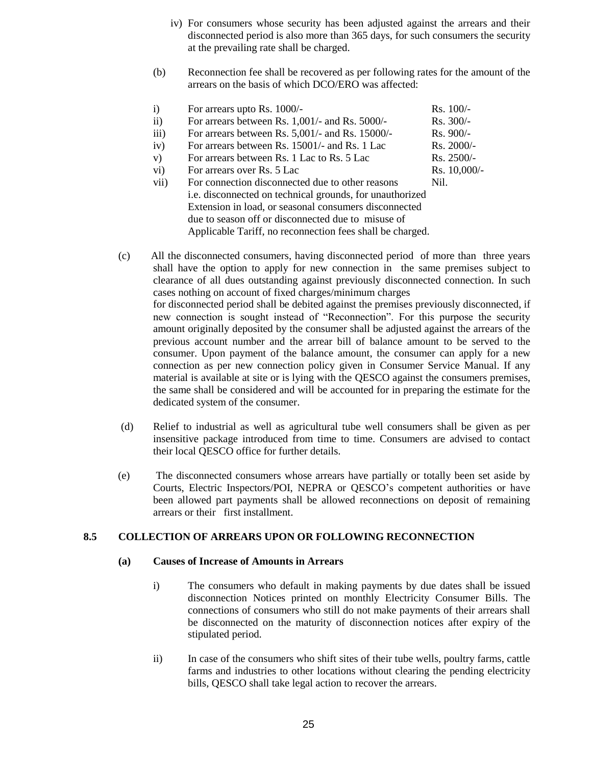- iv) For consumers whose security has been adjusted against the arrears and their disconnected period is also more than 365 days, for such consumers the security at the prevailing rate shall be charged.
- (b) Reconnection fee shall be recovered as per following rates for the amount of the arrears on the basis of which DCO/ERO was affected:

| $\mathbf{i}$      | For arrears upto Rs. 1000/-                               | Rs. 100/-    |
|-------------------|-----------------------------------------------------------|--------------|
| $\mathbf{ii}$     | For arrears between Rs. 1,001/- and Rs. 5000/-            | Rs. 300/-    |
| iii)              | For arrears between Rs. 5,001/- and Rs. 15000/-           | $Rs. 900/-$  |
| iv)               | For arrears between Rs. 15001/- and Rs. 1 Lac             | Rs. 2000/-   |
| V)                | For arrears between Rs. 1 Lac to Rs. 5 Lac                | Rs. 2500/-   |
| $\overline{vi}$ ) | For arrears over Rs. 5 Lac                                | Rs. 10,000/- |
| vii)              | For connection disconnected due to other reasons          | Nil.         |
|                   | i.e. disconnected on technical grounds, for unauthorized  |              |
|                   | Extension in load, or seasonal consumers disconnected     |              |
|                   | due to season off or disconnected due to misuse of        |              |
|                   | Applicable Tariff, no reconnection fees shall be charged. |              |

- (c) All the disconnected consumers, having disconnected period of more than three years shall have the option to apply for new connection in the same premises subject to clearance of all dues outstanding against previously disconnected connection. In such cases nothing on account of fixed charges/minimum charges for disconnected period shall be debited against the premises previously disconnected, if new connection is sought instead of "Reconnection". For this purpose the security amount originally deposited by the consumer shall be adjusted against the arrears of the previous account number and the arrear bill of balance amount to be served to the consumer. Upon payment of the balance amount, the consumer can apply for a new connection as per new connection policy given in Consumer Service Manual. If any material is available at site or is lying with the QESCO against the consumers premises, the same shall be considered and will be accounted for in preparing the estimate for the dedicated system of the consumer.
- (d) Relief to industrial as well as agricultural tube well consumers shall be given as per insensitive package introduced from time to time. Consumers are advised to contact their local QESCO office for further details.
- (e) The disconnected consumers whose arrears have partially or totally been set aside by Courts, Electric Inspectors/POI, NEPRA or QESCO's competent authorities or have been allowed part payments shall be allowed reconnections on deposit of remaining arrears or their first installment.

#### **8.5 COLLECTION OF ARREARS UPON OR FOLLOWING RECONNECTION**

#### **(a) Causes of Increase of Amounts in Arrears**

- i) The consumers who default in making payments by due dates shall be issued disconnection Notices printed on monthly Electricity Consumer Bills. The connections of consumers who still do not make payments of their arrears shall be disconnected on the maturity of disconnection notices after expiry of the stipulated period.
- ii) In case of the consumers who shift sites of their tube wells, poultry farms, cattle farms and industries to other locations without clearing the pending electricity bills, QESCO shall take legal action to recover the arrears.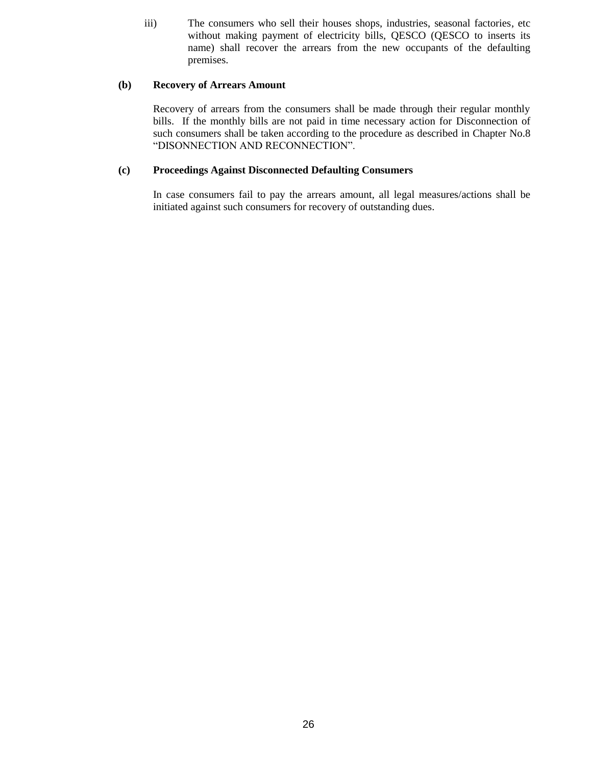iii) The consumers who sell their houses shops, industries, seasonal factories, etc without making payment of electricity bills, QESCO (QESCO to inserts its name) shall recover the arrears from the new occupants of the defaulting premises.

#### **(b) Recovery of Arrears Amount**

Recovery of arrears from the consumers shall be made through their regular monthly bills. If the monthly bills are not paid in time necessary action for Disconnection of such consumers shall be taken according to the procedure as described in Chapter No.8 "DISONNECTION AND RECONNECTION".

#### **(c) Proceedings Against Disconnected Defaulting Consumers**

In case consumers fail to pay the arrears amount, all legal measures/actions shall be initiated against such consumers for recovery of outstanding dues.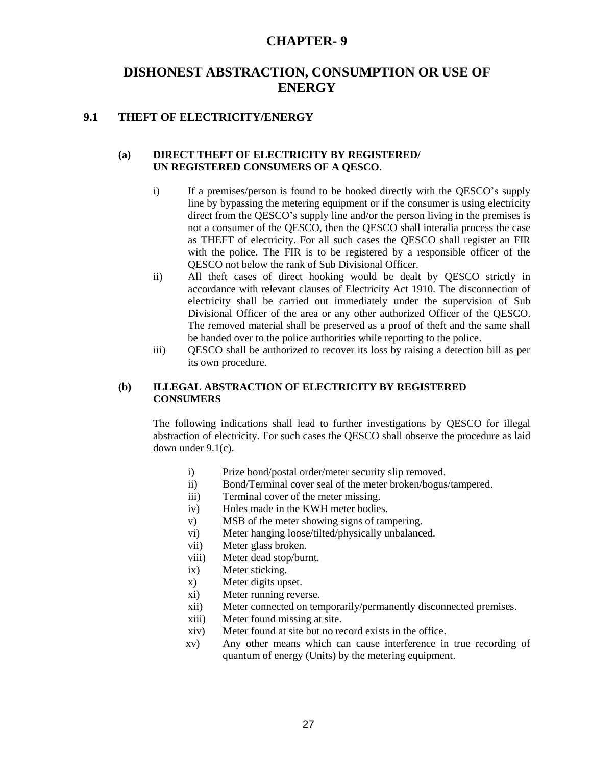## **DISHONEST ABSTRACTION, CONSUMPTION OR USE OF ENERGY**

#### **9.1 THEFT OF ELECTRICITY/ENERGY**

#### **(a) DIRECT THEFT OF ELECTRICITY BY REGISTERED/ UN REGISTERED CONSUMERS OF A QESCO.**

- i) If a premises/person is found to be hooked directly with the QESCO's supply line by bypassing the metering equipment or if the consumer is using electricity direct from the QESCO's supply line and/or the person living in the premises is not a consumer of the QESCO, then the QESCO shall interalia process the case as THEFT of electricity. For all such cases the QESCO shall register an FIR with the police. The FIR is to be registered by a responsible officer of the QESCO not below the rank of Sub Divisional Officer.
- ii) All theft cases of direct hooking would be dealt by QESCO strictly in accordance with relevant clauses of Electricity Act 1910. The disconnection of electricity shall be carried out immediately under the supervision of Sub Divisional Officer of the area or any other authorized Officer of the QESCO. The removed material shall be preserved as a proof of theft and the same shall be handed over to the police authorities while reporting to the police.
- iii) QESCO shall be authorized to recover its loss by raising a detection bill as per its own procedure.

#### **(b) ILLEGAL ABSTRACTION OF ELECTRICITY BY REGISTERED CONSUMERS**

The following indications shall lead to further investigations by QESCO for illegal abstraction of electricity. For such cases the QESCO shall observe the procedure as laid down under 9.1(c).

- i) Prize bond/postal order/meter security slip removed.
- ii) Bond/Terminal cover seal of the meter broken/bogus/tampered.
- iii) Terminal cover of the meter missing.
- iv) Holes made in the KWH meter bodies.
- v) MSB of the meter showing signs of tampering.
- vi) Meter hanging loose/tilted/physically unbalanced.
- vii) Meter glass broken.
- viii) Meter dead stop/burnt.
- ix) Meter sticking.
- x) Meter digits upset.
- xi) Meter running reverse.
- xii) Meter connected on temporarily/permanently disconnected premises.
- xiii) Meter found missing at site.
- xiv) Meter found at site but no record exists in the office.
- xv) Any other means which can cause interference in true recording of quantum of energy (Units) by the metering equipment.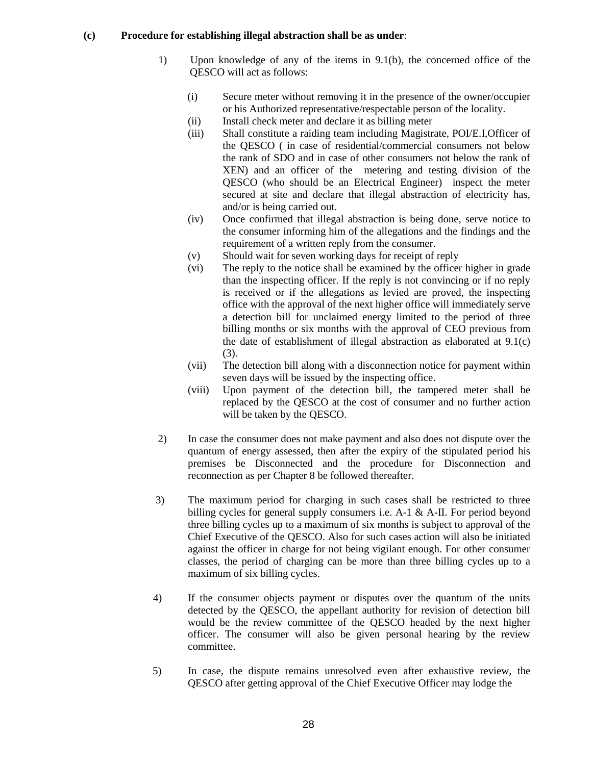#### **(c) Procedure for establishing illegal abstraction shall be as under**:

- 1) Upon knowledge of any of the items in 9.1(b), the concerned office of the QESCO will act as follows:
	- (i) Secure meter without removing it in the presence of the owner/occupier or his Authorized representative/respectable person of the locality.
	- (ii) Install check meter and declare it as billing meter
	- (iii) Shall constitute a raiding team including Magistrate, POI/E.I,Officer of the QESCO ( in case of residential/commercial consumers not below the rank of SDO and in case of other consumers not below the rank of XEN) and an officer of the metering and testing division of the QESCO (who should be an Electrical Engineer) inspect the meter secured at site and declare that illegal abstraction of electricity has, and/or is being carried out.
	- (iv) Once confirmed that illegal abstraction is being done, serve notice to the consumer informing him of the allegations and the findings and the requirement of a written reply from the consumer.
	- (v) Should wait for seven working days for receipt of reply
	- (vi) The reply to the notice shall be examined by the officer higher in grade than the inspecting officer. If the reply is not convincing or if no reply is received or if the allegations as levied are proved, the inspecting office with the approval of the next higher office will immediately serve a detection bill for unclaimed energy limited to the period of three billing months or six months with the approval of CEO previous from the date of establishment of illegal abstraction as elaborated at 9.1(c) (3).
	- (vii) The detection bill along with a disconnection notice for payment within seven days will be issued by the inspecting office.
	- (viii) Upon payment of the detection bill, the tampered meter shall be replaced by the QESCO at the cost of consumer and no further action will be taken by the QESCO.
- 2) In case the consumer does not make payment and also does not dispute over the quantum of energy assessed, then after the expiry of the stipulated period his premises be Disconnected and the procedure for Disconnection and reconnection as per Chapter 8 be followed thereafter.
- 3) The maximum period for charging in such cases shall be restricted to three billing cycles for general supply consumers i.e. A-1 & A-II. For period beyond three billing cycles up to a maximum of six months is subject to approval of the Chief Executive of the QESCO. Also for such cases action will also be initiated against the officer in charge for not being vigilant enough. For other consumer classes, the period of charging can be more than three billing cycles up to a maximum of six billing cycles.
- 4) If the consumer objects payment or disputes over the quantum of the units detected by the QESCO, the appellant authority for revision of detection bill would be the review committee of the QESCO headed by the next higher officer. The consumer will also be given personal hearing by the review committee.
- 5) In case, the dispute remains unresolved even after exhaustive review, the QESCO after getting approval of the Chief Executive Officer may lodge the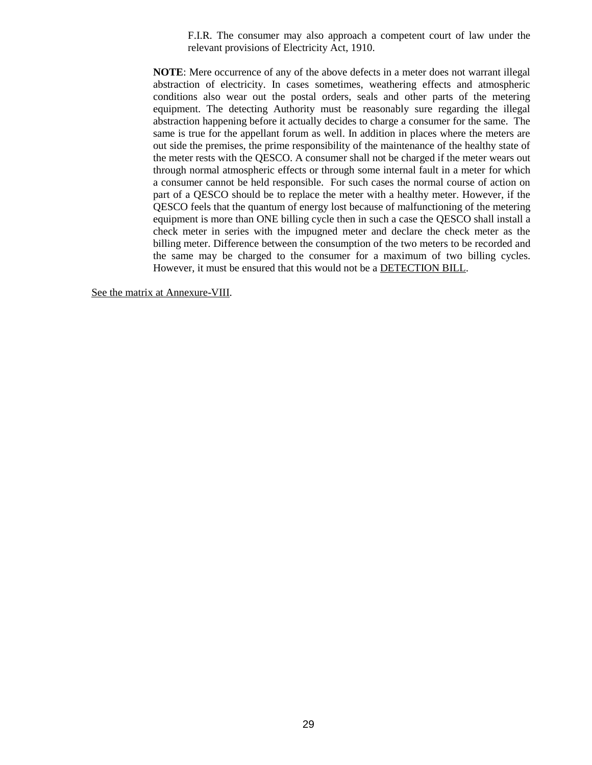F.I.R. The consumer may also approach a competent court of law under the relevant provisions of Electricity Act, 1910.

**NOTE**: Mere occurrence of any of the above defects in a meter does not warrant illegal abstraction of electricity. In cases sometimes, weathering effects and atmospheric conditions also wear out the postal orders, seals and other parts of the metering equipment. The detecting Authority must be reasonably sure regarding the illegal abstraction happening before it actually decides to charge a consumer for the same. The same is true for the appellant forum as well. In addition in places where the meters are out side the premises, the prime responsibility of the maintenance of the healthy state of the meter rests with the QESCO. A consumer shall not be charged if the meter wears out through normal atmospheric effects or through some internal fault in a meter for which a consumer cannot be held responsible. For such cases the normal course of action on part of a QESCO should be to replace the meter with a healthy meter. However, if the QESCO feels that the quantum of energy lost because of malfunctioning of the metering equipment is more than ONE billing cycle then in such a case the QESCO shall install a check meter in series with the impugned meter and declare the check meter as the billing meter. Difference between the consumption of the two meters to be recorded and the same may be charged to the consumer for a maximum of two billing cycles. However, it must be ensured that this would not be a DETECTION BILL.

See the matrix at Annexure-VIII.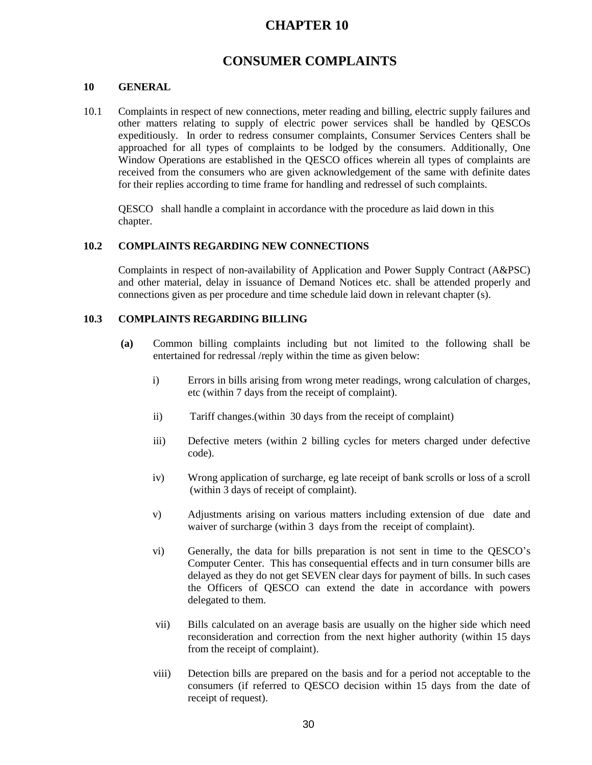## **CONSUMER COMPLAINTS**

#### **10 GENERAL**

10.1 Complaints in respect of new connections, meter reading and billing, electric supply failures and other matters relating to supply of electric power services shall be handled by QESCOs expeditiously. In order to redress consumer complaints, Consumer Services Centers shall be approached for all types of complaints to be lodged by the consumers. Additionally, One Window Operations are established in the QESCO offices wherein all types of complaints are received from the consumers who are given acknowledgement of the same with definite dates for their replies according to time frame for handling and redressel of such complaints.

QESCO shall handle a complaint in accordance with the procedure as laid down in this chapter.

#### **10.2 COMPLAINTS REGARDING NEW CONNECTIONS**

Complaints in respect of non-availability of Application and Power Supply Contract (A&PSC) and other material, delay in issuance of Demand Notices etc. shall be attended properly and connections given as per procedure and time schedule laid down in relevant chapter (s).

#### **10.3 COMPLAINTS REGARDING BILLING**

- **(a)** Common billing complaints including but not limited to the following shall be entertained for redressal /reply within the time as given below:
	- i) Errors in bills arising from wrong meter readings, wrong calculation of charges, etc (within 7 days from the receipt of complaint).
	- ii) Tariff changes.(within 30 days from the receipt of complaint)
	- iii) Defective meters (within 2 billing cycles for meters charged under defective code).
	- iv) Wrong application of surcharge, eg late receipt of bank scrolls or loss of a scroll (within 3 days of receipt of complaint).
	- v) Adjustments arising on various matters including extension of due date and waiver of surcharge (within 3 days from the receipt of complaint).
	- vi) Generally, the data for bills preparation is not sent in time to the QESCO's Computer Center. This has consequential effects and in turn consumer bills are delayed as they do not get SEVEN clear days for payment of bills. In such cases the Officers of QESCO can extend the date in accordance with powers delegated to them.
	- vii) Bills calculated on an average basis are usually on the higher side which need reconsideration and correction from the next higher authority (within 15 days from the receipt of complaint).
	- viii) Detection bills are prepared on the basis and for a period not acceptable to the consumers (if referred to QESCO decision within 15 days from the date of receipt of request).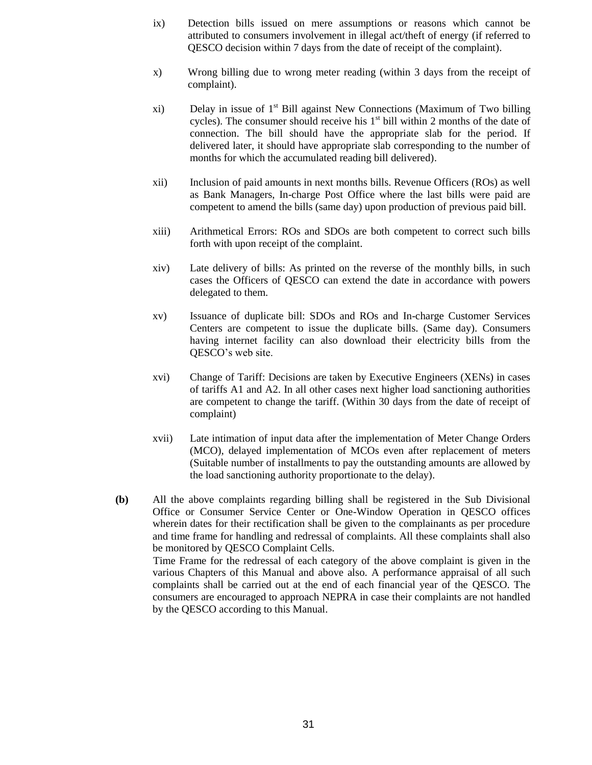- ix) Detection bills issued on mere assumptions or reasons which cannot be attributed to consumers involvement in illegal act/theft of energy (if referred to QESCO decision within 7 days from the date of receipt of the complaint).
- x) Wrong billing due to wrong meter reading (within 3 days from the receipt of complaint).
- xi) Delay in issue of  $1<sup>st</sup>$  Bill against New Connections (Maximum of Two billing cycles). The consumer should receive his  $1<sup>st</sup>$  bill within 2 months of the date of connection. The bill should have the appropriate slab for the period. If delivered later, it should have appropriate slab corresponding to the number of months for which the accumulated reading bill delivered).
- xii) Inclusion of paid amounts in next months bills. Revenue Officers (ROs) as well as Bank Managers, In-charge Post Office where the last bills were paid are competent to amend the bills (same day) upon production of previous paid bill.
- xiii) Arithmetical Errors: ROs and SDOs are both competent to correct such bills forth with upon receipt of the complaint.
- xiv) Late delivery of bills: As printed on the reverse of the monthly bills, in such cases the Officers of QESCO can extend the date in accordance with powers delegated to them.
- xv) Issuance of duplicate bill: SDOs and ROs and In-charge Customer Services Centers are competent to issue the duplicate bills. (Same day). Consumers having internet facility can also download their electricity bills from the QESCO's web site.
- xvi) Change of Tariff: Decisions are taken by Executive Engineers (XENs) in cases of tariffs A1 and A2. In all other cases next higher load sanctioning authorities are competent to change the tariff. (Within 30 days from the date of receipt of complaint)
- xvii) Late intimation of input data after the implementation of Meter Change Orders (MCO), delayed implementation of MCOs even after replacement of meters (Suitable number of installments to pay the outstanding amounts are allowed by the load sanctioning authority proportionate to the delay).
- **(b)** All the above complaints regarding billing shall be registered in the Sub Divisional Office or Consumer Service Center or One-Window Operation in QESCO offices wherein dates for their rectification shall be given to the complainants as per procedure and time frame for handling and redressal of complaints. All these complaints shall also be monitored by QESCO Complaint Cells. Time Frame for the redressal of each category of the above complaint is given in the

various Chapters of this Manual and above also. A performance appraisal of all such complaints shall be carried out at the end of each financial year of the QESCO. The consumers are encouraged to approach NEPRA in case their complaints are not handled by the QESCO according to this Manual.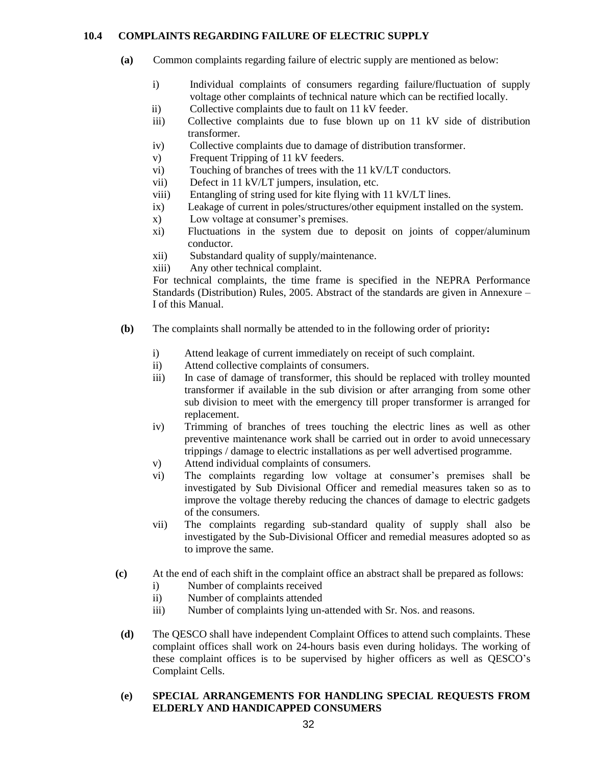#### **10.4 COMPLAINTS REGARDING FAILURE OF ELECTRIC SUPPLY**

- **(a)** Common complaints regarding failure of electric supply are mentioned as below:
	- i) Individual complaints of consumers regarding failure/fluctuation of supply voltage other complaints of technical nature which can be rectified locally.
	- ii) Collective complaints due to fault on 11 kV feeder.
	- iii) Collective complaints due to fuse blown up on 11 kV side of distribution transformer.
	- iv) Collective complaints due to damage of distribution transformer.
	- v) Frequent Tripping of 11 kV feeders.
	- vi) Touching of branches of trees with the 11 kV/LT conductors.
	- vii) Defect in 11 kV/LT jumpers, insulation, etc.
	- viii) Entangling of string used for kite flying with 11 kV/LT lines.
	- ix) Leakage of current in poles/structures/other equipment installed on the system.
	- x) Low voltage at consumer's premises.
	- xi) Fluctuations in the system due to deposit on joints of copper/aluminum conductor.
	- xii) Substandard quality of supply/maintenance.
	- xiii) Any other technical complaint.

For technical complaints, the time frame is specified in the NEPRA Performance Standards (Distribution) Rules, 2005. Abstract of the standards are given in Annexure – I of this Manual.

- **(b)** The complaints shall normally be attended to in the following order of priority**:**
	- i) Attend leakage of current immediately on receipt of such complaint.
	- ii) Attend collective complaints of consumers.
	- iii) In case of damage of transformer, this should be replaced with trolley mounted transformer if available in the sub division or after arranging from some other sub division to meet with the emergency till proper transformer is arranged for replacement.
	- iv) Trimming of branches of trees touching the electric lines as well as other preventive maintenance work shall be carried out in order to avoid unnecessary trippings / damage to electric installations as per well advertised programme.
	- v) Attend individual complaints of consumers.
	- vi) The complaints regarding low voltage at consumer's premises shall be investigated by Sub Divisional Officer and remedial measures taken so as to improve the voltage thereby reducing the chances of damage to electric gadgets of the consumers.
	- vii) The complaints regarding sub-standard quality of supply shall also be investigated by the Sub-Divisional Officer and remedial measures adopted so as to improve the same.
- **(c)** At the end of each shift in the complaint office an abstract shall be prepared as follows:
	- i) Number of complaints received
	- ii) Number of complaints attended
	- iii) Number of complaints lying un-attended with Sr. Nos. and reasons.
- **(d)** The QESCO shall have independent Complaint Offices to attend such complaints. These complaint offices shall work on 24-hours basis even during holidays. The working of these complaint offices is to be supervised by higher officers as well as QESCO's Complaint Cells.

#### **(e) SPECIAL ARRANGEMENTS FOR HANDLING SPECIAL REQUESTS FROM ELDERLY AND HANDICAPPED CONSUMERS**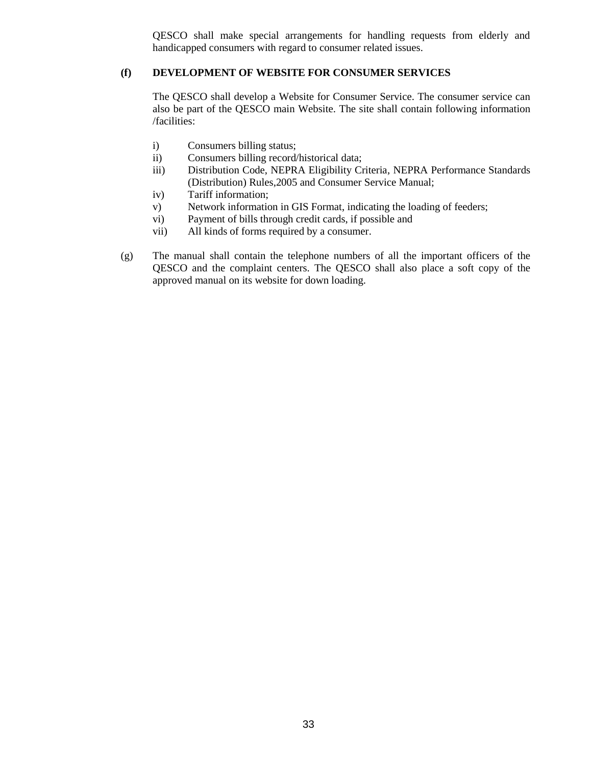QESCO shall make special arrangements for handling requests from elderly and handicapped consumers with regard to consumer related issues.

#### **(f) DEVELOPMENT OF WEBSITE FOR CONSUMER SERVICES**

The QESCO shall develop a Website for Consumer Service. The consumer service can also be part of the QESCO main Website. The site shall contain following information /facilities:

- i) Consumers billing status;
- ii) Consumers billing record/historical data;
- iii) Distribution Code, NEPRA Eligibility Criteria, NEPRA Performance Standards (Distribution) Rules,2005 and Consumer Service Manual;
- iv) Tariff information;
- v) Network information in GIS Format, indicating the loading of feeders;
- vi) Payment of bills through credit cards, if possible and
- vii) All kinds of forms required by a consumer.
- (g) The manual shall contain the telephone numbers of all the important officers of the QESCO and the complaint centers. The QESCO shall also place a soft copy of the approved manual on its website for down loading.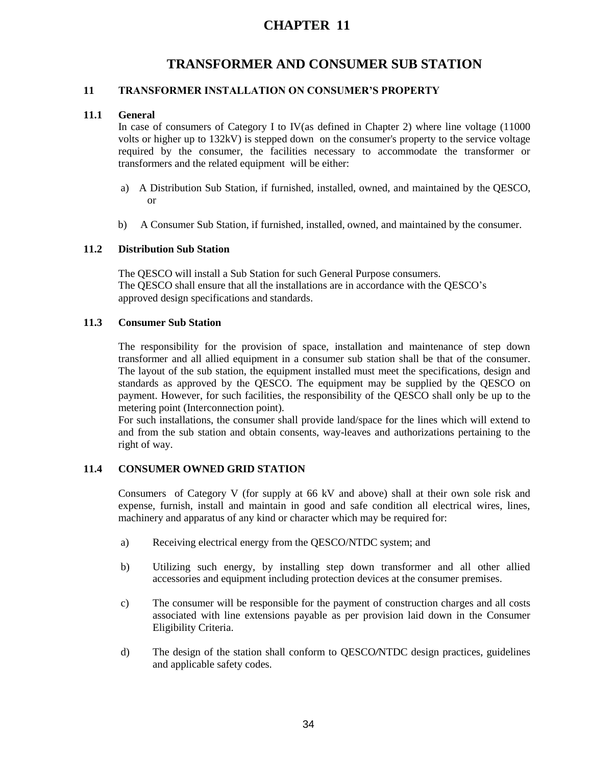## **TRANSFORMER AND CONSUMER SUB STATION**

#### **11 TRANSFORMER INSTALLATION ON CONSUMER'S PROPERTY**

#### **11.1 General**

In case of consumers of Category I to IV(as defined in Chapter 2) where line voltage (11000 volts or higher up to 132kV) is stepped down on the consumer's property to the service voltage required by the consumer, the facilities necessary to accommodate the transformer or transformers and the related equipment will be either:

- a) A Distribution Sub Station, if furnished, installed, owned, and maintained by the QESCO, or
- b) A Consumer Sub Station, if furnished, installed, owned, and maintained by the consumer.

#### **11.2 Distribution Sub Station**

The QESCO will install a Sub Station for such General Purpose consumers. The QESCO shall ensure that all the installations are in accordance with the QESCO's approved design specifications and standards.

#### **11.3 Consumer Sub Station**

The responsibility for the provision of space, installation and maintenance of step down transformer and all allied equipment in a consumer sub station shall be that of the consumer. The layout of the sub station, the equipment installed must meet the specifications, design and standards as approved by the QESCO. The equipment may be supplied by the QESCO on payment. However, for such facilities, the responsibility of the QESCO shall only be up to the metering point (Interconnection point).

For such installations, the consumer shall provide land/space for the lines which will extend to and from the sub station and obtain consents, way-leaves and authorizations pertaining to the right of way.

#### **11.4 CONSUMER OWNED GRID STATION**

Consumers of Category V (for supply at 66 kV and above) shall at their own sole risk and expense, furnish, install and maintain in good and safe condition all electrical wires, lines, machinery and apparatus of any kind or character which may be required for:

- a) Receiving electrical energy from the QESCO/NTDC system; and
- b) Utilizing such energy, by installing step down transformer and all other allied accessories and equipment including protection devices at the consumer premises.
- c) The consumer will be responsible for the payment of construction charges and all costs associated with line extensions payable as per provision laid down in the Consumer Eligibility Criteria.
- d) The design of the station shall conform to QESCO*/*NTDC design practices, guidelines and applicable safety codes.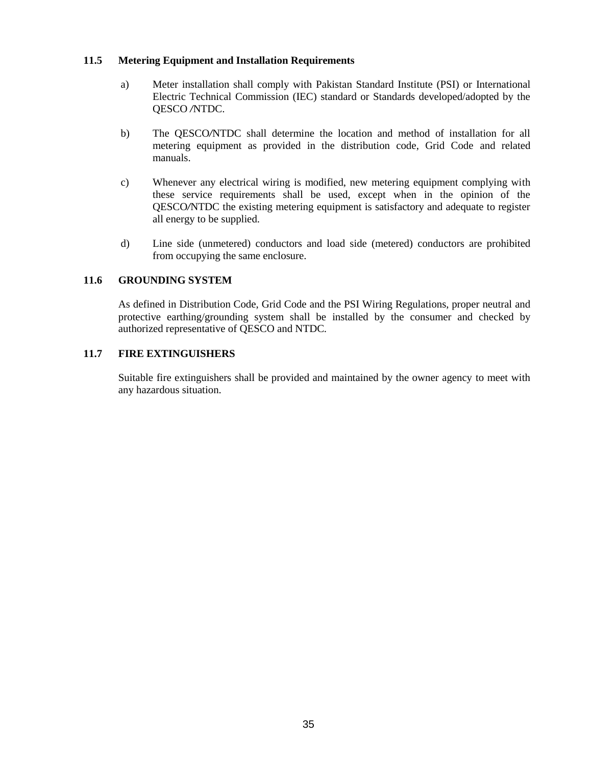#### **11.5 Metering Equipment and Installation Requirements**

- a) Meter installation shall comply with Pakistan Standard Institute (PSI) or International Electric Technical Commission (IEC) standard or Standards developed/adopted by the QESCO */*NTDC.
- b) The QESCO*/*NTDC shall determine the location and method of installation for all metering equipment as provided in the distribution code, Grid Code and related manuals.
- c) Whenever any electrical wiring is modified, new metering equipment complying with these service requirements shall be used, except when in the opinion of the QESCO*/*NTDC the existing metering equipment is satisfactory and adequate to register all energy to be supplied.
- d) Line side (unmetered) conductors and load side (metered) conductors are prohibited from occupying the same enclosure.

#### **11.6 GROUNDING SYSTEM**

As defined in Distribution Code, Grid Code and the PSI Wiring Regulations, proper neutral and protective earthing/grounding system shall be installed by the consumer and checked by authorized representative of QESCO and NTDC*.*

#### **11.7 FIRE EXTINGUISHERS**

Suitable fire extinguishers shall be provided and maintained by the owner agency to meet with any hazardous situation.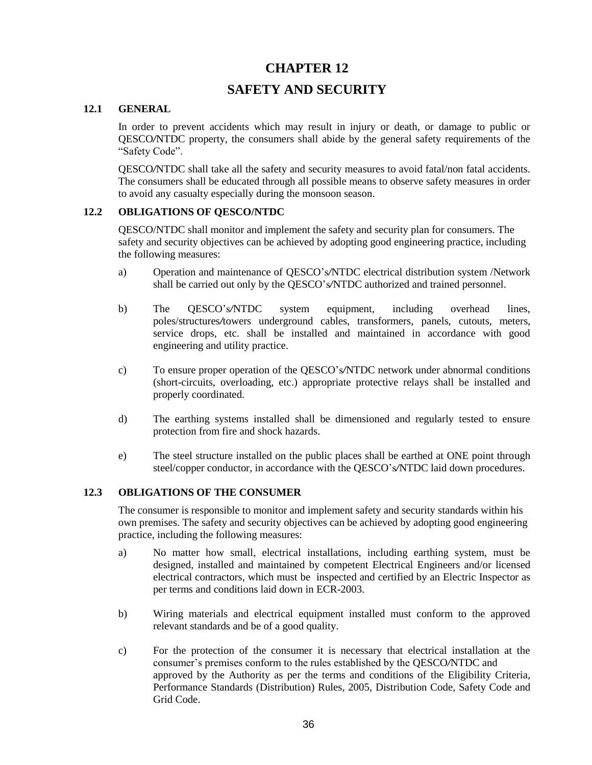## **SAFETY AND SECURITY**

#### **12.1 GENERAL**

In order to prevent accidents which may result in injury or death, or damage to public or QESCO*/*NTDC property, the consumers shall abide by the general safety requirements of the "Safety Code".

QESCO*/*NTDC shall take all the safety and security measures to avoid fatal/non fatal accidents. The consumers shall be educated through all possible means to observe safety measures in order to avoid any casualty especially during the monsoon season.

#### **12.2 OBLIGATIONS OF QESCO/NTDC**

QESCO/NTDC shall monitor and implement the safety and security plan for consumers. The safety and security objectives can be achieved by adopting good engineering practice, including the following measures:

- a) Operation and maintenance of QESCO's*/*NTDC electrical distribution system /Network shall be carried out only by the QESCO's*/*NTDC authorized and trained personnel.
- b) The QESCO's*/*NTDC system equipment, including overhead lines, poles/structures*/*towers underground cables, transformers, panels, cutouts, meters, service drops, etc. shall be installed and maintained in accordance with good engineering and utility practice.
- c) To ensure proper operation of the QESCO's*/*NTDC network under abnormal conditions (short-circuits, overloading, etc.) appropriate protective relays shall be installed and properly coordinated.
- d) The earthing systems installed shall be dimensioned and regularly tested to ensure protection from fire and shock hazards.
- e) The steel structure installed on the public places shall be earthed at ONE point through steel/copper conductor, in accordance with the QESCO's*/*NTDC laid down procedures.

#### **12.3 OBLIGATIONS OF THE CONSUMER**

The consumer is responsible to monitor and implement safety and security standards within his own premises. The safety and security objectives can be achieved by adopting good engineering practice, including the following measures:

- a) No matter how small, electrical installations, including earthing system, must be designed, installed and maintained by competent Electrical Engineers and/or licensed electrical contractors, which must be inspected and certified by an Electric Inspector as per terms and conditions laid down in ECR-2003.
- b) Wiring materials and electrical equipment installed must conform to the approved relevant standards and be of a good quality.
- c) For the protection of the consumer it is necessary that electrical installation at the consumer's premises conform to the rules established by the QESCO*/*NTDC and approved by the Authority as per the terms and conditions of the Eligibility Criteria, Performance Standards (Distribution) Rules, 2005, Distribution Code, Safety Code and Grid Code.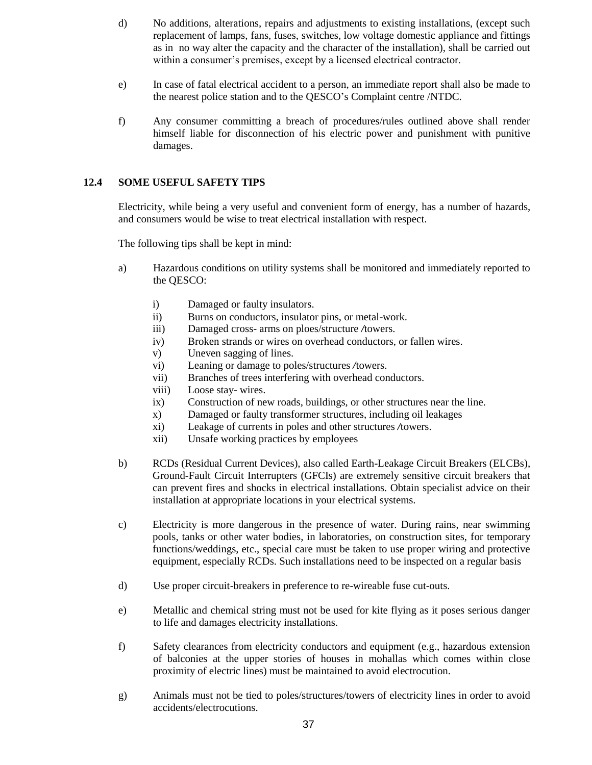- d) No additions, alterations, repairs and adjustments to existing installations, (except such replacement of lamps, fans, fuses, switches, low voltage domestic appliance and fittings as in no way alter the capacity and the character of the installation), shall be carried out within a consumer's premises, except by a licensed electrical contractor.
- e) In case of fatal electrical accident to a person, an immediate report shall also be made to the nearest police station and to the QESCO's Complaint centre /NTDC.
- f) Any consumer committing a breach of procedures/rules outlined above shall render himself liable for disconnection of his electric power and punishment with punitive damages.

#### **12.4 SOME USEFUL SAFETY TIPS**

Electricity, while being a very useful and convenient form of energy, has a number of hazards, and consumers would be wise to treat electrical installation with respect.

The following tips shall be kept in mind:

- a) Hazardous conditions on utility systems shall be monitored and immediately reported to the QESCO:
	- i) Damaged or faulty insulators.
	- ii) Burns on conductors, insulator pins, or metal-work.
	- iii) Damaged cross- arms on ploes/structure */*towers.
	- iv) Broken strands or wires on overhead conductors, or fallen wires.
	- v) Uneven sagging of lines.
	- vi) Leaning or damage to poles/structures */*towers.
	- vii) Branches of trees interfering with overhead conductors.
	- viii) Loose stay- wires.
	- ix) Construction of new roads, buildings, or other structures near the line.
	- x) Damaged or faulty transformer structures, including oil leakages
	- xi) Leakage of currents in poles and other structures */*towers.
	- xii) Unsafe working practices by employees
- b) RCDs (Residual Current Devices), also called Earth-Leakage Circuit Breakers (ELCBs), Ground-Fault Circuit Interrupters (GFCIs) are extremely sensitive circuit breakers that can prevent fires and shocks in electrical installations. Obtain specialist advice on their installation at appropriate locations in your electrical systems.
- c) Electricity is more dangerous in the presence of water. During rains, near swimming pools, tanks or other water bodies, in laboratories, on construction sites, for temporary functions/weddings, etc., special care must be taken to use proper wiring and protective equipment, especially RCDs. Such installations need to be inspected on a regular basis
- d) Use proper circuit-breakers in preference to re-wireable fuse cut-outs.
- e) Metallic and chemical string must not be used for kite flying as it poses serious danger to life and damages electricity installations.
- f) Safety clearances from electricity conductors and equipment (e.g., hazardous extension of balconies at the upper stories of houses in mohallas which comes within close proximity of electric lines) must be maintained to avoid electrocution.
- g) Animals must not be tied to poles/structures/towers of electricity lines in order to avoid accidents/electrocutions.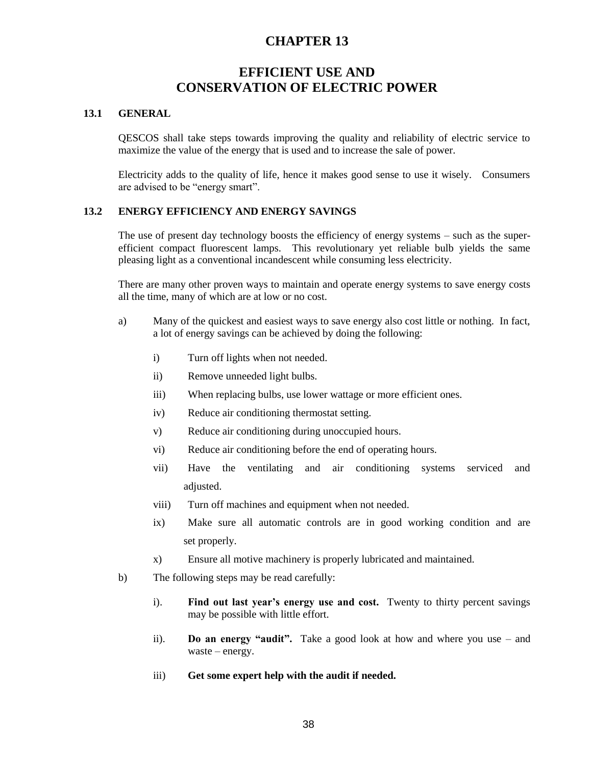## **EFFICIENT USE AND CONSERVATION OF ELECTRIC POWER**

#### **13.1 GENERAL**

QESCOS shall take steps towards improving the quality and reliability of electric service to maximize the value of the energy that is used and to increase the sale of power.

Electricity adds to the quality of life, hence it makes good sense to use it wisely. Consumers are advised to be "energy smart".

#### **13.2 ENERGY EFFICIENCY AND ENERGY SAVINGS**

The use of present day technology boosts the efficiency of energy systems – such as the superefficient compact fluorescent lamps. This revolutionary yet reliable bulb yields the same pleasing light as a conventional incandescent while consuming less electricity.

There are many other proven ways to maintain and operate energy systems to save energy costs all the time, many of which are at low or no cost.

- a) Many of the quickest and easiest ways to save energy also cost little or nothing. In fact, a lot of energy savings can be achieved by doing the following:
	- i) Turn off lights when not needed.
	- ii) Remove unneeded light bulbs.
	- iii) When replacing bulbs, use lower wattage or more efficient ones.
	- iv) Reduce air conditioning thermostat setting.
	- v) Reduce air conditioning during unoccupied hours.
	- vi) Reduce air conditioning before the end of operating hours.
	- vii) Have the ventilating and air conditioning systems serviced and adjusted.
	- viii) Turn off machines and equipment when not needed.
	- ix) Make sure all automatic controls are in good working condition and are set properly.
	- x) Ensure all motive machinery is properly lubricated and maintained.
- b) The following steps may be read carefully:
	- i). **Find out last year's energy use and cost.** Twenty to thirty percent savings may be possible with little effort.
	- ii). **Do an energy "audit".** Take a good look at how and where you use and waste – energy.
	- iii) **Get some expert help with the audit if needed.**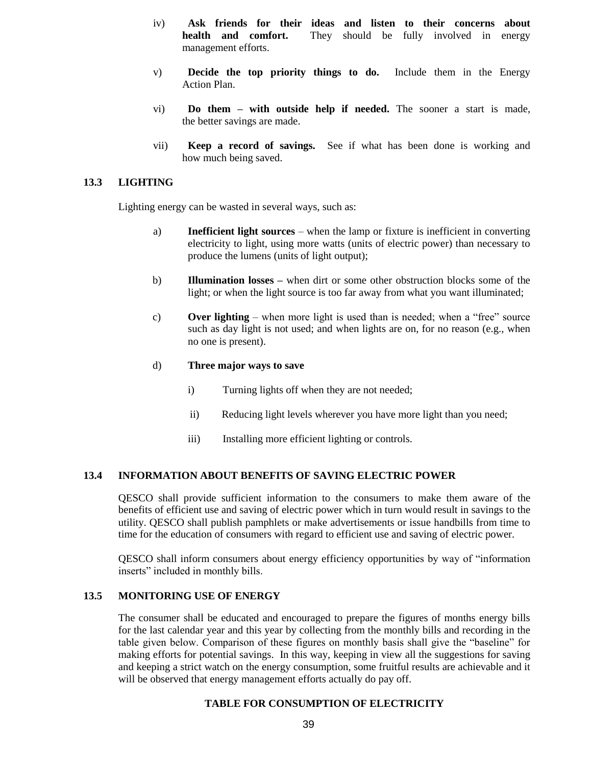- iv) **Ask friends for their ideas and listen to their concerns about health and comfort.** They should be fully involved in energy management efforts.
- v) **Decide the top priority things to do.** Include them in the Energy Action Plan.
- vi) **Do them – with outside help if needed.** The sooner a start is made, the better savings are made.
- vii) **Keep a record of savings.** See if what has been done is working and how much being saved.

#### **13.3 LIGHTING**

Lighting energy can be wasted in several ways, such as:

- a) **Inefficient light sources** when the lamp or fixture is inefficient in converting electricity to light, using more watts (units of electric power) than necessary to produce the lumens (units of light output);
- b) **Illumination losses –** when dirt or some other obstruction blocks some of the light; or when the light source is too far away from what you want illuminated;
- c) **Over lighting**  when more light is used than is needed; when a "free" source such as day light is not used; and when lights are on, for no reason (e.g., when no one is present).

#### d) **Three major ways to save**

- i) Turning lights off when they are not needed;
- ii) Reducing light levels wherever you have more light than you need;
- iii) Installing more efficient lighting or controls.

#### **13.4 INFORMATION ABOUT BENEFITS OF SAVING ELECTRIC POWER**

QESCO shall provide sufficient information to the consumers to make them aware of the benefits of efficient use and saving of electric power which in turn would result in savings to the utility. QESCO shall publish pamphlets or make advertisements or issue handbills from time to time for the education of consumers with regard to efficient use and saving of electric power.

QESCO shall inform consumers about energy efficiency opportunities by way of "information inserts" included in monthly bills.

#### **13.5 MONITORING USE OF ENERGY**

The consumer shall be educated and encouraged to prepare the figures of months energy bills for the last calendar year and this year by collecting from the monthly bills and recording in the table given below. Comparison of these figures on monthly basis shall give the "baseline" for making efforts for potential savings. In this way, keeping in view all the suggestions for saving and keeping a strict watch on the energy consumption, some fruitful results are achievable and it will be observed that energy management efforts actually do pay off.

#### **TABLE FOR CONSUMPTION OF ELECTRICITY**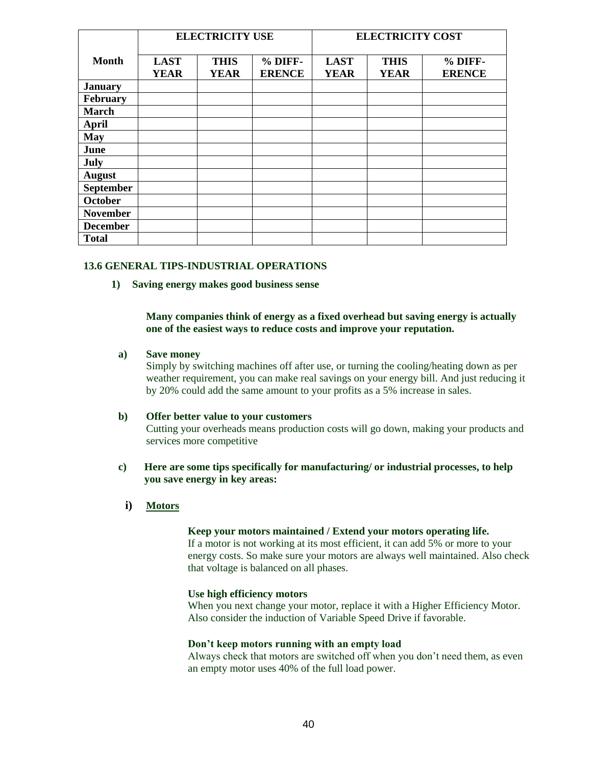|                  |                            | <b>ELECTRICITY USE</b>     |                            |                            | <b>ELECTRICITY COST</b>    |                            |
|------------------|----------------------------|----------------------------|----------------------------|----------------------------|----------------------------|----------------------------|
| <b>Month</b>     | <b>LAST</b><br><b>YEAR</b> | <b>THIS</b><br><b>YEAR</b> | $%$ DIFF-<br><b>ERENCE</b> | <b>LAST</b><br><b>YEAR</b> | <b>THIS</b><br><b>YEAR</b> | $%$ DIFF-<br><b>ERENCE</b> |
| <b>January</b>   |                            |                            |                            |                            |                            |                            |
| <b>February</b>  |                            |                            |                            |                            |                            |                            |
| <b>March</b>     |                            |                            |                            |                            |                            |                            |
| <b>April</b>     |                            |                            |                            |                            |                            |                            |
| <b>May</b>       |                            |                            |                            |                            |                            |                            |
| June             |                            |                            |                            |                            |                            |                            |
| July             |                            |                            |                            |                            |                            |                            |
| <b>August</b>    |                            |                            |                            |                            |                            |                            |
| <b>September</b> |                            |                            |                            |                            |                            |                            |
| October          |                            |                            |                            |                            |                            |                            |
| <b>November</b>  |                            |                            |                            |                            |                            |                            |
| <b>December</b>  |                            |                            |                            |                            |                            |                            |
| <b>Total</b>     |                            |                            |                            |                            |                            |                            |

#### **13.6 GENERAL TIPS-INDUSTRIAL OPERATIONS**

**1) Saving energy makes good business sense**

**Many companies think of energy as a fixed overhead but saving energy is actually one of the easiest ways to reduce costs and improve your reputation.** 

**a) Save money**

Simply by switching machines off after use, or turning the cooling/heating down as per weather requirement, you can make real savings on your energy bill. And just reducing it by 20% could add the same amount to your profits as a 5% increase in sales.

#### **b) Offer better value to your customers**

Cutting your overheads means production costs will go down, making your products and services more competitive

- **c) Here are some tips specifically for manufacturing/ or industrial processes, to help you save energy in key areas:**
- **i) Motors**

#### **Keep your motors maintained / Extend your motors operating life.**

If a motor is not working at its most efficient, it can add 5% or more to your energy costs. So make sure your motors are always well maintained. Also check that voltage is balanced on all phases.

#### **Use high efficiency motors**

When you next change your motor, replace it with a Higher Efficiency Motor. Also consider the induction of Variable Speed Drive if favorable.

#### **Don't keep motors running with an empty load**

Always check that motors are switched off when you don't need them, as even an empty motor uses 40% of the full load power.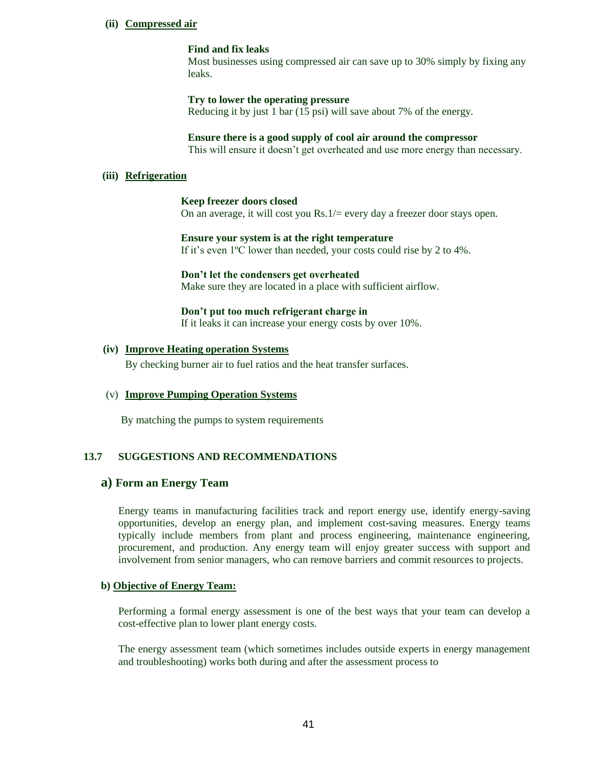#### **(ii) Compressed air**

#### **Find and fix leaks**

Most businesses using compressed air can save up to 30% simply by fixing any leaks.

#### **Try to lower the operating pressure**

Reducing it by just 1 bar (15 psi) will save about 7% of the energy.

#### **Ensure there is a good supply of cool air around the compressor**

This will ensure it doesn't get overheated and use more energy than necessary.

#### **(iii) Refrigeration**

#### **Keep freezer doors closed**

On an average, it will cost you  $\text{Rs}.1/$  every day a freezer door stays open.

#### **Ensure your system is at the right temperature**

If it's even 1ºC lower than needed, your costs could rise by 2 to 4%.

#### **Don't let the condensers get overheated**

Make sure they are located in a place with sufficient airflow.

#### **Don't put too much refrigerant charge in**

If it leaks it can increase your energy costs by over 10%.

#### **(iv) Improve Heating operation Systems**

By checking burner air to fuel ratios and the heat transfer surfaces.

#### (v) **Improve Pumping Operation Systems**

By matching the pumps to system requirements

#### **13.7 SUGGESTIONS AND RECOMMENDATIONS**

#### **a) Form an Energy Team**

Energy teams in manufacturing facilities track and report energy use, identify energy-saving opportunities, develop an energy plan, and implement cost-saving measures. Energy teams typically include members from plant and process engineering, maintenance engineering, procurement, and production. Any energy team will enjoy greater success with support and involvement from senior managers, who can remove barriers and commit resources to projects.

#### **b) Objective of Energy Team:**

Performing a formal energy assessment is one of the best ways that your team can develop a cost-effective plan to lower plant energy costs.

The energy assessment team (which sometimes includes outside experts in energy management and troubleshooting) works both during and after the assessment process to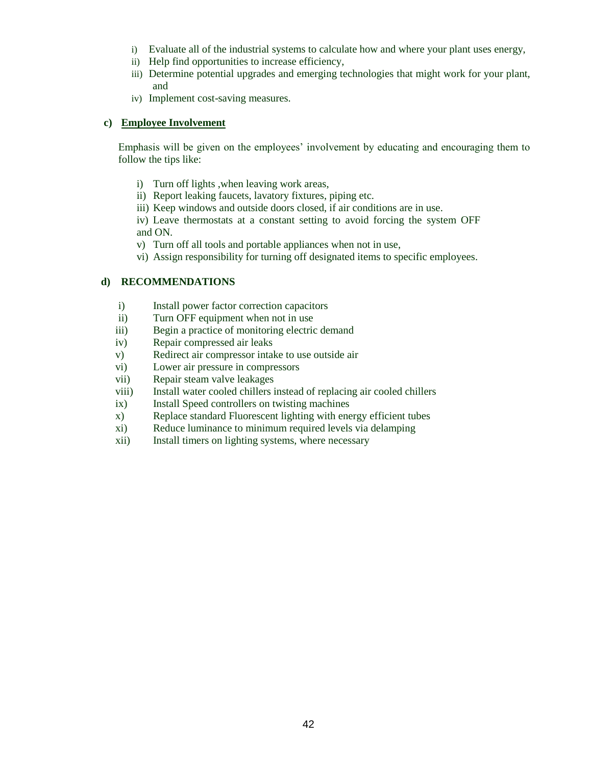- i) Evaluate all of the industrial systems to calculate how and where your plant uses energy,
- ii) Help find opportunities to increase efficiency,
- iii) Determine potential upgrades and emerging technologies that might work for your plant, and
- iv) Implement cost-saving measures.

#### **c) Employee Involvement**

Emphasis will be given on the employees' involvement by educating and encouraging them to follow the tips like:

- i) Turn off lights ,when leaving work areas,
- ii) Report leaking faucets, lavatory fixtures, piping etc.
- iii) Keep windows and outside doors closed, if air conditions are in use.

iv) Leave thermostats at a constant setting to avoid forcing the system OFF and ON.

- v) Turn off all tools and portable appliances when not in use,
- vi) Assign responsibility for turning off designated items to specific employees.

#### **d) RECOMMENDATIONS**

- i) Install power factor correction capacitors
- ii) Turn OFF equipment when not in use
- iii) Begin a practice of monitoring electric demand
- iv) Repair compressed air leaks
- v) Redirect air compressor intake to use outside air
- vi) Lower air pressure in compressors
- vii) Repair steam valve leakages
- viii) Install water cooled chillers instead of replacing air cooled chillers
- ix) Install Speed controllers on twisting machines
- x) Replace standard Fluorescent lighting with energy efficient tubes
- xi) Reduce luminance to minimum required levels via delamping
- xii) Install timers on lighting systems, where necessary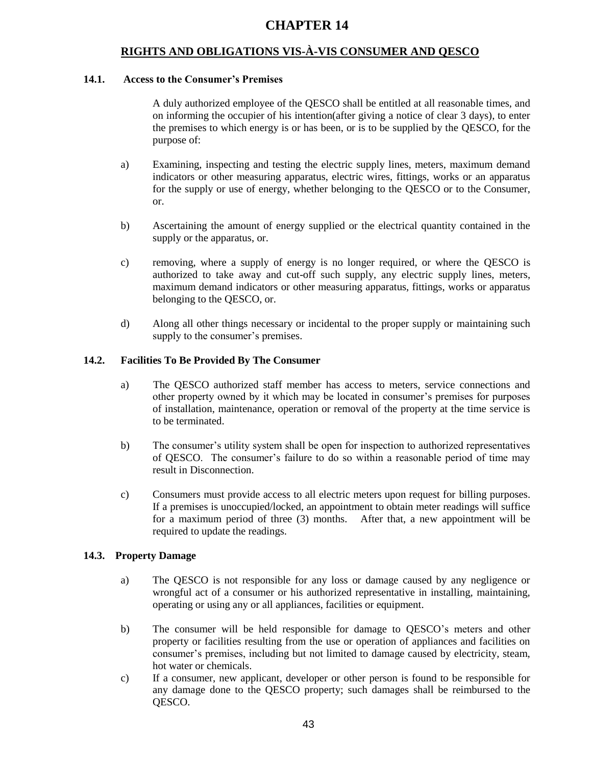## **RIGHTS AND OBLIGATIONS VIS-À-VIS CONSUMER AND QESCO**

#### **14.1. Access to the Consumer's Premises**

A duly authorized employee of the QESCO shall be entitled at all reasonable times, and on informing the occupier of his intention(after giving a notice of clear 3 days), to enter the premises to which energy is or has been, or is to be supplied by the QESCO, for the purpose of:

- a) Examining, inspecting and testing the electric supply lines, meters, maximum demand indicators or other measuring apparatus, electric wires, fittings, works or an apparatus for the supply or use of energy, whether belonging to the QESCO or to the Consumer, or.
- b) Ascertaining the amount of energy supplied or the electrical quantity contained in the supply or the apparatus, or.
- c) removing, where a supply of energy is no longer required, or where the QESCO is authorized to take away and cut-off such supply, any electric supply lines, meters, maximum demand indicators or other measuring apparatus, fittings, works or apparatus belonging to the QESCO, or.
- d) Along all other things necessary or incidental to the proper supply or maintaining such supply to the consumer's premises.

#### **14.2. Facilities To Be Provided By The Consumer**

- a) The QESCO authorized staff member has access to meters, service connections and other property owned by it which may be located in consumer's premises for purposes of installation, maintenance, operation or removal of the property at the time service is to be terminated.
- b) The consumer's utility system shall be open for inspection to authorized representatives of QESCO. The consumer's failure to do so within a reasonable period of time may result in Disconnection.
- c) Consumers must provide access to all electric meters upon request for billing purposes. If a premises is unoccupied/locked, an appointment to obtain meter readings will suffice for a maximum period of three (3) months. After that, a new appointment will be required to update the readings.

#### **14.3. Property Damage**

- a) The QESCO is not responsible for any loss or damage caused by any negligence or wrongful act of a consumer or his authorized representative in installing, maintaining, operating or using any or all appliances, facilities or equipment.
- b) The consumer will be held responsible for damage to QESCO's meters and other property or facilities resulting from the use or operation of appliances and facilities on consumer's premises, including but not limited to damage caused by electricity, steam, hot water or chemicals.
- c) If a consumer, new applicant, developer or other person is found to be responsible for any damage done to the QESCO property; such damages shall be reimbursed to the QESCO.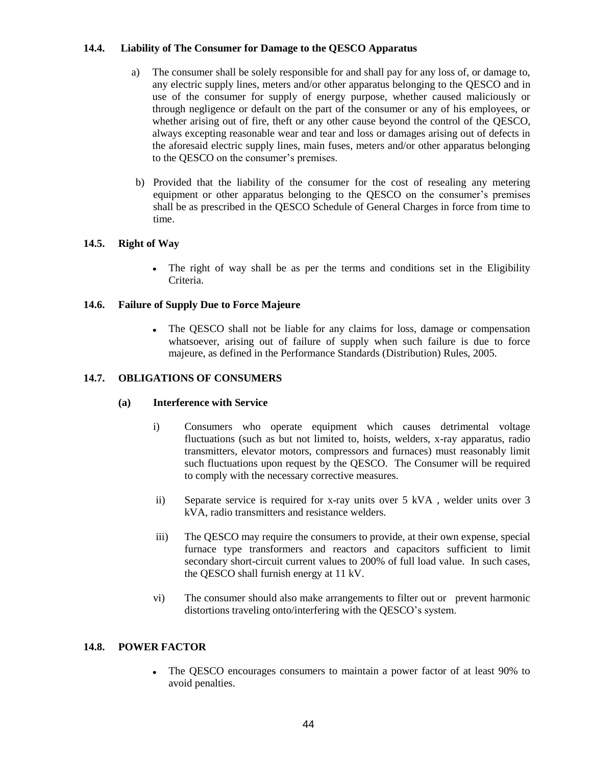#### **14.4. Liability of The Consumer for Damage to the QESCO Apparatus**

- a) The consumer shall be solely responsible for and shall pay for any loss of, or damage to, any electric supply lines, meters and/or other apparatus belonging to the QESCO and in use of the consumer for supply of energy purpose, whether caused maliciously or through negligence or default on the part of the consumer or any of his employees, or whether arising out of fire, theft or any other cause beyond the control of the QESCO, always excepting reasonable wear and tear and loss or damages arising out of defects in the aforesaid electric supply lines, main fuses, meters and/or other apparatus belonging to the QESCO on the consumer's premises.
- b) Provided that the liability of the consumer for the cost of resealing any metering equipment or other apparatus belonging to the QESCO on the consumer's premises shall be as prescribed in the QESCO Schedule of General Charges in force from time to time.

#### **14.5. Right of Way**

The right of way shall be as per the terms and conditions set in the Eligibility Criteria.

#### **14.6. Failure of Supply Due to Force Majeure**

The QESCO shall not be liable for any claims for loss, damage or compensation whatsoever, arising out of failure of supply when such failure is due to force majeure, as defined in the Performance Standards (Distribution) Rules, 2005.

#### **14.7. OBLIGATIONS OF CONSUMERS**

#### **(a) Interference with Service**

- i) Consumers who operate equipment which causes detrimental voltage fluctuations (such as but not limited to, hoists, welders, x-ray apparatus, radio transmitters, elevator motors, compressors and furnaces) must reasonably limit such fluctuations upon request by the QESCO. The Consumer will be required to comply with the necessary corrective measures.
- ii) Separate service is required for x-ray units over 5 kVA , welder units over 3 kVA, radio transmitters and resistance welders.
- iii) The QESCO may require the consumers to provide, at their own expense, special furnace type transformers and reactors and capacitors sufficient to limit secondary short-circuit current values to 200% of full load value. In such cases, the QESCO shall furnish energy at 11 kV.
- vi) The consumer should also make arrangements to filter out or prevent harmonic distortions traveling onto/interfering with the QESCO's system.

#### **14.8. POWER FACTOR**

The QESCO encourages consumers to maintain a power factor of at least 90% to  $\bullet$ avoid penalties.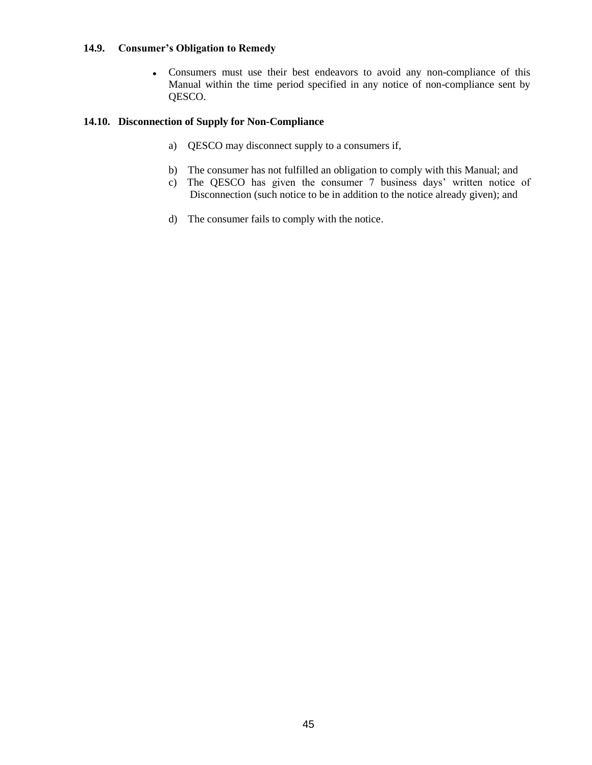#### **14.9. Consumer's Obligation to Remedy**

Consumers must use their best endeavors to avoid any non-compliance of this Manual within the time period specified in any notice of non-compliance sent by QESCO.

#### **14.10. Disconnection of Supply for Non-Compliance**

- a) QESCO may disconnect supply to a consumers if,
- b) The consumer has not fulfilled an obligation to comply with this Manual; and
- c) The QESCO has given the consumer 7 business days' written notice of Disconnection (such notice to be in addition to the notice already given); and
- d) The consumer fails to comply with the notice.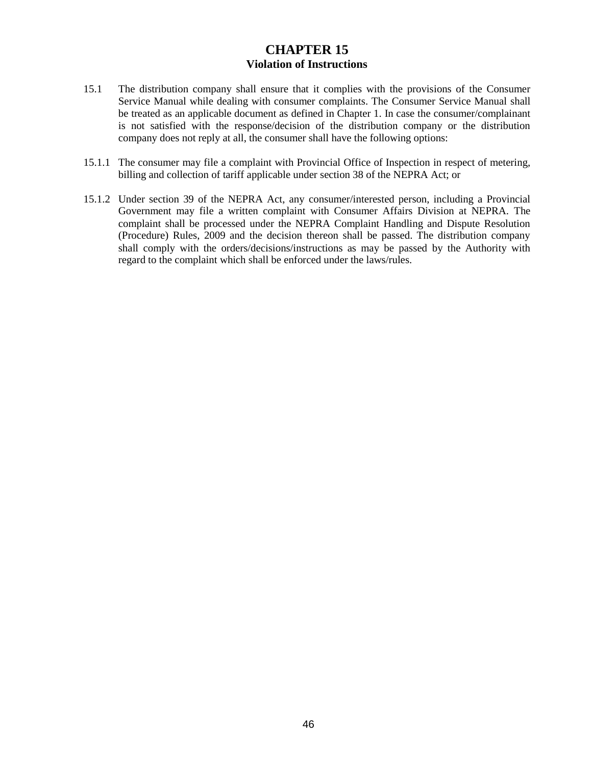## **CHAPTER 15 Violation of Instructions**

- 15.1 The distribution company shall ensure that it complies with the provisions of the Consumer Service Manual while dealing with consumer complaints. The Consumer Service Manual shall be treated as an applicable document as defined in Chapter 1. In case the consumer/complainant is not satisfied with the response/decision of the distribution company or the distribution company does not reply at all, the consumer shall have the following options:
- 15.1.1 The consumer may file a complaint with Provincial Office of Inspection in respect of metering, billing and collection of tariff applicable under section 38 of the NEPRA Act; or
- 15.1.2 Under section 39 of the NEPRA Act, any consumer/interested person, including a Provincial Government may file a written complaint with Consumer Affairs Division at NEPRA. The complaint shall be processed under the NEPRA Complaint Handling and Dispute Resolution (Procedure) Rules, 2009 and the decision thereon shall be passed. The distribution company shall comply with the orders/decisions/instructions as may be passed by the Authority with regard to the complaint which shall be enforced under the laws/rules.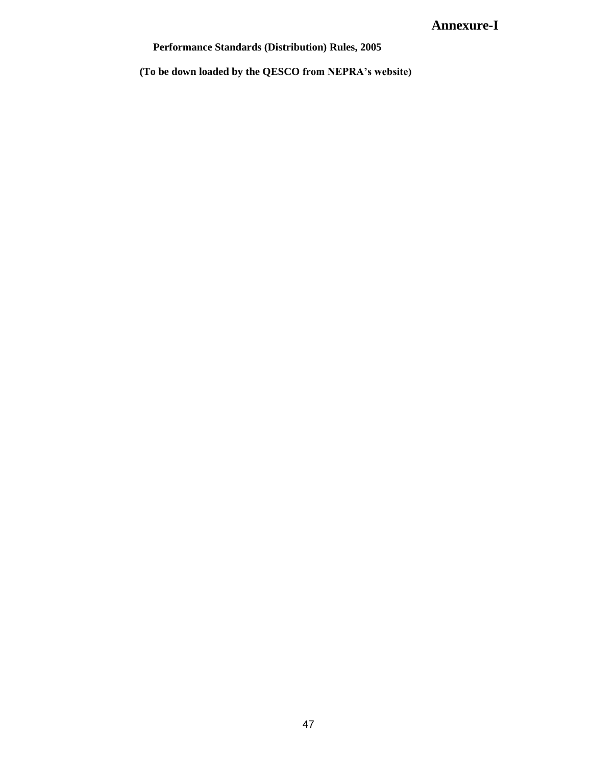## **Annexure-I**

**Performance Standards (Distribution) Rules, 2005**

 **(To be down loaded by the QESCO from NEPRA's website)**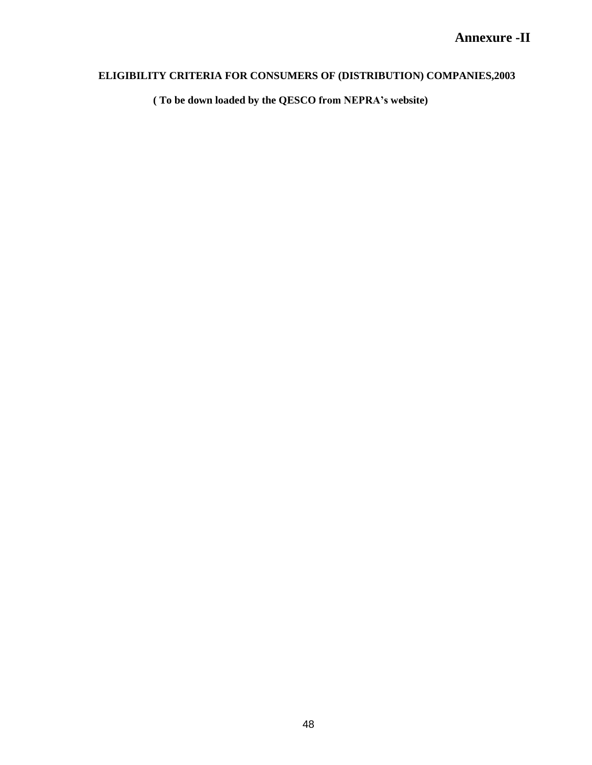## **ELIGIBILITY CRITERIA FOR CONSUMERS OF (DISTRIBUTION) COMPANIES,2003**

**( To be down loaded by the QESCO from NEPRA's website)**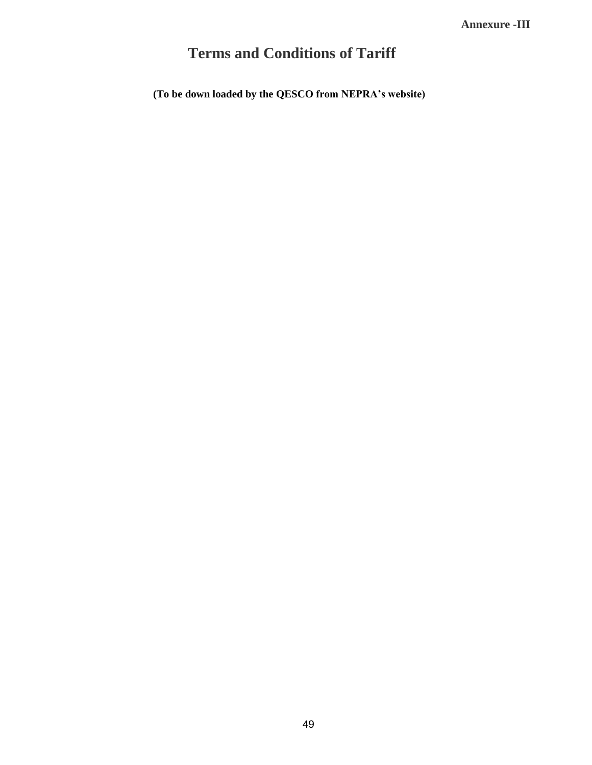## **Terms and Conditions of Tariff**

**(To be down loaded by the QESCO from NEPRA's website)**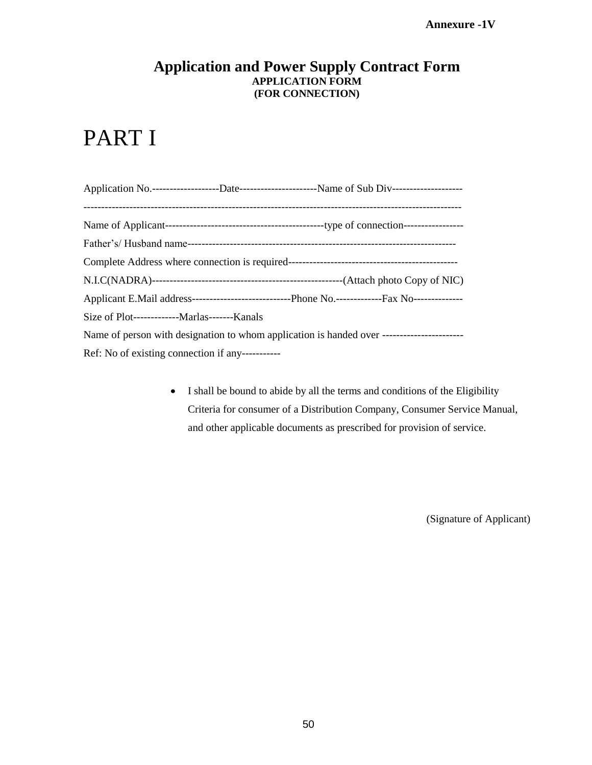## **Application and Power Supply Contract Form APPLICATION FORM (FOR CONNECTION)**

## PART I

| Applicant E.Mail address-----------------------------Phone No.-------------Fax No-------------- |
|-------------------------------------------------------------------------------------------------|
|                                                                                                 |
|                                                                                                 |
| Ref: No of existing connection if any-----------                                                |

• I shall be bound to abide by all the terms and conditions of the Eligibility Criteria for consumer of a Distribution Company, Consumer Service Manual, and other applicable documents as prescribed for provision of service.

(Signature of Applicant)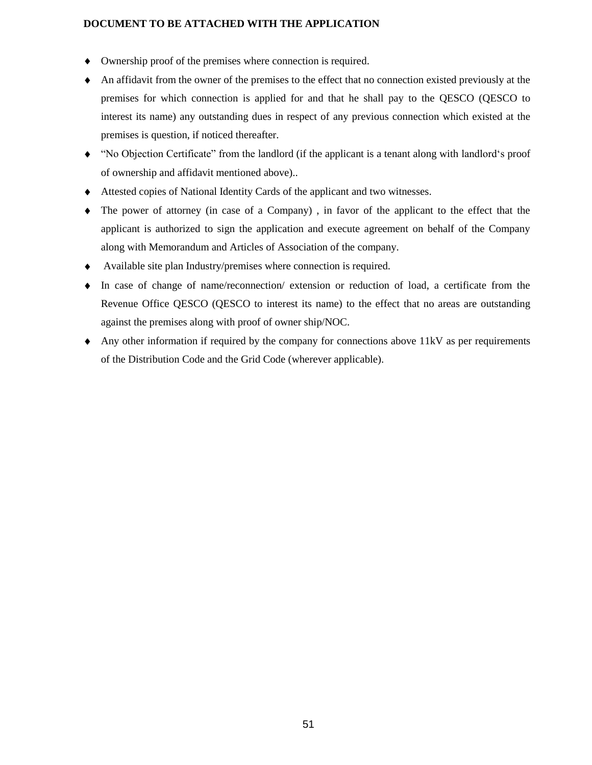#### **DOCUMENT TO BE ATTACHED WITH THE APPLICATION**

- Ownership proof of the premises where connection is required.
- An affidavit from the owner of the premises to the effect that no connection existed previously at the premises for which connection is applied for and that he shall pay to the QESCO (QESCO to interest its name) any outstanding dues in respect of any previous connection which existed at the premises is question, if noticed thereafter.
- "No Objection Certificate" from the landlord (if the applicant is a tenant along with landlord's proof  $\ddot{\bullet}$ of ownership and affidavit mentioned above)..
- Attested copies of National Identity Cards of the applicant and two witnesses.
- The power of attorney (in case of a Company) , in favor of the applicant to the effect that the  $\bullet$ applicant is authorized to sign the application and execute agreement on behalf of the Company along with Memorandum and Articles of Association of the company.
- Available site plan Industry/premises where connection is required.  $\bullet$
- In case of change of name/reconnection/ extension or reduction of load, a certificate from the Revenue Office QESCO (QESCO to interest its name) to the effect that no areas are outstanding against the premises along with proof of owner ship/NOC.
- Any other information if required by the company for connections above 11kV as per requirements of the Distribution Code and the Grid Code (wherever applicable).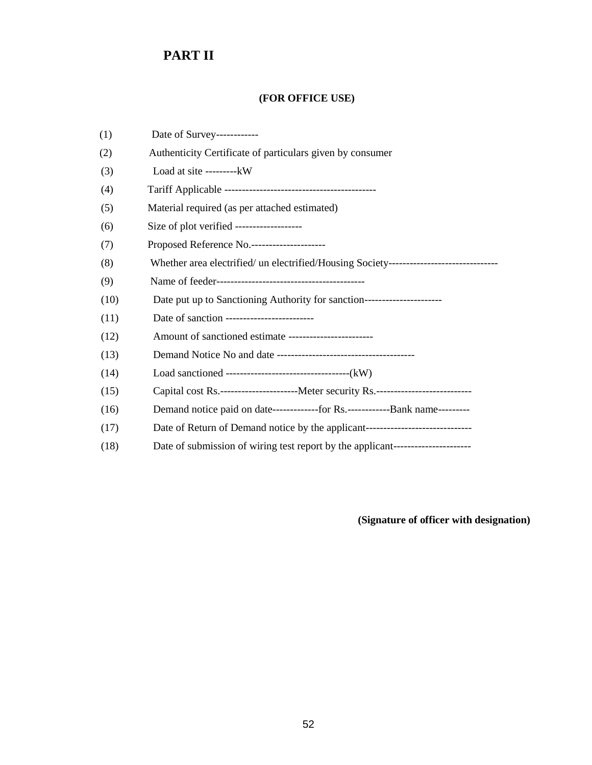## **PART II**

## **(FOR OFFICE USE)**

| (1)  | Date of Survey------------                                                              |
|------|-----------------------------------------------------------------------------------------|
| (2)  | Authenticity Certificate of particulars given by consumer                               |
| (3)  | Load at site ----------kW                                                               |
| (4)  |                                                                                         |
| (5)  | Material required (as per attached estimated)                                           |
| (6)  | Size of plot verified -------------------                                               |
| (7)  | Proposed Reference No.---------------------                                             |
| (8)  | Whether area electrified/ un electrified/Housing Society------------------------------- |
| (9)  |                                                                                         |
| (10) |                                                                                         |
| (11) |                                                                                         |
| (12) | Amount of sanctioned estimate ------------------------                                  |
| (13) |                                                                                         |
| (14) |                                                                                         |
| (15) | Capital cost Rs.------------------------Meter security Rs.---------------------------   |
| (16) | Demand notice paid on date-------------for Rs.-------------Bank name---------           |
| (17) |                                                                                         |
| (18) |                                                                                         |

**(Signature of officer with designation)**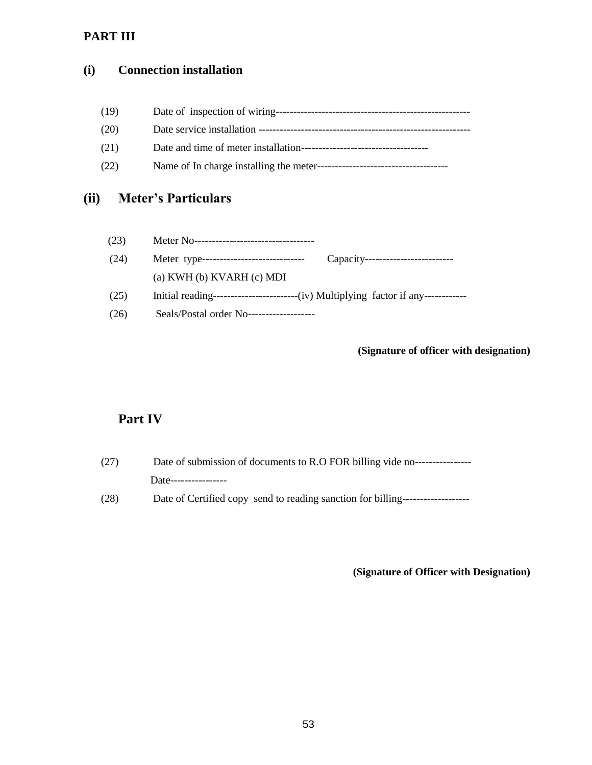## **PART III**

## **(i) Connection installation**

(19) Date of inspection of wiring------------------------------------------------------- (20) Date service installation ------------------------------------------------------------ (21) Date and time of meter installation------------------------------------ (22) Name of In charge installing the meter-------------------------------------

## **(ii) Meter's Particulars**

| (23) | Meter No----------------------------------                                              |                                    |
|------|-----------------------------------------------------------------------------------------|------------------------------------|
| (24) | Meter type------------------------------                                                | Capacity-------------------------- |
|      | (a) KWH (b) KVARH (c) MDI                                                               |                                    |
| (25) | Initial reading-----------------------------(iv) Multiplying factor if any------------- |                                    |
| (26) | Seals/Postal order No-------------------                                                |                                    |

#### **(Signature of officer with designation)**

## **Part IV**

| (27) | Date of submission of documents to R.O FOR billing vide no----------------- |
|------|-----------------------------------------------------------------------------|
|      | Date-----------------                                                       |

(28) Date of Certified copy send to reading sanction for billing-------------------

**(Signature of Officer with Designation)**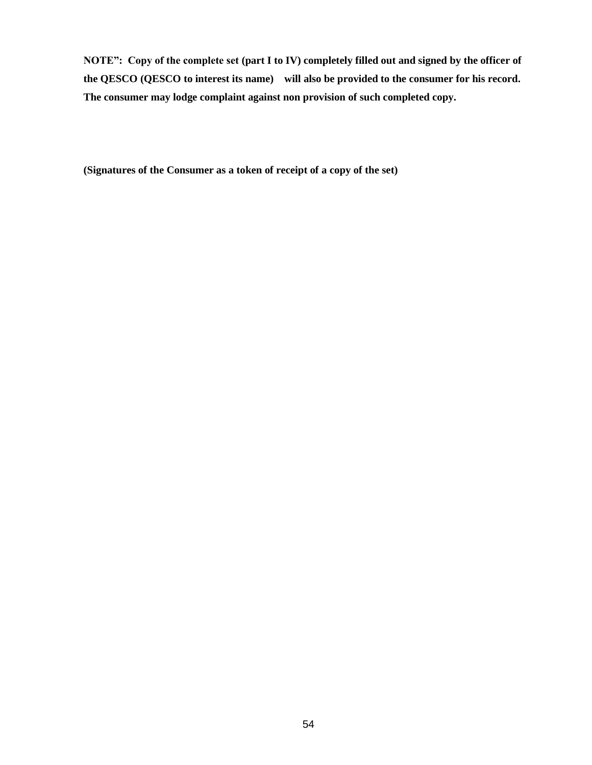**NOTE": Copy of the complete set (part I to IV) completely filled out and signed by the officer of the QESCO (QESCO to interest its name) will also be provided to the consumer for his record. The consumer may lodge complaint against non provision of such completed copy.**

**(Signatures of the Consumer as a token of receipt of a copy of the set)**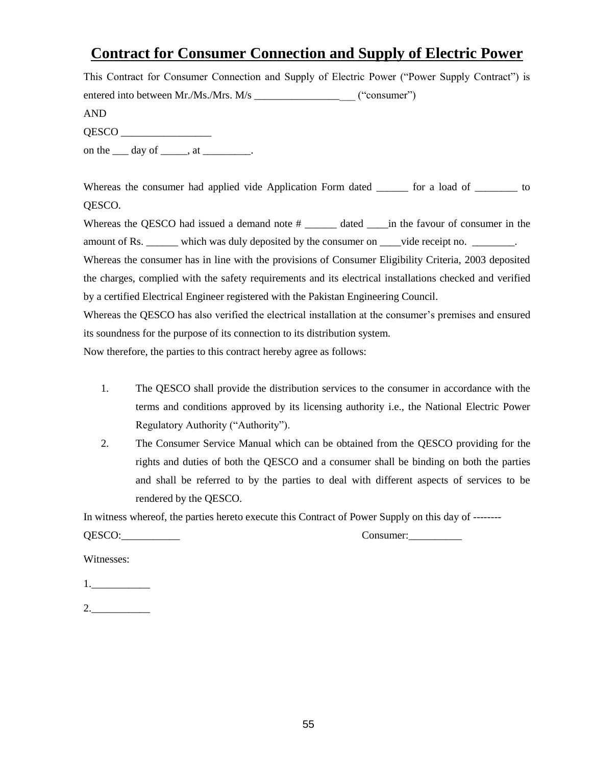## **Contract for Consumer Connection and Supply of Electric Power**

This Contract for Consumer Connection and Supply of Electric Power ("Power Supply Contract") is entered into between Mr./Ms./Mrs. M/s \_\_\_\_\_\_\_\_\_\_\_\_\_\_\_\_\_\_\_\_\_\_\_ ("consumer")

AND

QESCO \_\_\_\_\_\_\_\_\_\_\_\_\_\_\_\_\_

on the day of , at .

Whereas the consumer had applied vide Application Form dated \_\_\_\_\_\_ for a load of \_\_\_\_\_\_\_ to QESCO.

Whereas the QESCO had issued a demand note # \_\_\_\_\_\_\_ dated \_\_\_\_\_in the favour of consumer in the amount of Rs. \_\_\_\_\_\_ which was duly deposited by the consumer on \_\_\_\_vide receipt no. \_\_\_\_\_\_\_.

Whereas the consumer has in line with the provisions of Consumer Eligibility Criteria, 2003 deposited the charges, complied with the safety requirements and its electrical installations checked and verified by a certified Electrical Engineer registered with the Pakistan Engineering Council.

Whereas the QESCO has also verified the electrical installation at the consumer's premises and ensured its soundness for the purpose of its connection to its distribution system.

Now therefore, the parties to this contract hereby agree as follows:

- 1. The QESCO shall provide the distribution services to the consumer in accordance with the terms and conditions approved by its licensing authority i.e., the National Electric Power Regulatory Authority ("Authority").
- 2. The Consumer Service Manual which can be obtained from the QESCO providing for the rights and duties of both the QESCO and a consumer shall be binding on both the parties and shall be referred to by the parties to deal with different aspects of services to be rendered by the QESCO.

In witness whereof, the parties hereto execute this Contract of Power Supply on this day of --------

QESCO: Consumer:

Witnesses:

1.\_\_\_\_\_\_\_\_\_\_\_

2.\_\_\_\_\_\_\_\_\_\_\_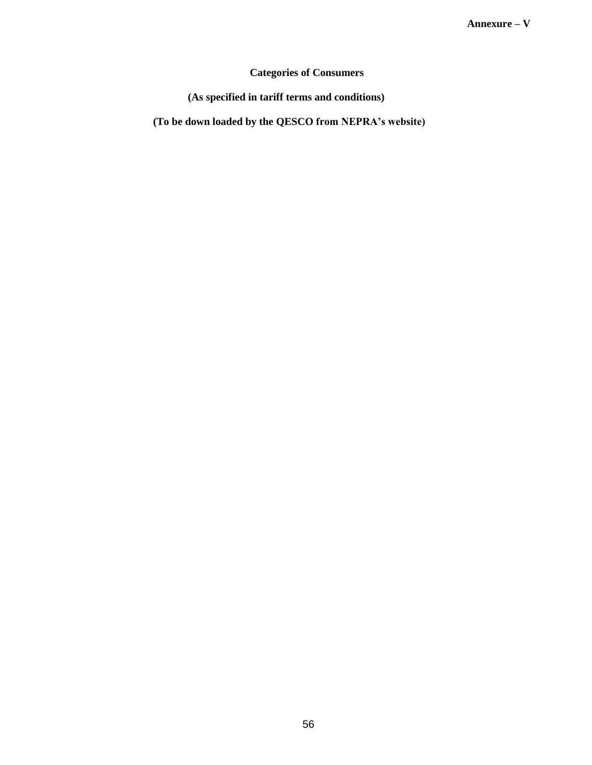## **Categories of Consumers**

**(As specified in tariff terms and conditions)**

**(To be down loaded by the QESCO from NEPRA's website)**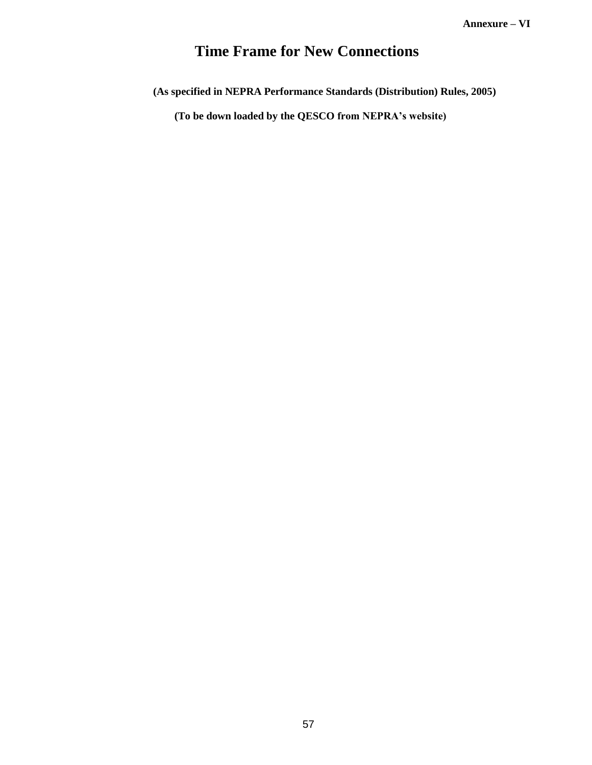## **Time Frame for New Connections**

**(As specified in NEPRA Performance Standards (Distribution) Rules, 2005)**

 **(To be down loaded by the QESCO from NEPRA's website)**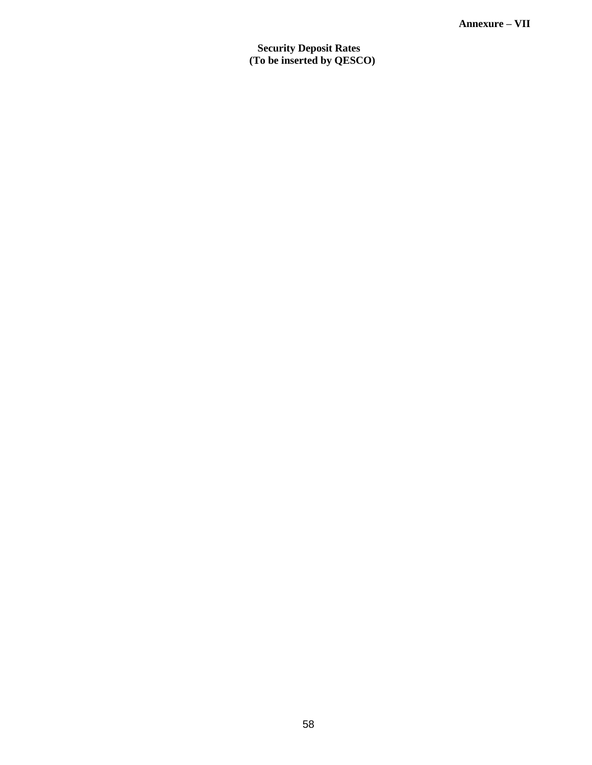**Security Deposit Rates (To be inserted by QESCO)**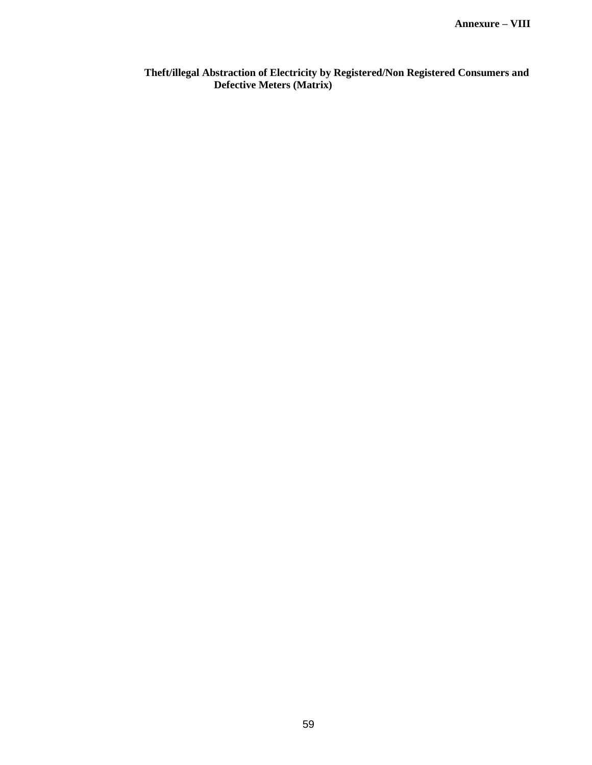#### **Theft/illegal Abstraction of Electricity by Registered/Non Registered Consumers and Defective Meters (Matrix)**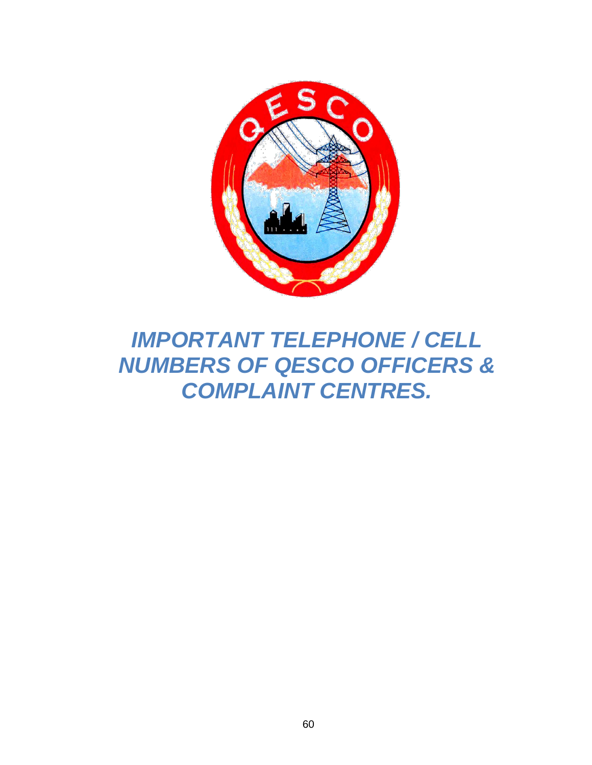

## *IMPORTANT TELEPHONE / CELL NUMBERS OF QESCO OFFICERS & COMPLAINT CENTRES.*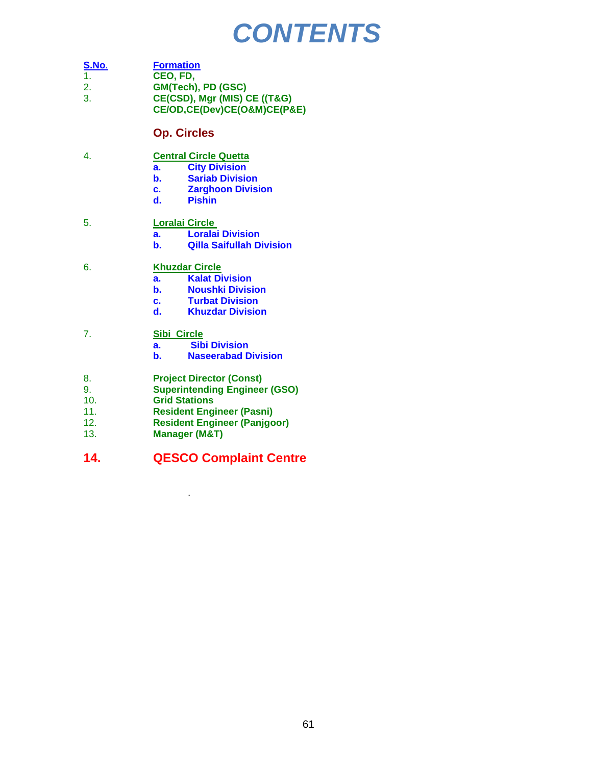## *CONTENTS*

| <u>S.No.</u><br>1. | <b>Formation</b><br>CEO, FD,             |  |  |  |  |  |  |
|--------------------|------------------------------------------|--|--|--|--|--|--|
|                    | GM(Tech), PD (GSC)                       |  |  |  |  |  |  |
| 2.<br>3.           | CE(CSD), Mgr (MIS) CE ((T&G)             |  |  |  |  |  |  |
|                    | CE/OD, CE(Dev) CE(O&M) CE(P&E)           |  |  |  |  |  |  |
|                    |                                          |  |  |  |  |  |  |
|                    | <b>Op. Circles</b>                       |  |  |  |  |  |  |
| $\mathbf{4}$ .     | <b>Central Circle Quetta</b>             |  |  |  |  |  |  |
|                    | <b>City Division</b><br>a.               |  |  |  |  |  |  |
|                    | <b>b.</b> Sariab Division                |  |  |  |  |  |  |
|                    | c. <b>Zarghoon Division</b>              |  |  |  |  |  |  |
|                    | d. Pishin                                |  |  |  |  |  |  |
| 5.                 | <b>Loralai Circle</b>                    |  |  |  |  |  |  |
|                    | a. Loralai Division                      |  |  |  |  |  |  |
|                    | <b>Qilla Saifullah Division</b><br>b. I  |  |  |  |  |  |  |
| 6.                 | <b>Khuzdar Circle</b>                    |  |  |  |  |  |  |
|                    | <b>Kalat Division</b><br>a.              |  |  |  |  |  |  |
|                    | <b>b.</b> Noushki Division               |  |  |  |  |  |  |
|                    | c. Turbat Division                       |  |  |  |  |  |  |
|                    | d. Khuzdar Division                      |  |  |  |  |  |  |
| 7.                 | Sibi Circle                              |  |  |  |  |  |  |
|                    | <b>Sibi Division</b><br><b>a.</b>        |  |  |  |  |  |  |
|                    | <b>Naseerabad Division</b><br><b>b</b> . |  |  |  |  |  |  |
| 8.                 | <b>Project Director (Const)</b>          |  |  |  |  |  |  |
| 9.                 | <b>Superintending Engineer (GSO)</b>     |  |  |  |  |  |  |
| 10.                | <b>Grid Stations</b>                     |  |  |  |  |  |  |
|                    |                                          |  |  |  |  |  |  |

11. **Resident Engineer (Pasni)** 12. **Resident Engineer (Panjgoor)**

**14. QESCO Complaint Centre**

.

13. **Manager (M&T)**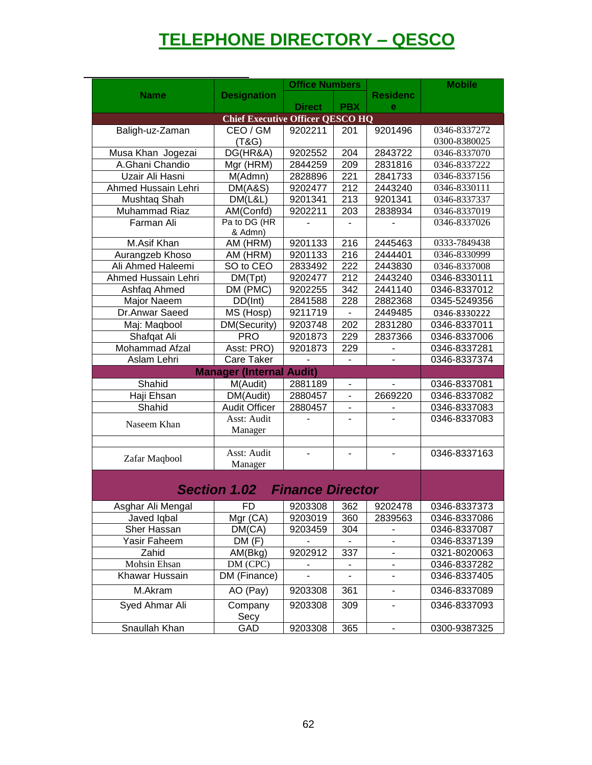## **TELEPHONE DIRECTORY – QESCO**

|                     |                                         | <b>Office Numbers</b>   |                              |                          | <b>Mobile</b> |
|---------------------|-----------------------------------------|-------------------------|------------------------------|--------------------------|---------------|
| <b>Name</b>         | <b>Designation</b>                      |                         |                              | <b>Residenc</b>          |               |
|                     |                                         | <b>Direct</b>           | <b>PBX</b>                   | $\mathbf e$              |               |
|                     | <b>Chief Executive Officer QESCO HQ</b> |                         |                              |                          |               |
| Baligh-uz-Zaman     | CEO / GM                                | 9202211                 | 201                          | 9201496                  | 0346-8337272  |
|                     | (T&G)                                   |                         |                              |                          | 0300-8380025  |
| Musa Khan Jogezai   | DG(HR&A)                                | 9202552                 | 204                          | 2843722                  | 0346-8337070  |
| A.Ghani Chandio     | Mgr (HRM)                               | 2844259                 | 209                          | 2831816                  | 0346-8337222  |
| Uzair Ali Hasni     | M(Admn)                                 | 2828896                 | 221                          | 2841733                  | 0346-8337156  |
| Ahmed Hussain Lehri | DM(AAS)                                 | 9202477                 | 212                          | 2443240                  | 0346-8330111  |
| Mushtaq Shah        | DM(L&L)                                 | 9201341                 | 213                          | 9201341                  | 0346-8337337  |
| Muhammad Riaz       | AM(Confd)                               | 9202211                 | 203                          | 2838934                  | 0346-8337019  |
| Farman Ali          | Pa to DG (HR<br>& Admn)                 |                         | $\blacksquare$               |                          | 0346-8337026  |
| M.Asif Khan         | AM (HRM)                                | 9201133                 | 216                          | 2445463                  | 0333-7849438  |
| Aurangzeb Khoso     | AM (HRM)                                | 9201133                 | 216                          | 2444401                  | 0346-8330999  |
| Ali Ahmed Haleemi   | SO to CEO                               | 2833492                 | 222                          | 2443830                  | 0346-8337008  |
| Ahmed Hussain Lehri | DM(Tpt)                                 | 9202477                 | 212                          | 2443240                  | 0346-8330111  |
| Ashfaq Ahmed        | DM (PMC)                                | 9202255                 | 342                          | 2441140                  | 0346-8337012  |
| Major Naeem         | DD(int)                                 | 2841588                 | 228                          | 2882368                  | 0345-5249356  |
| Dr.Anwar Saeed      | MS (Hosp)                               | 9211719                 | $\qquad \qquad \blacksquare$ | 2449485                  | 0346-8330222  |
| Maj: Maqbool        | DM(Security)                            | 9203748                 | 202                          | 2831280                  | 0346-8337011  |
| Shafqat Ali         | <b>PRO</b>                              | 9201873                 | 229                          | 2837366                  | 0346-8337006  |
| Mohammad Afzal      | Asst: PRO)                              | 9201873                 | 229                          |                          | 0346-8337281  |
| Aslam Lehri         | Care Taker                              |                         | $\blacksquare$               |                          | 0346-8337374  |
|                     | <b>Manager (Internal Audit)</b>         |                         |                              |                          |               |
| Shahid              | M(Audit)                                | 2881189                 | $\blacksquare$               |                          | 0346-8337081  |
| Haji Ehsan          | DM(Audit)                               | 2880457                 | $\blacksquare$               | 2669220                  | 0346-8337082  |
| Shahid              | <b>Audit Officer</b>                    | 2880457                 | $\blacksquare$               |                          | 0346-8337083  |
| Naseem Khan         | Asst: Audit<br>Manager                  |                         | $\blacksquare$               | $\overline{\phantom{0}}$ | 0346-8337083  |
| Zafar Maqbool       | Asst: Audit<br>Manager                  | ٠                       | $\overline{\phantom{m}}$     | $\overline{\phantom{0}}$ | 0346-8337163  |
|                     | <b>Section 1.02</b>                     | <b>Finance Director</b> |                              |                          |               |
| Asghar Ali Mengal   | FD                                      | 9203308                 | 362                          | 9202478                  | 0346-8337373  |
| Javed Iqbal         | Mgr (CA)                                | 9203019                 | 360                          | 2839563                  | 0346-8337086  |
| Sher Hassan         | DM(CA)                                  | 9203459                 | 304                          |                          | 0346-8337087  |
| Yasir Faheem        | DM(F)                                   |                         | $\blacksquare$               | ۰                        | 0346-8337139  |
| Zahid               | AM(Bkg)                                 | 9202912                 | 337                          | -                        | 0321-8020063  |
| Mohsin Ehsan        | DM (CPC)                                |                         | $\blacksquare$               |                          | 0346-8337282  |
| Khawar Hussain      | DM (Finance)                            |                         | $\overline{\phantom{0}}$     |                          | 0346-8337405  |
| M.Akram             | AO (Pay)                                | 9203308                 | 361                          | ۰                        | 0346-8337089  |
| Syed Ahmar Ali      | Company<br>Secy                         | 9203308                 | 309                          | $\overline{\phantom{0}}$ | 0346-8337093  |
| Snaullah Khan       | GAD                                     | 9203308                 | 365                          | ۰                        | 0300-9387325  |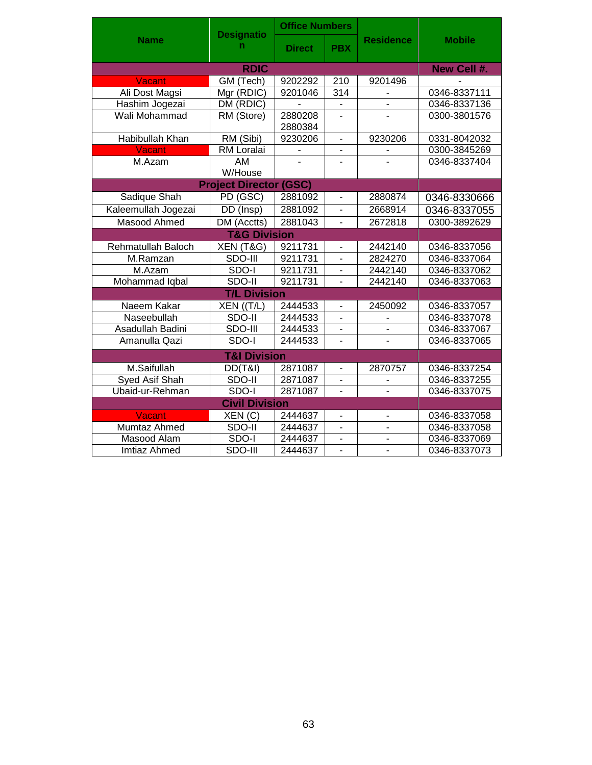|                     |                               | <b>Office Numbers</b> |                          |                  |               |
|---------------------|-------------------------------|-----------------------|--------------------------|------------------|---------------|
| <b>Name</b>         | <b>Designatio</b><br>n.       | <b>Direct</b>         | <b>PBX</b>               | <b>Residence</b> | <b>Mobile</b> |
|                     |                               | New Cell #.           |                          |                  |               |
| <b>Vacant</b>       | GM (Tech)                     | 9202292               | 210                      | 9201496          |               |
| Ali Dost Magsi      | Mgr (RDIC)                    | 9201046               | $\overline{314}$         |                  | 0346-8337111  |
| Hashim Jogezai      | DM (RDIC)                     |                       | $\overline{\phantom{a}}$ |                  | 0346-8337136  |
| Wali Mohammad       | RM (Store)                    | 2880208<br>2880384    | $\overline{a}$           |                  | 0300-3801576  |
| Habibullah Khan     | RM (Sibi)                     | 9230206               | $\overline{\phantom{a}}$ | 9230206          | 0331-8042032  |
| <b>Vacant</b>       | RM Loralai                    |                       | $\overline{\phantom{a}}$ |                  | 0300-3845269  |
| M.Azam              | AM                            |                       | $\overline{a}$           |                  | 0346-8337404  |
|                     | W/House                       |                       |                          |                  |               |
|                     | <b>Project Director (GSC)</b> |                       |                          |                  |               |
| Sadique Shah        | PD (GSC)                      | 2881092               | $\blacksquare$           | 2880874          | 0346-8330666  |
| Kaleemullah Jogezai | DD (Insp)                     | 2881092               | $\overline{a}$           | 2668914          | 0346-8337055  |
| Masood Ahmed        | DM (Acctts)                   | 2881043               |                          | 2672818          | 0300-3892629  |
|                     |                               |                       |                          |                  |               |
| Rehmatullah Baloch  | XEN (T&G)                     | 9211731               | $\overline{\phantom{a}}$ | 2442140          | 0346-8337056  |
| M.Ramzan            | SDO-III                       | 9211731               | ä,                       | 2824270          | 0346-8337064  |
| M.Azam              | SDO-I                         | 9211731               | $\overline{a}$           | 2442140          | 0346-8337062  |
| Mohammad Iqbal      | SDO-II                        | 9211731               | $\overline{a}$           | 2442140          | 0346-8337063  |
|                     | <b>T/L Division</b>           |                       |                          |                  |               |
| Naeem Kakar         | XEN ((T/L))                   | 2444533               | $\blacksquare$           | 2450092          | 0346-8337057  |
| Naseebullah         | SDO-II                        | 2444533               | $\overline{a}$           |                  | 0346-8337078  |
| Asadullah Badini    | SDO-III                       | 2444533               | ä,                       |                  | 0346-8337067  |
| Amanulla Qazi       | SDO-I                         | 2444533               | $\blacksquare$           |                  | 0346-8337065  |
|                     | <b>T&amp;I Division</b>       |                       |                          |                  |               |
| M.Saifullah         | DD(T&I)                       | 2871087               | $\blacksquare$           | 2870757          | 0346-8337254  |
| Syed Asif Shah      | SDO-II                        | 2871087               |                          |                  | 0346-8337255  |
| Ubaid-ur-Rehman     | SDO-I                         | 2871087               |                          |                  | 0346-8337075  |
|                     | <b>Civil Division</b>         |                       |                          |                  |               |
| <b>Vacant</b>       | XEN(C)                        | 2444637               | $\overline{\phantom{a}}$ |                  | 0346-8337058  |
| Mumtaz Ahmed        | SDO-II                        | 2444637               | $\overline{\phantom{0}}$ | $\overline{a}$   | 0346-8337058  |
| Masood Alam         | SDO-I                         | 2444637               | $\overline{\phantom{a}}$ | $\overline{a}$   | 0346-8337069  |
| Imtiaz Ahmed        | SDO-III                       | 2444637               | $\overline{a}$           | $\blacksquare$   | 0346-8337073  |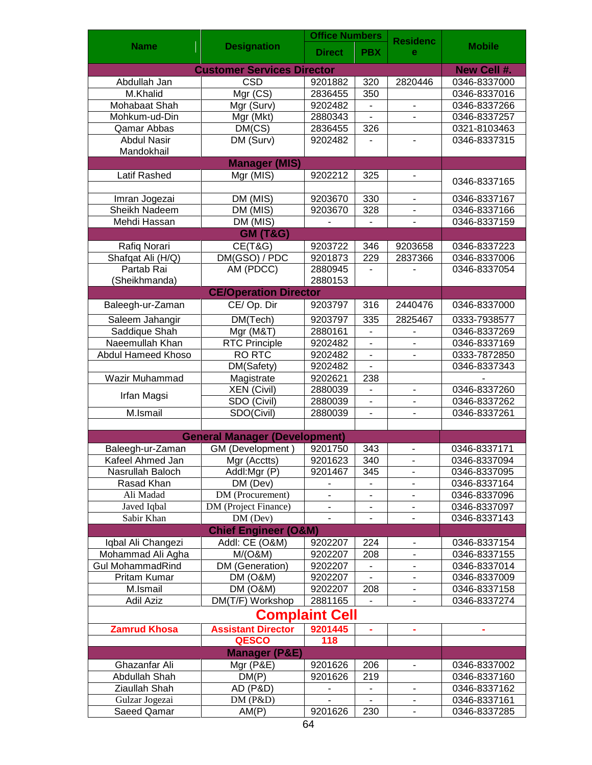|                           | <b>Office Numbers</b>                |                                  | <b>Residenc</b>              |                                  |               |
|---------------------------|--------------------------------------|----------------------------------|------------------------------|----------------------------------|---------------|
| <b>Name</b>               | <b>Designation</b>                   | <b>Direct</b>                    | <b>PBX</b>                   | е                                | <b>Mobile</b> |
|                           | <b>Customer Services Director</b>    |                                  |                              |                                  | New Cell #.   |
| Abdullah Jan              | <b>CSD</b>                           | 9201882                          | 320                          | 2820446                          | 0346-8337000  |
| M.Khalid                  | Mgr (CS)                             | 2836455                          | 350                          |                                  | 0346-8337016  |
| Mohabaat Shah             | Mgr (Surv)                           | 9202482                          |                              | $\overline{\phantom{0}}$         | 0346-8337266  |
| Mohkum-ud-Din             | Mgr (Mkt)                            | 2880343                          | $\overline{\phantom{0}}$     |                                  | 0346-8337257  |
| <b>Qamar Abbas</b>        | DM(CS)                               | 2836455                          | 326                          |                                  | 0321-8103463  |
| <b>Abdul Nasir</b>        | DM (Surv)                            | 9202482                          | $\overline{\phantom{a}}$     | $\blacksquare$                   | 0346-8337315  |
| Mandokhail                |                                      |                                  |                              |                                  |               |
|                           | <b>Manager (MIS)</b>                 |                                  |                              |                                  |               |
| Latif Rashed              | Mgr (MIS)                            | 9202212                          | 325                          | $\overline{\phantom{m}}$         | 0346-8337165  |
|                           |                                      |                                  |                              |                                  |               |
| Imran Jogezai             | DM (MIS)                             | 9203670                          | 330                          | $\overline{\phantom{a}}$         | 0346-8337167  |
| Sheikh Nadeem             | DM (MIS)                             | 9203670                          | 328                          | $\qquad \qquad \blacksquare$     | 0346-8337166  |
| Mehdi Hassan              | DM (MIS)                             |                                  | $\overline{\phantom{m}}$     | $\qquad \qquad \blacksquare$     | 0346-8337159  |
|                           | <b>GM (T&amp;G)</b>                  |                                  |                              |                                  |               |
| Rafiq Norari              | <b>CE(T&amp;G)</b>                   | 9203722                          | 346                          | 9203658                          | 0346-8337223  |
| Shafqat Ali (H/Q)         | DM(GSO) / PDC                        | 9201873                          | 229                          | 2837366                          | 0346-8337006  |
| Partab Rai                | AM (PDCC)                            | 2880945                          | $\overline{\phantom{a}}$     |                                  | 0346-8337054  |
| (Sheikhmanda)             |                                      | 2880153                          |                              |                                  |               |
|                           | <b>CE/Operation Director</b>         |                                  |                              |                                  |               |
| Baleegh-ur-Zaman          | CE/Op. Dir                           | 9203797                          | 316                          | 2440476                          | 0346-8337000  |
| Saleem Jahangir           | DM(Tech)                             | 9203797                          | 335                          | 2825467                          | 0333-7938577  |
| Saddique Shah             | Mgr (M&T)                            | 2880161                          |                              | -                                | 0346-8337269  |
| Naeemullah Khan           | <b>RTC Principle</b>                 | 9202482                          | -                            | $\qquad \qquad \blacksquare$     | 0346-8337169  |
| Abdul Hameed Khoso        | <b>RO RTC</b>                        | 9202482                          | -                            | $\overline{\phantom{m}}$         | 0333-7872850  |
|                           | DM(Safety)                           | 9202482                          | $\overline{\phantom{m}}$     |                                  | 0346-8337343  |
| Wazir Muhammad            | Magistrate                           | 9202621                          | 238                          |                                  |               |
| Irfan Magsi               | <b>XEN (Civil)</b>                   | 2880039                          | $\qquad \qquad \blacksquare$ | $\overline{\phantom{0}}$         | 0346-8337260  |
|                           | SDO (Civil)                          | 2880039                          |                              | -                                | 0346-8337262  |
| M.Ismail                  | SDO(Civil)                           | 2880039                          | ۰                            | $\qquad \qquad \blacksquare$     | 0346-8337261  |
|                           |                                      |                                  |                              |                                  |               |
|                           | <b>General Manager (Development)</b> |                                  |                              |                                  |               |
| Baleegh-ur-Zaman          | GM (Development)                     | 9201750                          | 343                          | -                                | 0346-8337171  |
| Kafeel Ahmed Jan          | Mgr (Acctts)                         | 9201623                          | 340                          |                                  | 0346-8337094  |
| Nasrullah Baloch          | Addl:Mgr (P)                         | 9201467                          | 345                          | $\blacksquare$                   | 0346-8337095  |
| Rasad Khan                | DM (Dev)                             |                                  | $\blacksquare$               | $\overline{\phantom{0}}$         | 0346-8337164  |
| Ali Madad                 | DM (Procurement)                     | $\overline{\phantom{0}}$         | $\blacksquare$               | $\overline{\phantom{0}}$         | 0346-8337096  |
| Javed Iqbal<br>Sabir Khan | DM (Project Finance)<br>DM (Dev)     | $\blacksquare$                   | $\blacksquare$               | $\blacksquare$<br>$\blacksquare$ | 0346-8337097  |
|                           | <b>Chief Engineer (O&amp;M)</b>      |                                  | $\blacksquare$               |                                  | 0346-8337143  |
| Iqbal Ali Changezi        | Addl: CE (O&M)                       | 9202207                          | 224                          | $\overline{\phantom{m}}$         | 0346-8337154  |
| Mohammad Ali Agha         | M/(O&M)                              | 9202207                          | 208                          | $\blacksquare$                   | 0346-8337155  |
| <b>Gul MohammadRind</b>   | DM (Generation)                      | 9202207                          | $\blacksquare$               | $\qquad \qquad \blacksquare$     | 0346-8337014  |
| Pritam Kumar              | <b>DM (O&amp;M)</b>                  | 9202207                          | ä,                           | $\overline{\phantom{0}}$         | 0346-8337009  |
| M.Ismail                  | <b>DM (O&amp;M)</b>                  | 9202207                          | 208                          | $\qquad \qquad \blacksquare$     | 0346-8337158  |
| Adil Aziz                 | DM(T/F) Workshop                     | 2881165                          | $\mathbb{Z}^2$               | $\overline{\phantom{0}}$         | 0346-8337274  |
|                           |                                      |                                  |                              |                                  |               |
| <b>Zamrud Khosa</b>       | <b>Assistant Director</b>            | <b>Complaint Cell</b><br>9201445 | ÷,                           |                                  |               |
|                           | <b>QESCO</b>                         | 118                              |                              | ۰                                |               |
|                           | <b>Manager (P&amp;E)</b>             |                                  |                              |                                  |               |
| Ghazanfar Ali             | Mgr (P&E)                            | 9201626                          | 206                          |                                  | 0346-8337002  |
| Abdullah Shah             | DM(P)                                | 9201626                          | 219                          |                                  | 0346-8337160  |
| Ziaullah Shah             | AD (P&D)                             |                                  |                              |                                  | 0346-8337162  |
| Gulzar Jogezai            | DM (P&D)                             |                                  |                              |                                  | 0346-8337161  |
| Saeed Qamar               | AM(P)                                | 9201626                          | 230                          | -                                | 0346-8337285  |
|                           |                                      |                                  |                              |                                  |               |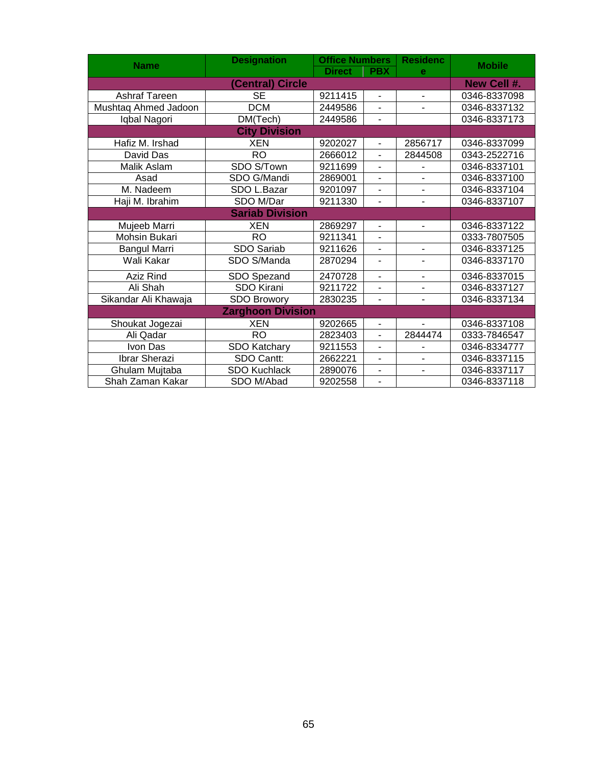|                        | <b>Designation</b>                                                           | <b>Office Numbers</b> |                          | <b>Residenc</b>              |               |
|------------------------|------------------------------------------------------------------------------|-----------------------|--------------------------|------------------------------|---------------|
| <b>Name</b>            |                                                                              | <b>Direct</b>         | <b>PBX</b>               | e                            | <b>Mobile</b> |
|                        |                                                                              |                       |                          | New Cell #.                  |               |
| Ashraf Tareen          | <b>SE</b>                                                                    |                       | $\overline{\phantom{a}}$ | $\overline{\phantom{0}}$     | 0346-8337098  |
| Mushtaq Ahmed Jadoon   | <b>DCM</b>                                                                   | 2449586               |                          |                              | 0346-8337132  |
| Iqbal Nagori           | DM(Tech)<br>2449586<br>$\blacksquare$                                        |                       | 0346-8337173             |                              |               |
|                        | <b>City Division</b>                                                         |                       |                          |                              |               |
| Hafiz M. Irshad        | <b>XEN</b>                                                                   | 9202027               | -                        | 2856717                      | 0346-8337099  |
| David Das              | <b>RO</b>                                                                    | 2666012               | $\overline{\phantom{0}}$ | 2844508                      | 0343-2522716  |
| Malik Aslam            | SDO S/Town                                                                   | 9211699               |                          |                              | 0346-8337101  |
| Asad                   | SDO G/Mandi                                                                  | 2869001               |                          |                              | 0346-8337100  |
| M. Nadeem              | SDO L.Bazar                                                                  | 9201097               | $\overline{\phantom{a}}$ | $\overline{\phantom{0}}$     | 0346-8337104  |
| Haji M. Ibrahim        | SDO M/Dar<br>9211330<br>$\overline{\phantom{a}}$<br>$\overline{\phantom{0}}$ |                       | 0346-8337107             |                              |               |
| <b>Sariab Division</b> |                                                                              |                       |                          |                              |               |
| Mujeeb Marri           | <b>XEN</b>                                                                   | 2869297               | $\overline{\phantom{a}}$ | $\qquad \qquad \blacksquare$ | 0346-8337122  |
| <b>Mohsin Bukari</b>   | R <sub>O</sub>                                                               | 9211341               | $\blacksquare$           |                              | 0333-7807505  |
| <b>Bangul Marri</b>    | SDO Sariab                                                                   | 9211626               | $\overline{\phantom{0}}$ | $\frac{1}{2}$                | 0346-8337125  |
| Wali Kakar             | SDO S/Manda                                                                  | 2870294               | $\overline{\phantom{a}}$ | $\overline{\phantom{0}}$     | 0346-8337170  |
| <b>Aziz Rind</b>       | SDO Spezand                                                                  | 2470728               | $\overline{a}$           | $\frac{1}{2}$                | 0346-8337015  |
| Ali Shah               | SDO Kirani                                                                   | 9211722               | $\overline{\phantom{0}}$ |                              | 0346-8337127  |
| Sikandar Ali Khawaja   | <b>SDO Browory</b>                                                           | 2830235               | $\blacksquare$           | $\overline{\phantom{0}}$     | 0346-8337134  |
|                        | <b>Zarghoon Division</b>                                                     |                       |                          |                              |               |
| Shoukat Jogezai        | <b>XEN</b>                                                                   | 9202665               | L.                       | $\overline{a}$               | 0346-8337108  |
| Ali Qadar              | <b>RO</b>                                                                    | 2823403               | $\blacksquare$           | 2844474                      | 0333-7846547  |
| Ivon Das               | <b>SDO Katchary</b>                                                          | 9211553               | $\overline{a}$           |                              | 0346-8334777  |
| Ibrar Sherazi          | SDO Cantt:                                                                   | 2662221               | $\blacksquare$           | $\blacksquare$               | 0346-8337115  |
| Ghulam Mujtaba         | <b>SDO Kuchlack</b>                                                          | 2890076               |                          |                              | 0346-8337117  |
| Shah Zaman Kakar       | SDO M/Abad                                                                   | 9202558               |                          |                              | 0346-8337118  |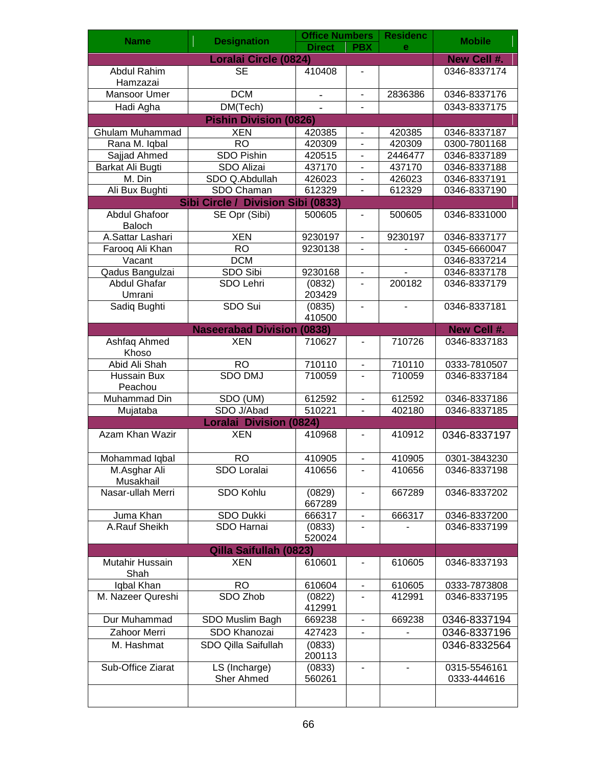|                                   |                                    | <b>Office Numbers</b>    |                                  | <b>Residenc</b>  | <b>Mobile</b>                |
|-----------------------------------|------------------------------------|--------------------------|----------------------------------|------------------|------------------------------|
| <b>Name</b>                       | <b>Designation</b>                 | <b>Direct</b>            | <b>PBX</b>                       | $\mathbf e$      |                              |
|                                   | <b>Loralai Circle (0824)</b>       |                          |                                  |                  | New Cell #.                  |
| Abdul Rahim                       | <b>SE</b>                          | 410408                   | $\blacksquare$                   |                  | 0346-8337174                 |
| Hamzazai                          |                                    |                          |                                  |                  |                              |
| Mansoor Umer                      | <b>DCM</b>                         | $\overline{\phantom{a}}$ | $\blacksquare$                   | 2836386          | 0346-8337176                 |
| Hadi Agha                         | DM(Tech)                           | $\blacksquare$           |                                  |                  | 0343-8337175                 |
|                                   | <b>Pishin Division (0826)</b>      |                          |                                  |                  |                              |
| <b>Ghulam Muhammad</b>            | <b>XEN</b>                         | 420385                   |                                  | 420385           | 0346-8337187                 |
| Rana M. Iqbal                     | <b>RO</b>                          | 420309                   |                                  | 420309           | 0300-7801168                 |
| Sajjad Ahmed                      | <b>SDO Pishin</b>                  | 420515                   |                                  | 2446477          | 0346-8337189                 |
| Barkat Ali Bugti                  | SDO Alizai                         | 437170                   |                                  | 437170           | 0346-8337188                 |
| M. Din                            | SDO Q.Abdullah                     | 426023                   |                                  | 426023           | 0346-8337191                 |
| Ali Bux Bughti                    | SDO Chaman                         | 612329                   |                                  | 612329           | 0346-8337190                 |
|                                   | Sibi Circle / Division Sibi (0833) |                          |                                  |                  |                              |
| <b>Abdul Ghafoor</b>              | SE Opr (Sibi)                      | 500605                   | $\blacksquare$                   | 500605           | 0346-8331000                 |
| <b>Baloch</b><br>A.Sattar Lashari | <b>XEN</b>                         | 9230197                  |                                  | 9230197          | 0346-8337177                 |
| Farooq Ali Khan                   | <b>RO</b>                          | 9230138                  |                                  |                  | 0345-6660047                 |
| Vacant                            | <b>DCM</b>                         |                          |                                  |                  | 0346-8337214                 |
| Qadus Bangulzai                   | SDO Sibi                           | 9230168                  |                                  |                  | 0346-8337178                 |
| <b>Abdul Ghafar</b>               | SDO Lehri                          | (0832)                   |                                  | 200182           | 0346-8337179                 |
| Umrani                            |                                    | 203429                   |                                  |                  |                              |
| Sadiq Bughti                      | SDO Sui                            | (0835)                   |                                  |                  | 0346-8337181                 |
|                                   |                                    | 410500                   |                                  |                  |                              |
|                                   | <b>Naseerabad Division (0838)</b>  |                          |                                  |                  | New Cell #.                  |
| Ashfaq Ahmed                      | <b>XEN</b>                         | 710627                   |                                  | 710726           | 0346-8337183                 |
| Khoso                             |                                    |                          |                                  |                  |                              |
| Abid Ali Shah                     | <b>RO</b>                          | 710110                   |                                  | 710110           | 0333-7810507                 |
| Hussain Bux                       | <b>SDO DMJ</b>                     | 710059                   |                                  | 710059           | 0346-8337184                 |
| Peachou                           |                                    |                          |                                  |                  |                              |
| Muhammad Din                      | SDO (UM)                           | 612592                   |                                  | 612592           | 0346-8337186                 |
| Mujataba                          | SDO J/Abad                         | 510221                   |                                  | 402180           | 0346-8337185                 |
|                                   | <b>Loralai Division (0824)</b>     |                          |                                  |                  |                              |
| Azam Khan Wazir                   | <b>XEN</b>                         | 410968                   |                                  | 410912           | 0346-8337197                 |
| Mohammad Iqbal                    |                                    |                          |                                  |                  |                              |
| M.Asghar Ali                      | <b>RO</b><br>SDO Loralai           | 410905<br>410656         | $\blacksquare$<br>$\blacksquare$ | 410905<br>410656 | 0301-3843230<br>0346-8337198 |
| Musakhail                         |                                    |                          |                                  |                  |                              |
| Nasar-ullah Merri                 | SDO Kohlu                          | (0829)                   |                                  | 667289           | 0346-8337202                 |
|                                   |                                    | 667289                   |                                  |                  |                              |
| Juma Khan                         | <b>SDO Dukki</b>                   | 666317                   |                                  | 666317           | 0346-8337200                 |
| A.Rauf Sheikh                     | <b>SDO Harnai</b>                  | (0833)                   |                                  |                  | 0346-8337199                 |
|                                   |                                    | 520024                   |                                  |                  |                              |
|                                   | Qilla Saifullah (0823)             |                          |                                  |                  |                              |
| Mutahir Hussain                   | <b>XEN</b>                         | 610601                   |                                  | 610605           | 0346-8337193                 |
| Shah                              |                                    |                          |                                  |                  |                              |
| Iqbal Khan                        | <b>RO</b>                          | 610604                   |                                  | 610605           | 0333-7873808                 |
| M. Nazeer Qureshi                 | SDO Zhob                           | (0822)                   |                                  | 412991           | 0346-8337195                 |
|                                   |                                    | 412991                   |                                  |                  |                              |
| Dur Muhammad                      | SDO Muslim Bagh                    | 669238                   | $\blacksquare$                   | 669238           | 0346-8337194                 |
| Zahoor Merri                      | SDO Khanozai                       | 427423                   |                                  |                  | 0346-8337196                 |
| M. Hashmat                        | SDO Qilla Saifullah                | (0833)                   |                                  |                  | 0346-8332564                 |
|                                   |                                    | 200113                   |                                  |                  |                              |
| Sub-Office Ziarat                 | LS (Incharge)                      | (0833)                   | $\overline{\phantom{a}}$         | $\blacksquare$   | 0315-5546161                 |
|                                   | <b>Sher Ahmed</b>                  | 560261                   |                                  |                  | 0333-444616                  |
|                                   |                                    |                          |                                  |                  |                              |
|                                   |                                    |                          |                                  |                  |                              |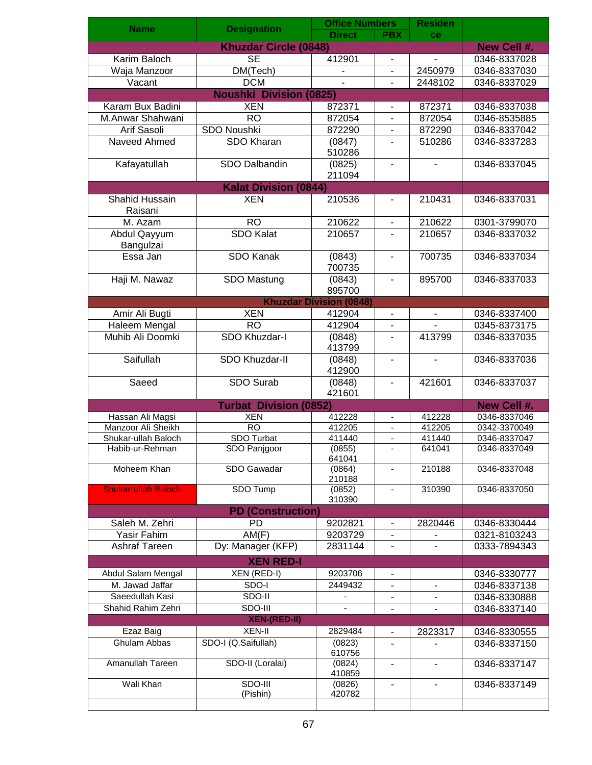| <b>Name</b>                    | <b>Office Numbers</b><br><b>Designation</b> |                                | <b>Residen</b>           |                          |              |  |  |  |
|--------------------------------|---------------------------------------------|--------------------------------|--------------------------|--------------------------|--------------|--|--|--|
|                                |                                             | <b>Direct</b>                  | <b>PBX</b>               | <b>ce</b>                |              |  |  |  |
|                                | <b>Khuzdar Circle (0848)</b>                |                                |                          |                          | New Cell #.  |  |  |  |
| Karim Baloch                   | <b>SE</b>                                   | 412901                         | $\overline{\phantom{a}}$ |                          | 0346-8337028 |  |  |  |
| Waja Manzoor                   | DM(Tech)                                    |                                |                          | 2450979                  | 0346-8337030 |  |  |  |
| Vacant                         | <b>DCM</b>                                  |                                |                          | 2448102                  | 0346-8337029 |  |  |  |
| <b>Noushki Division (0825)</b> |                                             |                                |                          |                          |              |  |  |  |
| Karam Bux Badini               | <b>XEN</b>                                  | 872371                         | ٠                        | 872371                   | 0346-8337038 |  |  |  |
| M.Anwar Shahwani               | <b>RO</b>                                   | 872054                         |                          | 872054                   |              |  |  |  |
|                                |                                             |                                |                          |                          | 0346-8535885 |  |  |  |
| Arif Sasoli                    | <b>SDO Noushki</b>                          | 872290                         |                          | 872290                   | 0346-8337042 |  |  |  |
| Naveed Ahmed                   | SDO Kharan                                  | (0847)                         | $\overline{\phantom{0}}$ | 510286                   | 0346-8337283 |  |  |  |
|                                |                                             | 510286                         |                          |                          |              |  |  |  |
| Kafayatullah                   | SDO Dalbandin                               | (0825)                         | ۰                        |                          | 0346-8337045 |  |  |  |
|                                |                                             | 211094                         |                          |                          |              |  |  |  |
|                                | <b>Kalat Division (0844)</b>                |                                |                          |                          |              |  |  |  |
| Shahid Hussain                 | <b>XEN</b>                                  | 210536                         | ٠                        | 210431                   | 0346-8337031 |  |  |  |
| Raisani                        |                                             |                                |                          |                          |              |  |  |  |
| M. Azam                        | <b>RO</b>                                   | 210622                         | $\blacksquare$           | 210622                   | 0301-3799070 |  |  |  |
| Abdul Qayyum                   | <b>SDO Kalat</b>                            | 210657                         |                          | 210657                   | 0346-8337032 |  |  |  |
| Bangulzai                      |                                             |                                |                          |                          |              |  |  |  |
| Essa Jan                       | SDO Kanak                                   | (0843)                         | $\blacksquare$           | 700735                   | 0346-8337034 |  |  |  |
|                                |                                             | 700735                         |                          |                          |              |  |  |  |
| Haji M. Nawaz                  | SDO Mastung                                 | (0843)                         | $\overline{\phantom{0}}$ | 895700                   | 0346-8337033 |  |  |  |
|                                |                                             | 895700                         |                          |                          |              |  |  |  |
|                                |                                             | <b>Khuzdar Division (0848)</b> |                          |                          |              |  |  |  |
| Amir Ali Bugti                 | <b>XEN</b>                                  | 412904                         | ÷.                       | $\mathbf{r}$             | 0346-8337400 |  |  |  |
| Haleem Mengal                  | <b>RO</b>                                   | 412904                         | L.                       |                          | 0345-8373175 |  |  |  |
| Muhib Ali Doomki               | <b>SDO Khuzdar-I</b>                        | (0848)                         | ÷.                       | 413799                   | 0346-8337035 |  |  |  |
|                                |                                             | 413799                         |                          |                          |              |  |  |  |
| Saifullah                      | SDO Khuzdar-II                              | (0848)                         | $\blacksquare$           |                          | 0346-8337036 |  |  |  |
|                                |                                             | 412900                         |                          |                          |              |  |  |  |
| Saeed                          | SDO Surab                                   | (0848)                         | $\overline{\phantom{a}}$ | 421601                   | 0346-8337037 |  |  |  |
|                                |                                             | 421601                         |                          |                          |              |  |  |  |
|                                | <b>Turbat Division (0852)</b>               |                                |                          |                          | New Cell #.  |  |  |  |
| Hassan Ali Magsi               | <b>XEN</b>                                  | 412228                         | $\blacksquare$           | 412228                   | 0346-8337046 |  |  |  |
| Manzoor Ali Sheikh             | RO                                          | 412205                         | $\overline{\phantom{a}}$ | 412205                   | 0342-3370049 |  |  |  |
| Shukar-ullah Baloch            | <b>SDO Turbat</b>                           | 411440                         |                          | 411440                   | 0346-8337047 |  |  |  |
| Habib-ur-Rehman                | SDO Panjgoor                                | (0855)                         | $\overline{\phantom{a}}$ | 641041                   | 0346-8337049 |  |  |  |
|                                |                                             | 641041                         |                          |                          |              |  |  |  |
| Moheem Khan                    | SDO Gawadar                                 | (0864)                         | $\blacksquare$           | 210188                   | 0346-8337048 |  |  |  |
|                                |                                             | 210188                         |                          |                          |              |  |  |  |
| <b>Shukar-ullah Baloch</b>     | SDO Tump                                    | (0852)                         | $\blacksquare$           | 310390                   | 0346-8337050 |  |  |  |
|                                |                                             | 310390                         |                          |                          |              |  |  |  |
|                                | <b>PD (Construction)</b>                    |                                |                          |                          |              |  |  |  |
| Saleh M. Zehri                 | <b>PD</b>                                   | 9202821                        | $\overline{\phantom{a}}$ | 2820446                  | 0346-8330444 |  |  |  |
| Yasir Fahim                    | AM(F)                                       | 9203729                        | $\overline{\phantom{a}}$ |                          | 0321-8103243 |  |  |  |
| <b>Ashraf Tareen</b>           | Dy: Manager (KFP)                           | 2831144                        | $\overline{\phantom{m}}$ |                          | 0333-7894343 |  |  |  |
|                                | <b>XEN RED-I</b>                            |                                |                          |                          |              |  |  |  |
| Abdul Salam Mengal             | XEN (RED-I)                                 | 9203706                        | $\blacksquare$           |                          | 0346-8330777 |  |  |  |
| M. Jawad Jaffar                | SDO-I                                       | 2449432                        | $\blacksquare$           |                          | 0346-8337138 |  |  |  |
| Saeedullah Kasi                | SDO-II                                      |                                | $\blacksquare$           |                          |              |  |  |  |
|                                |                                             |                                |                          |                          | 0346-8330888 |  |  |  |
| Shahid Rahim Zehri             | SDO-III<br><b>XEN-(RED-II)</b>              |                                | $\blacksquare$           | $\blacksquare$           | 0346-8337140 |  |  |  |
|                                | XEN-II                                      |                                |                          |                          |              |  |  |  |
| Ezaz Baig                      |                                             | 2829484                        | $\blacksquare$           | 2823317                  | 0346-8330555 |  |  |  |
| Ghulam Abbas                   | SDO-I (Q.Saifullah)                         | (0823)<br>610756               | $\blacksquare$           |                          | 0346-8337150 |  |  |  |
| Amanullah Tareen               | SDO-II (Loralai)                            | (0824)                         | $\blacksquare$           | $\overline{\phantom{a}}$ | 0346-8337147 |  |  |  |
|                                |                                             | 410859                         |                          |                          |              |  |  |  |
| Wali Khan                      | SDO-III                                     | (0826)                         | $\overline{a}$           | $\mathbf{r}$             | 0346-8337149 |  |  |  |
|                                | (Pishin)                                    | 420782                         |                          |                          |              |  |  |  |
|                                |                                             |                                |                          |                          |              |  |  |  |